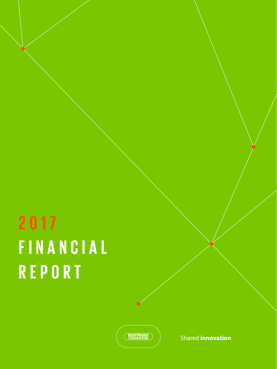# **2017 FINANCIAL REPORT**

**BOUYGUES** 

Shared **innovation**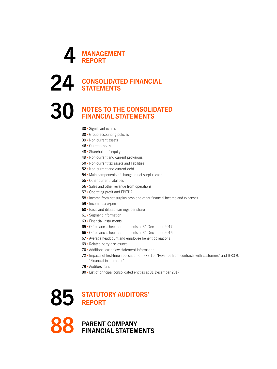

### **CONSOLIDATED FINANCIAL STATEMENTS**

### **NOTES TO THE CONSOLIDATED FINANCIAL STATEMENTS**

- Significant events
- 30 · Group accounting policies
- •Non-current assets
- •Current assets
- Shareholders' equity
- 49 Non-current and current provisions
- 50 Non-current tax assets and liabilities
- •Non-current and current debt
- •Main components of change in net surplus cash
- •Other current liabilities
- Sales and other revenue from operations
- •Operating profit and EBITDA
- Income from net surplus cash and other financial income and expenses
- Income tax expense
- 60 Basic and diluted earnings per share
- Segment information
- Financial instruments
- •Off balance sheet commitments at 31 December 2017
- •Off balance sheet commitments at 31 December 2016
- Average headcount and employee benefit obligations
- •Related-party disclosures
- Additional cash flow statement information
- Impacts of first-time application of IFRS 15, "Revenue from contracts with customers" and IFRS 9, "Financial instruments"
- Auditors' fees
- List of principal consolidated entities at 31 December 2017

### **STATUTORY AUDITORS' REPORT**

 **PARENT COMPANY FINANCIAL STATEMENTS**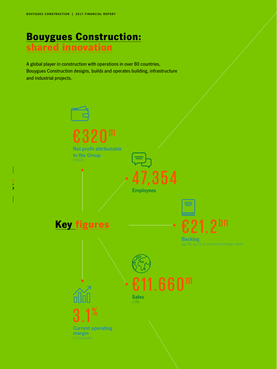## Bouygues Construction: shared innovation

A global player in construction with operations in over 80 countries, Bouygues Construction designs, builds and operates building, infrastructure and industrial projects.

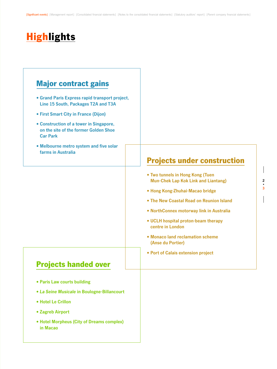## **Highlights**

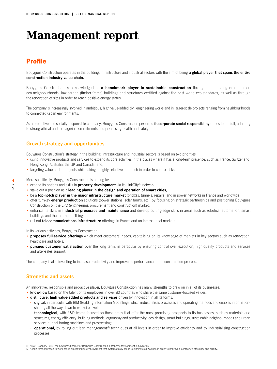## **Management report**

### **Profile**

Bouygues Construction operates in the building, infrastructure and industrial sectors with the aim of being **a global player that spans the entire construction industry value chain.**

Bouygues Construction is acknowledged as **a benchmark player in sustainable construction** through the building of numerous eco-neighbourhoods, low-carbon (timber-frame) buildings and structures certified against the best world eco-standards, as well as through the renovation of sites in order to reach positive-energy status.

The company is increasingly involved in ambitious, high value-added civil engineering works and in larger-scale projects ranging from neighbourhoods to connected urban environments.

As a pro-active and socially-responsible company, Bouygues Construction performs its **corporate social responsibility** duties to the full, adhering to strong ethical and managerial commitments and prioritising health and safety.

### **Growth strategy and opportunities**

Bouygues Construction's strategy in the building, infrastructure and industrial sectors is based on two priorities:

- using innovative products and services to expand its core activities in the places where it has a long-term presence, such as France, Switzerland, Hong Kong, Australia, the UK and Canada, and;
- targeting value-added projects while taking a highly selective approach in order to control risks.

More specifically, Bouygues Construction is aiming to:

- expand its options and skills in **property development** via its LinkCity<sup>(1)</sup> network;
- stake out a position as a **leading player in the design and operation of smart cities;**
- be a **top-notch player in the major infrastructure market** (bridges, tunnels, repairs) and in power networks in France and worldwide;
- offer turnkey **energy production** solutions (power stations, solar farms, etc.) by focusing on strategic partnerships and positioning Bouygues Construction on the EPC (engineering, procurement and construction) market;
- enhance its skills in **industrial processes and maintenance** and develop cutting-edge skills in areas such as robotics, automation, smart buildings and the Internet of Things;
- roll out **telecommunications infrastructure** offerings in France and on international markets.

In its various activities, Bouygues Construction:

- **proposes full-service offerings** which meet customers' needs, capitalising on its knowledge of markets in key sectors such as renovation, healthcare and hotels;
- **pursues customer satisfaction** over the long term, in particular by ensuring control over execution, high-quality products and services and after‑sales support.

The company is also investing to increase productivity and improve its performance in the construction process.

### **Strengths and assets**

An innovative, responsible and pro-active player, Bouygues Construction has many strengths to draw on in all of its businesses:

- **know-how** based on the talent of its employees in over 80 countries who share the same customer-focused values;
- **distinctive, high value-added products and services** driven by innovation in all its forms:
- **- digital,** in particular with BIM (Building Information Modelling), which industrialises processes and operating methods and enables informationsharing all the way down to worksite level;
- **- technological,** with R&D teams focused on those areas that offer the most promising prospects to its businesses, such as materials and structures, energy efficiency, building methods, ergonomy and productivity, eco-design, smart buildings, sustainable neighbourhoods and urban services, tunnel-boring machines and prestressing;
- **- operational,** by rolling out lean management(2) techniques at all levels in order to improve efficiency and by industrialising construction processes;

(1) As of 1 January 2016, the new brand name for Bouygues Construction's property development subsidiaries.<br>(2) A long-term approach to work based on continuous improvement that systematically seeks to eliminate all wastag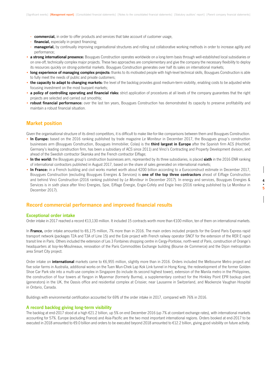- **- commercial,** in order to offer products and services that take account of customer usage,
- **- financial,** especially in project financing;
- **- managerial,** by continually improving organisational structures and rolling out collaborative working methods in order to increase agility and performance;
- **a strong international presence:** Bouygues Construction operates worldwide on a long-term basis through well-established local subsidiaries or on one-off, technically complex major projects. These two approaches are complementary and give the company the necessary flexibility to deploy its resources quickly on strong-potential markets. Bouygues Construction generates over half its sales on international markets;
- **long experience of managing complex projects:** thanks to its motivated people with high-level technical skills, Bouygues Construction is able to fully meet the needs of public and private customers;
- the capacity to adapt to changing markets: the level of the backlog provides good medium-term visibility, enabling costs to be adjusted while focusing investment on the most buoyant markets;
- **a policy of controlling operating and financial risks:** strict application of procedures at all levels of the company guarantees that the right projects are selected and carried out smoothly;
- **robust financial performance:** over the last ten years, Bouygues Construction has demonstrated its capacity to preserve profitability and maintain a robust financial situation.

### **Market position**

Given the organisational structure of its direct competitors, it is difficult to make like-for-like comparisons between them and Bouygues Construction.

- **In Europe:** based on the 2016 ranking published by trade magazine *Le Moniteur* in December 2017, the Bouygues group's construction businesses arm (Bouygues Construction, Bouygues Immobilier, Colas) is the **third largest in Europe** after the Spanish firm ACS (Hochtief, Germany's leading construction firm, has been a subsidiary of ACS since 2011) and Vinci's Contracting and Property Development division, and ahead of the Swedish contractor Skanska and the French contractor Eiffage;
- **In the world:** the Bouygues group's construction businesses arm, represented by its three subsidiaries, is placed **sixth** in the 2016 ENR ranking of international contractors published in August 2017, based on the share of sales generated on international markets;
- **In France:** in a French building and civil works market worth about €200 billion according to a Euroconstruct estimate in December 2017, Bouygues Construction (excluding Bouygues Energies & Services) is **one of the top three contractors** ahead of Eiffage Construction and behind Vinci Construction (2016 ranking published by *Le Moniteur* in December 2017). In energy and services, Bouygues Energies & Services is in sixth place after Vinci Energies, Spie, Eiffage Énergie, Engie-Cofely and Engie Ineo (2016 ranking published by Le Moniteur in December 2017).

### **Record commercial performance and improved financial results**

### **Exceptional order intake**

Order intake in 2017 reached a record €13,130 million. It included 15 contracts worth more than €100 million, ten of them on international markets.

In **France,** order intake amounted to €6,175 million, 7% more than in 2016. The main orders included projects for the Grand Paris Express rapid transport network (packages T2A and T3A of Line 15) and the Eole project with French railway operator SNCF for the extension of the RER E rapid transit line in Paris. Others included the extension of Les 3 Fontaines shopping centre in Cergy-Pontoise, north-west of Paris, construction of Orange's headquarters at Issy-les-Moulineaux, renovation of the Paris Commodities Exchange building (Bourse de Commerce) and the Dijon metropolitan area Smart City project.

Order intake on **international** markets came to €6,955 million, slightly more than in 2016. Orders included the Melbourne Metro project and five solar farms in Australia, additional works on the Tuen Mun-Chek Lap Kok Link tunnel in Hong Kong, the redevelopment of the former Golden Shoe Car Park site into a multi-use complex in Singapore (to include its second highest tower), extension of the Manila metro in the Philippines, the construction of four towers at Yangon in Myanmar (formerly Burma), a supplementary contract for the Hinkley Point EPR backup plant (generators) in the UK, the Oassis office and residential complex at Crissier, near Lausanne in Switzerland, and Mackenzie Vaughan Hospital in Ontario, Canada.

Buildings with environmental certification accounted for 69% of the order intake in 2017, compared with 76% in 2016.

### **A record backlog giving long-term visibility**

The backlog at end-2017 stood at a high €21.2 billion, up 5% on end December 2016 (up 7% at constant exchange rates), with international markets accounting for 57%. Europe (excluding France) and Asia-Pacific are the two most important international regions. Orders booked at end-2017 to be executed in 2018 amounted to  $\epsilon$ 9.0 billion and orders to be executed beyond 2018 amounted to  $\epsilon$ 12.2 billion, giving good visibility on future activity.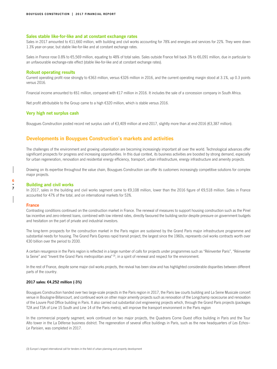### **Sales stable like-for-like and at constant exchange rates**

Sales in 2017 amounted to €11,660 million, with building and civil works accounting for 78% and energies and services for 22%. They were down 1.3% year-on-year, but stable like-for-like and at constant exchange rates.

Sales in France rose 0.8% to €5,569 million, equating to 48% of total sales. Sales outside France fell back 3% to €6,091 million, due in particular to an unfavourable exchange-rate effect (stable like-for-like and at constant exchange rates).

### **Robust operating results**

Current operating profit rose strongly to €363 million, versus €326 million in 2016, and the current operating margin stood at 3.1%, up 0.3 points versus 2016.

Financial income amounted to €61 million, compared with €17 million in 2016. It includes the sale of a concession company in South Africa.

Net profit attributable to the Group came to a high €320 million, which is stable versus 2016.

### **Very high net surplus cash**

Bouygues Construction posted record net surplus cash of €3,409 million at end-2017, slightly more than at end-2016 (€3,387 million).

### **Developments in Bouygues Construction's markets and activities**

The challenges of the environment and growing urbanisation are becoming increasingly important all over the world. Technological advances offer significant prospects for progress and increasing opportunities. In this dual context, its business activities are boosted by strong demand, especially for urban regeneration, renovation and residential energy efficiency, transport, urban infrastructure, energy infrastructure and amenity projects.

Drawing on its expertise throughout the value chain, Bouygues Construction can offer its customers increasingly competitive solutions for complex major projects.

#### **Building and civil works**

In 2017, sales in the building and civil works segment came to €9,108 million, lower than the 2016 figure of €9,518 million. Sales in France accounted for 47% of the total, and on international markets for 53%.

#### **France**

Contrasting conditions continued on the construction market in France. The renewal of measures to support housing construction such as the Pinel tax incentive and zero-interest loans, combined with low interest rates, directly favoured the building sector despite pressure on government budgets and hesitation on the part of private and industrial investors.

The long-term prospects for the construction market in the Paris region are sustained by the Grand Paris major infrastructure programme and substantial needs for housing. The Grand Paris Express rapid transit project, the largest since the 1960s, represents civil works contracts worth over €30 billion over the period to 2030.

A certain resurgence in the Paris region is reflected in a large number of calls for projects under programmes such as "Réinventer Paris", "Réinventer la Seine" and "Invent the Grand Paris metropolitan area" (3), in a spirit of renewal and respect for the environment.

In the rest of France, despite some major civil works projects, the revival has been slow and has highlighted considerable disparities between different parts of the country.

### **2017 sales: €4,252 million (-3%)**

Bouygues Construction handed over two large-scale projects in the Paris region in 2017, the Paris law courts building and La Seine Musicale concert venue in Boulogne-Billancourt, and continued work on other major amenity projects such as renovation of the Longchamp racecourse and renovation of the Louvre Post Office building in Paris. It also carried out substantial civil engineering projects which, through the Grand Paris projects (packages T2A and T3A of Line 15 South and Line 14 of the Paris metro), will improve the transport environment in the Paris region

In the commercial property segment, work continued on two major projects, the Quadrans Corne Ouest office building in Paris and the Tour Alto tower in the La Défense business district. The regeneration of several office buildings in Paris, such as the new headquarters of *Les Echos–* Le Parisien, was completed in 2017.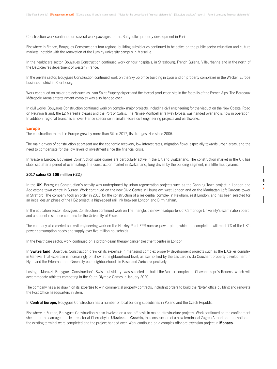Construction work continued on several work packages for the Batignolles property development in Paris.

Elsewhere in France, Bouygues Construction's four regional building subsidiaries continued to be active on the public-sector education and culture markets, notably with the renovation of the Luminy university campus in Marseille.

In the healthcare sector, Bouygues Construction continued work on four hospitals, in Strasbourg, French Guiana, Villeurbanne and in the north of the Deux-Sèvres department of western France.

In the private sector, Bouygues Construction continued work on the Sky 56 office building in Lyon and on property complexes in the Wacken Europe business district in Strasbourg.

Work continued on major projects such as Lyon-Saint Exupéry airport and the Hexcel production site in the foothills of the French Alps. The Bordeaux Métropole Arena entertainment complex was also handed over.

In civil works, Bouygues Construction continued work on complex major projects, including civil engineering for the viaduct on the New Coastal Road on Reunion Island, the L2 Marseille bypass and the Port of Calais. The Nîmes-Montpellier railway bypass was handed over and is now in operation. In addition, regional branches all over France specialise in smaller-scale civil engineering projects and earthworks.

#### **Europe**

The construction market in Europe grew by more than 3% in 2017, its strongest rise since 2006.

The main drivers of construction at present are the economic recovery, low interest rates, migration flows, especially towards urban areas, and the need to compensate for the low levels of investment since the financial crisis.

In Western Europe, Bouygues Construction subsidiaries are particularly active in the UK and Switzerland. The construction market in the UK has stabilised after a period of overheating. The construction market in Switzerland, long driven by the building segment, is a little less dynamic.

### **2017 sales: €2,109 million (-2%)**

In the **UK**, Bouygues Construction's activity was underpinned by urban regeneration projects such as the Canning Town project in London and Addlestone town centre in Surrey. Work continued on the new Civic Centre in Hounslow, west London and on the Manhattan Loft Gardens tower in Stratford. The company took an order in 2017 for the construction of a residential complex in Newham, east London, and has been selected for an initial design phase of the HS2 project, a high-speed rail link between London and Birmingham.

In the education sector, Bouygues Construction continued work on The Triangle, the new headquarters of Cambridge University's examination board, and a student residence complex for the University of Essex.

The company also carried out civil engineering work on the Hinkley Point EPR nuclear power plant, which on completion will meet 7% of the UK's power consumption needs and supply over five million households.

In the healthcare sector, work continued on a proton-beam therapy cancer treatment centre in London.

In **Switzerland,** Bouygues Construction drew on its expertise in managing complex property development projects such as the L'Atelier complex in Geneva. That expertise is increasingly on show at neighbourhood level, as exemplified by the Les Jardins du Couchant property development in Nyon and the Erlenmatt and Greencity eco-neighbourhoods in Basel and Zurich respectively.

Losinger Marazzi, Bouygues Construction's Swiss subsidiary, was selected to build the Vortex complex at Chavannes-près-Renens, which will accommodate athletes competing in the Youth Olympic Games in January 2020.

The company has also drawn on its expertise to win commercial property contracts, including orders to build the "Byte" office building and renovate the Post Office headquarters in Bern.

In **Central Europe,** Bouygues Construction has a number of local building subsidiaries in Poland and the Czech Republic.

Elsewhere in Europe, Bouygues Construction is also involved on a one-off basis in major infrastructure projects. Work continued on the confinement shelter for the damaged nuclear reactor at Chernobyl in **Ukraine.** In **Croatia,** the construction of a new terminal at Zagreb Airport and renovation of the existing terminal were completed and the project handed over. Work continued on a complex offshore extension project in **Monaco.**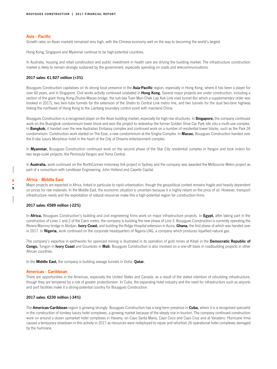### **Asia - Pacific**

Growth rates on Asian markets remained very high, with the Chinese economy well on the way to becoming the world's largest.

Hong Kong, Singapore and Myanmar continue to be high-potential countries.

In Australia, housing and retail construction and public investment in health care are driving the building market. The infrastructure construction market is likely to remain strongly sustained by the government, especially spending on roads and telecommunications.

### **2017 sales: €1,927 million (+3%)**

Bouygues Construction capitalises on its strong local presence in the **Asia-Pacific** region, especially in Hong Kong, where it has been a player for over 60 years, and in Singapore. Civil works activity continued unabated in **Hong Kong.** Several major projects are under construction, including a section of the giant Hong Kong-Zhuhai-Macao bridge, the sub-sea Tuen Mun-Chek Lap Kok Link road tunnel (for which a supplementary order was booked in 2017), two twin-tube tunnels for the extension of the Shatin to Central Link metro line, and two tunnels for the dual two-lane highway linking the northeast of Hong Kong to the Liantang boundary control point with mainland China.

Bouygues Construction is a recognised player on the Asian building market, especially for high-rise structures. In **Singapore,** the company continued work on the Buangkok condominium tower block and won the project to redevelop the former Golden Shoe Car Park site into a multi-use complex. In **Bangkok,** it handed over the new Australian Embassy complex and continued work on a number of residential tower blocks, such as the Park 24 condominium. Construction work started on The Esse, a new condominium at the Singha Complex. In **Macao,** Bouygues Construction handed over the 6-star luxury Morpheus hotel in the heart of the City of Dreams entertainment complex.

In **Myanmar,** Bouygues Construction continued work on the second phase of the Star City residential complex in Yangon and took orders for two large-scale projects, the Peninsula Yangon and Yoma Central.

In **Australia,** work continued on the NorthConnex motorway link project in Sydney and the company was awarded the Melbourne Metro project as part of a consortium with Lendlease Engineering, John Holland and Capella Capital.

### **Africa - Middle East**

Major projects are expected in Africa, linked in particular to rapid urbanisation, though the geopolitical context remains fragile and heavily dependent on prices for raw materials. In the Middle East, the economic situation is uncertain because it is highly reliant on the price of oil. However, transport infrastructure needs and the exploitation of natural resources make this a high-potential region for construction firms.

#### **2017 sales: €589 million (-22%)**

In **Africa,** Bouygues Construction's building and civil engineering firms work on major infrastructure projects. In **Egypt,** after taking part in the construction of Lines 1 and 2 of the Cairo metro, the company is building the new phase of Line 3. Bouygues Construction is currently operating the Riviera Marcory bridge in Abidjan, **Ivory Coast,** and building the Ridge Hospital extension in Accra, **Ghana,** the first phase of which was handed over in 2017. In **Nigeria,** work continued on the corporate headquarters of Nigeria LNG, a company which produces liquefied natural gas.

The company's expertise in earthworks for opencast mining is illustrated in its operation of gold mines at Kibali in the **Democratic Republic of Congo,** Tongon in **Ivory Coast** and Gounkoto in **Mali.** Bouygues Construction is also involved on a one-off basis in roadbuilding projects in other African countries.

In the **Middle East,** the company is building sewage tunnels in Doha, **Qatar.**

### **Americas - Caribbean**

There are opportunities in the Americas, especially the United States and Canada, as a result of the stated intention of rebuilding infrastructure, though they are tempered by a risk of greater protectionism. In Cuba, the expanding hotel industry and the need for infrastructure such as airports and port facilities make it a strong-potential country for Bouygues Construction.

### **2017 sales: €230 million (-34%)**

The **Americas-Caribbean** region is growing strongly. Bouygues Construction has a long-term presence in **Cuba,** where it is a recognised specialist in the construction of turnkey luxury hotel complexes, a growing market because of the steady rise in tourism. The company continued construction work on around a dozen upmarket hotel complexes in Havana, on Cayo Santa Maria, Cayo Coco and Cayo Cruz and at Varadero. Hurricane Irma caused a temporary slowdown in this activity in 2017 as resources were redeployed to repair and refurbish 26 operational hotel complexes damaged by the hurricane.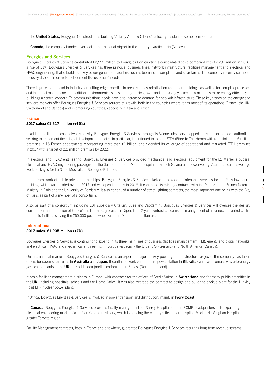In the **United States,** Bouygues Construction is building "Arte by Antonio Citterio", a luxury residential complex in Florida.

In **Canada,** the company handed over Iqaluit International Airport in the country's Arctic north (Nunavut).

#### **Energies and Services**

Bouygues Energies & Services contributed €2,552 million to Bouygues Construction's consolidated sales compared with €2,297 million in 2016, a rise of 11%. Bouygues Energies & Services has three principal business lines: network infrastructure, facilities management and electrical and HVAC engineering. It also builds turnkey power generation facilities such as biomass power plants and solar farms. The company recently set up an Industry division in order to better meet its customers' needs.

There is growing demand in industry for cutting-edge expertise in areas such as robotisation and smart buildings, as well as for complex processes and industrial maintenance. In addition, environmental issues, demographic growth and increasingly scarce raw materials make energy efficiency in buildings a central concern. Telecommunications needs have also increased demand for network infrastructure. These key trends on the energy and services markets offer Bouygues Energies & Services sources of growth, both in the countries where it has most of its operations (France, the UK, Switzerland and Canada) and in emerging countries, especially in Asia and Africa.

#### **France**

### **2017 sales: €1,317 million (+16%)**

In addition to its traditional networks activity, Bouygues Energies & Services, through its Axione subsidiary, stepped up its support for local authorities seeking to implement their digital development policies. In particular, it continued to roll out FTTH (Fibre To The Home) with a portfolio of 1.5 million premises in 16 French departments representing more than €1 billion, and extended its coverage of operational and marketed FTTH premises in 2017 with a target of 2.2 million premises by 2022.

In electrical and HVAC engineering, Bouygues Energies & Services provided mechanical and electrical equipment for the L2 Marseille bypass, electrical and HVAC engineering packages for the Saint-Laurent-du-Maroni hospital in French Guiana and power-voltage/communications-voltage work packages for La Seine Musicale in Boulogne-Billancourt.

In the framework of public-private partnerships, Bouygues Energies & Services started to provide maintenance services for the Paris law courts building, which was handed over in 2017 and will open its doors in 2018. It continued its existing contracts with the Paris zoo, the French Defence Ministry in Paris and the University of Bordeaux. It also continued a number of street-lighting contracts, the most important one being with the City of Paris, as part of a member of a consortium.

Also, as part of a consortium including EDF subsidiary Citelum, Suez and Capgemini, Bouygues Energies & Services will oversee the design, construction and operation of France's first smart-city project in Dijon. The 12-year contract concerns the management of a connected control centre for public facilities serving the 250,000 people who live in the Dijon metropolitan area.

#### **International**

### **2017 sales: €1,235 million (+7%)**

Bouygues Energies & Services is continuing to expand in its three main lines of business (facilities management (FM), energy and digital networks, and electrical, HVAC and mechanical engineering) in Europe (especially the UK and Switzerland) and North America (Canada).

On international markets, Bouygues Energies & Services is an expert in major turnkey power grid infrastructure projects. The company has taken orders for seven solar farms in **Australia** and **Japan.** It continued work on a thermal power station in **Gibraltar** and two biomass waste-to-energy gasification plants in the **UK,** at Hoddesdon (north London) and in Belfast (Northern Ireland).

It has a facilities management business in Europe, with contracts for the offices of Crédit Suisse in **Switzerland** and for many public amenities in the **UK,** including hospitals, schools and the Home Office. It was also awarded the contract to design and build the backup plant for the Hinkley Point EPR nuclear power plant.

In Africa, Bouygues Energies & Services is involved in power transport and distribution, mainly in **Ivory Coast.**

In **Canada,** Bouygues Energies & Services provides facility management for Surrey Hospital and the RCMP headquarters. It is expanding on the electrical engineering market via its Plan Group subsidiary, which is building the country's first smart hospital, Mackenzie Vaughan Hospital, in the greater Toronto region.

Facility Management contracts, both in France and elsewhere, guarantee Bouygues Energies & Services recurring long-term revenue streams.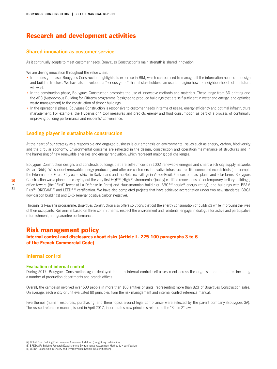### Research and development activities

### **Shared innovation as customer service**

As it continually adapts to meet customer needs, Bouygues Construction's main strength is shared innovation.

We are driving innovation throughout the value chain:

- In the design phase, Bouygues Construction highlights its expertise in BIM, which can be used to manage all the information needed to design and build a structure. We have also developed a "serious game" that all stakeholders can use to imagine how the neighbourhoods of the future will work.
- In the construction phase, Bouygues Construction promotes the use of innovative methods and materials. These range from 3D printing and the ABC (Autonomous Building for Citizens) programme (designed to produce buildings that are self-sufficient in water and energy, and optimise waste management) to the construction of timber buildings.
- In the operational phase, Bouygues Construction is responsive to customer needs in terms of usage, energy efficiency and optimal infrastructure management. For example, the Hypervision® tool measures and predicts energy and fluid consumption as part of a process of continually improving building performance and residents' convenience.

### **Leading player in sustainable construction**

At the heart of our strategy as a responsible and engaged business is our emphasis on environmental issues such as energy, carbon, biodiversity and the circular economy. Environmental concerns are reflected in the design, construction and operation/maintenance of structures and in the harnessing of new renewable energies and energy renovation, which represent major global challenges.

Bouygues Construction designs and constructs buildings that are self-sufficient in 100% renewable energies and smart electricity supply networks (Smart Grids). We support renewable energy producers, and offer our customers innovative infrastructures like connected eco-districts (for example the Erlenmatt and Green City eco-districts in Switzerland and the Noés eco-village in Val-de-Reuil, France), biomass plants and solar farms. Bouygues Construction was a pioneer in carrying out the very first HQE™ (High Environmental Quality) certified renovations of contemporary tertiary buildings, office towers (the "First" tower at La Défense in Paris) and Haussmannian buildings (BBCEffinergie® energy rating), and buildings with BEAM Plus<sup>(4)</sup>, BREEAM<sup>® (5)</sup> and LEED® <sup>(6)</sup> certification. We have also completed projects that have achieved accreditation under two new standards: BBCA (low-carbon buildings) and E+C- (energy positive/carbon negative).

Through its Réavenir programme, Bouygues Construction also offers solutions that cut the energy consumption of buildings while improving the lives of their occupants. Réavenir is based on three commitments: respect the environment and residents, engage in dialogue for active and participative refurbishment, and guarantee performance.

### Risk management policy

Internal control and disclosures about risks (Article L. 225-100 paragraphs 3 to 6 of the French Commercial Code)

### **Internal control**

#### **Evaluation of internal control**

During 2017, Bouygues Construction again deployed in-depth internal control self-assessment across the organisational structure, including a number of production departments and branch offices.

Overall, the campaign involved over 500 people in more than 100 entities or units, representing more than 82% of Bouygues Construction sales. On average, each entity or unit evaluated 80 principles from the risk management and internal control reference manual.

Five themes (human resources, purchasing, and three topics around legal compliance) were selected by the parent company (Bouygues SA). The revised reference manual, issued in April 2017, incorporates new principles related to the "Sapin 2" law.

- (5) BREEAM®: Building Research Establishment Environmental Assessment Method (UK certification)
- (6) LEED®: Leadership in Energy and Environmental Design (US certification)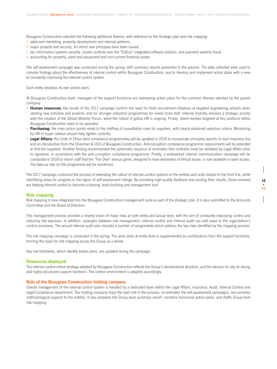Bouygues Construction selected the following additional themes, with reference to the strategic plan and risk mapping:

- sales and marketing, property development and internal partners;
- major projects and security, for which new principles have been issued;
- tax, information systems security, access controls over the "Edifice" integrated software solution, and payment systems fraud;
- accounting for property, plant and equipment and non-current financial assets.

The self-assessment campaign was conducted during the spring, with summary reports presented in the autumn. The data collected were used to compile findings about the effectiveness of internal control within Bouygues Construction, and to develop and implement action plans with a view to constantly improving the internal control system.

Each entity develops its own action plans.

At Bouygues Construction level, managers of the support functions are overseeing action plans for the common themes selected by the parent company:

- **Human resources:** the results of the 2017 campaign confirm the need for fresh recruitment initiatives at targeted engineering schools when starting new activities and projects, and for stronger induction programmes for newly hired staff. Internal mobility remains a strategic priority with the creation of the Global Mobility Forum, while the rollout of global HR is ongoing. Finally, talent reviews targeted at key positions within Bouygues Construction need to be upscaled;
- **Purchasing:** the main action points relate to the drafting of consultation rules for suppliers, with clearly explained selection criteria. Monitoring by HR of buyer rotation should help tighten controls;
- **Legal Affairs:** the Code of Ethics (and compliance programmes) will be updated in 2018 to incorporate principles specific to each business line and an introduction from the Chairman & CEO of Bouygues Construction. Anti-corruption compliance programme requirements will be extended to first-tier suppliers. Another finding recommended the systematic issuance of reminders that contracts must be validated by Legal Affairs prior to signature, in accordance with the anti-corruption compliance programme. Finally, a widespread internal communication campaign will be conducted in 2018 to inform staff that the "Fair Deal" serious game, designed to raise awareness of ethical issues, is now available in open access. The take-up rate on this programme will be monitored.

The 2017 campaign continued the process of extending the rollout of internal control systems to the entities and units closest to the front line, while identifying areas for progress in the rigour of self-assessment ratings. By providing high-quality feedback and pooling their results, those involved are helping internal control to become a training, team-building and management tool.

### **Risk mapping**

Risk mapping is now integrated into the Bouygues Construction management cycle as part of the strategic plan. It is also submitted to the Accounts Committee and the Board of Directors.

This management process provides a shared vision of major risks at both entity and Group level, with the aim of constantly improving control and reducing risk exposure. In addition, synergies between risk management, internal control and internal audit can add value to the organisation's control processes. The annual internal audit plan includes a number of assignments which address the key risks identified by the mapping process.

The risk mapping campaign is conducted in the spring. The work done at entity level is supplemented by contributions from the support functions, forming the basis for risk mapping across the Group as a whole.

Key risk factsheets, which identify action plans, are updated during the campaign.

#### **Resources deployed**

The internal control rollout strategy adopted by Bouygues Construction reflects the Group's decentralised structure, and the decision to rely on strong and highly-structured support functions. The control environment is adapted accordingly:

#### **Role of the Bouygues Construction holding company**

Overall management of the internal control system is handled by a dedicated team within the Legal Affairs, Insurance, Audit, Internal Control and Legal Compliance department. The holding company plays the lead role in the process, co-ordinates the self-assessment campaigns, and provides methodological support to the entities. It also prepares the Group-level summary report, monitors transverse action plans, and drafts Group-level risk mapping.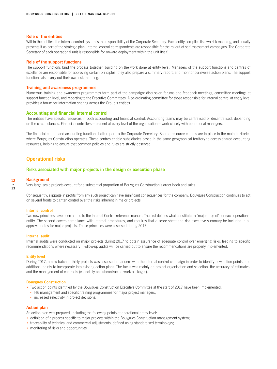### **Role of the entities**

Within the entities, the internal control system is the responsibility of the Corporate Secretary. Each entity compiles its own risk mapping, and usually presents it as part of the strategic plan. Internal control correspondents are responsible for the rollout of self-assessment campaigns. The Corporate Secretary of each operational unit is responsible for onward deployment within the unit itself.

#### **Role of the support functions**

The support functions bind the process together, building on the work done at entity level. Managers of the support functions and centres of excellence are responsible for approving certain principles; they also prepare a summary report, and monitor transverse action plans. The support functions also carry out their own risk mapping.

#### **Training and awareness programmes**

Numerous training and awareness programmes form part of the campaign: discussion forums and feedback meetings, committee meetings at support function level, and reporting to the Executive Committees. A co-ordinating committee for those responsible for internal control at entity level provides a forum for information-sharing across the Group's entities.

### **Accounting and financial internal control**

The entities have specific resources in both accounting and financial control. Accounting teams may be centralised or decentralised, depending on the circumstances. Financial controllers – present at every level of the organisation – work closely with operational managers.

The financial control and accounting functions both report to the Corporate Secretary. Shared resource centres are in place in the main territories where Bouygues Construction operates. These centres enable subsidiaries based in the same geographical territory to access shared accounting resources, helping to ensure that common policies and rules are strictly observed.

### **Operational risks**

### **Risks associated with major projects in the design or execution phase**

#### **Background**

**12 • 13**

Very large-scale projects account for a substantial proportion of Bouygues Construction's order book and sales.

Consequently, slippage in profits from any such project can have significant consequences for the company. Bouygues Construction continues to act on several fronts to tighten control over the risks inherent in major projects:

### **Internal control**

Two new principles have been added to the Internal Control reference manual. The first defines what constitutes a "major project" for each operational entity. The second covers compliance with internal procedures, and requires that a score sheet and risk executive summary be included in all approval notes for major projects. Those principles were assessed during 2017.

#### **Internal audit**

Internal audits were conducted on major projects during 2017 to obtain assurance of adequate control over emerging risks, leading to specific recommendations where necessary. Follow-up audits will be carried out to ensure the recommendations are properly implemented.

#### **Entity level**

During 2017, a new batch of thirty projects was assessed in tandem with the internal control campaign in order to identify new action points, and additional points to incorporate into existing action plans. The focus was mainly on project organisation and selection, the accuracy of estimates, and the management of contracts (especially on subcontracted work packages).

#### **Bouygues Construction**

• Two action points identified by the Bouygues Construction Executive Committee at the start of 2017 have been implemented:

- **-** HR management and specific training programmes for major project managers;
- **-** increased selectivity in project decisions.

#### **Action plan**

An action plan was prepared, including the following points at operational entity level:

- definition of a process specific to major projects within the Bouygues Construction management system;
- traceability of technical and commercial adjustments, defined using standardised terminology;
- monitoring of risks and opportunities.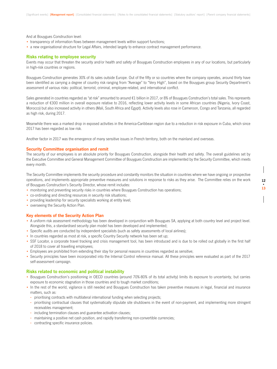And at Bouygues Construction level:

- transparency of information flows between management levels within support functions;
- a new organisational structure for Legal Affairs, intended largely to enhance contract management performance.

### **Risks relating to employee security**

Events may occur that threaten the security and/or health and safety of Bouygues Construction employees in any of our locations, but particularly in high-risk countries or regions.

Bouygues Construction generates 30% of its sales outside Europe. Out of the fifty or so countries where the company operates, around thirty have been identified as carrying a degree of country risk ranging from "Average" to "Very High", based on the Bouygues group Security Department's assessment of various risks: political, terrorist, criminal, employee-related, and international conflict.

Sales generated in countries regarded as "at risk" amounted to around €1 billion in 2017, or 8% of Bouygues Construction's total sales. This represents a reduction of €300 million in overall exposure relative to 2016, reflecting lower activity levels in some African countries (Nigeria, Ivory Coast, Morocco) but also increased activity in others (Mali, South Africa and Egypt). Activity levels also rose in Cameroon, Congo and Tanzania, all regarded as high risk, during 2017.

Meanwhile there was a marked drop in exposed activities in the America-Caribbean region due to a reduction in risk exposure in Cuba, which since 2017 has been regarded as low risk.

Another factor in 2017 was the emergence of many sensitive issues in French territory, both on the mainland and overseas.

### **Security Committee organisation and remit**

The security of our employees is an absolute priority for Bouygues Construction, alongside their health and safety. The overall guidelines set by the Executive Committee and General Management Committee of Bouygues Construction are implemented by the Security Committee, which meets every month.

The Security Committee implements the security procedure and constantly monitors the situation in countries where we have ongoing or prospective operations, and implements appropriate preventive measures and solutions in response to risks as they arise. The Committee relies on the work of Bouygues Construction's Security Director, whose remit includes:

**12 • 13**

- monitoring and preventing security risks in countries where Bouygues Construction has operations;
- co-ordinating and directing resources in security risk situations;
- providing leadership for security specialists working at entity level;
- overseeing the Security Action Plan.

### **Key elements of the Security Action Plan**

- A uniform risk assessment methodology has been developed in conjunction with Bouygues SA, applying at both country level and project level. Alongside this, a standardised security plan model has been developed and implemented;
- Specific audits are conducted by independent specialists (such as safety assessments of local airlines);
- In countries regarded as most at risk, a specific Country Security network has been set up;
- SSF Locator, a corporate travel tracking and crisis management tool, has been introduced and is due to be rolled out globally in the first half of 2018 to cover all travelling employees;
- Employees are prohibited from extending their stay for personal reasons in countries regarded as sensitive;
- Security principles have been incorporated into the Internal Control reference manual. All these principles were evaluated as part of the 2017 self-assessment campaign.

### **Risks related to economic and political instability**

- Bouygues Construction's positioning in OECD countries (around 70%-80% of its total activity) limits its exposure to uncertainty, but carries exposure to economic stagnation in those countries and to tough market conditions;
- In the rest of the world, vigilance is still needed and Bouygues Construction has taken preventive measures in legal, financial and insurance matters, such as:
	- **-** prioritising contracts with multilateral international funding when selecting projects;
	- **-** prioritising contractual clauses that systematically stipulate site shutdowns in the event of non-payment, and implementing more stringent receivables management;
	- **-** including termination clauses and guarantee activation clauses;
	- **-** maintaining a positive net cash position, and rapidly transferring non-convertible currencies;
	- **-** contracting specific insurance policies.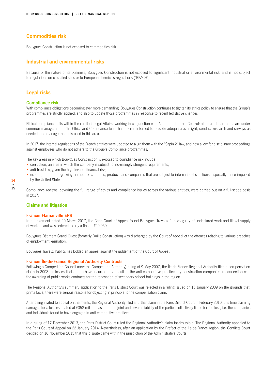### **Commodities risk**

Bouygues Construction is not exposed to commodities risk.

### **Industrial and environmental risks**

Because of the nature of its business, Bouygues Construction is not exposed to significant industrial or environmental risk, and is not subject to regulations on classified sites or to European chemicals regulations ("REACH").

### **Legal risks**

### **Compliance risk**

With compliance obligations becoming ever more demanding, Bouygues Construction continues to tighten its ethics policy to ensure that the Group's programmes are strictly applied, and also to update those programmes in response to recent legislative changes.

Ethical compliance falls within the remit of Legal Affairs, working in conjunction with Audit and Internal Control; all three departments are under common management. The Ethics and Compliance team has been reinforced to provide adequate oversight, conduct research and surveys as needed, and manage the tools used in this area.

In 2017, the internal regulations of the French entities were updated to align them with the "Sapin 2" law, and now allow for disciplinary proceedings against employees who do not adhere to the Group's Compliance programmes.

The key areas in which Bouygues Construction is exposed to compliance risk include:

- corruption, an area in which the company is subject to increasingly stringent requirements;
- anti-trust law, given the high level of financial risk;
- exports, due to the growing number of countries, products and companies that are subject to international sanctions, especially those imposed by the United States.

Compliance reviews, covering the full range of ethics and compliance issues across the various entities, were carried out on a full-scope basis in 2017.

### **Claims and litigation**

### **France: Flamanville EPR**

In a judgement dated 20 March 2017, the Caen Court of Appeal found Bouygues Travaux Publics guilty of undeclared work and illegal supply of workers and was ordered to pay a fine of €29,950.

Bouygues Bâtiment Grand Ouest (formerly Quille Construction) was discharged by the Court of Appeal of the offences relating to various breaches of employment legislation.

Bouygues Travaux Publics has lodged an appeal against the judgement of the Court of Appeal.

### **France: Île-de-France Regional Authority Contracts**

Following a Competition Council (now the Competition Authority) ruling of 9 May 2007, the Île-de-France Regional Authority filed a compensation claim in 2008 for losses it claims to have incurred as a result of the anti-competitive practices by construction companies in connection with the awarding of public works contracts for the renovation of secondary school buildings in the region.

The Regional Authority's summary application to the Paris District Court was rejected in a ruling issued on 15 January 2009 on the grounds that, prima facie, there were serious reasons for objecting in principle to the compensation claim.

After being invited to appeal on the merits, the Regional Authority filed a further claim in the Paris District Court in February 2010, this time claiming damages for a loss estimated at €358 million based on the joint and several liability of the parties collectively liable for the loss, i.e. the companies and individuals found to have engaged in anti-competitive practices.

In a ruling of 17 December 2013, the Paris District Court ruled the Regional Authority's claim inadmissible. The Regional Authority appealed to the Paris Court of Appeal on 22 January 2014. Nevertheless, after an application by the Prefect of the Île-de-France region, the Conflicts Court decided on 16 November 2015 that this dispute came within the jurisdiction of the Administrative Courts.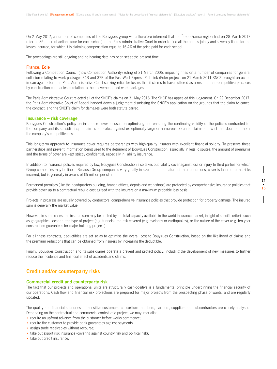On 2 May 2017, a number of companies of the Bouygues group were therefore informed that the Île-de-France region had on 28 March 2017 referred 85 different actions (one for each school) to the Paris Administrative Court in order to find all the parties jointly and severally liable for the losses incurred, for which it is claiming compensation equal to 16.4% of the price paid for each school.

The proceedings are still ongoing and no hearing date has been set at the present time.

#### **France: Eole**

Following a Competition Council (now Competition Authority) ruling of 21 March 2006, imposing fines on a number of companies for general collusion relating to work packages 34B and 37B of the East-West Express Rail Link (Eole) project, on 21 March 2011 SNCF brought an action in damages before the Paris Administrative Court seeking relief for losses that it claims to have suffered as a result of anti-competitive practices by construction companies in relation to the abovementioned work packages.

The Paris Administrative Court rejected all of the SNCF's claims on 31 May 2016. The SNCF has appealed this judgement. On 29 December 2017, the Paris Administrative Court of Appeal handed down a judgement dismissing the SNCF's application on the grounds that the claim to cancel the contract, and the SNCF's claim for damages were both statute barred.

### **Insurance – risk coverage**

Bouygues Construction's policy on insurance cover focuses on optimising and ensuring the continuing validity of the policies contracted for the company and its subsidiaries; the aim is to protect against exceptionally large or numerous potential claims at a cost that does not impair the company's competitiveness.

This long-term approach to insurance cover requires partnerships with high-quality insurers with excellent financial solidity. To preserve these partnerships and prevent information being used to the detriment of Bouygues Construction, especially in legal disputes, the amount of premiums and the terms of cover are kept strictly confidential, especially in liability insurance.

In addition to insurance policies required by law, Bouygues Construction also takes out liability cover against loss or injury to third parties for which Group companies may be liable. Because Group companies vary greatly in size and in the nature of their operations, cover is tailored to the risks incurred, but is generally in excess of €5 million per claim.

Permanent premises (like the headquarters building, branch offices, depots and workshops) are protected by comprehensive insurance policies that provide cover up to a contractual rebuild cost agreed with the insurers on a maximum probable loss basis.

Projects in progress are usually covered by contractors' comprehensive insurance policies that provide protection for property damage. The insured sum is generally the market value.

However, in some cases, the insured sum may be limited by the total capacity available in the world insurance market, in light of specific criteria such as geographical location, the type of project (e.g. tunnels), the risk covered (e.g. cyclones or earthquakes), or the nature of the cover (e.g. ten-year construction guarantees for major building projects).

For all these contracts, deductibles are set so as to optimise the overall cost to Bouygues Construction, based on the likelihood of claims and the premium reductions that can be obtained from insurers by increasing the deductible.

Finally, Bouygues Construction and its subsidiaries operate a prevent and protect policy, including the development of new measures to further reduce the incidence and financial effect of accidents and claims.

### **Credit and/or counterparty risks**

#### **Commercial credit and counterparty risk**

The fact that our projects and operational units are structurally cash-positive is a fundamental principle underpinning the financial security of our operations. Cash flow and financial risk projections are prepared for major projects from the prospecting phase onwards, and are regularly updated.

The quality and financial soundness of sensitive customers, consortium members, partners, suppliers and subcontractors are closely analysed. Depending on the contractual and commercial context of a project, we may inter alia:

- require an upfront advance from the customer before works commence;
- require the customer to provide bank guarantees against payments;
- assign trade receivables without recourse;
- take out export risk insurance (covering against country risk and political risk);
- take out credit insurance.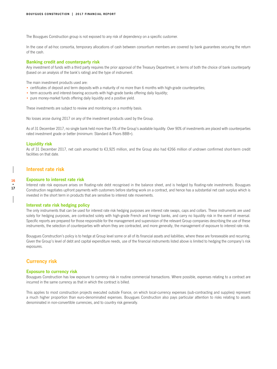The Bouygues Construction group is not exposed to any risk of dependency on a specific customer.

In the case of ad-hoc consortia, temporary allocations of cash between consortium members are covered by bank guarantees securing the return of the cash.

### **Banking credit and counterparty risk**

Any investment of funds with a third party requires the prior approval of the Treasury Department, in terms of both the choice of bank counterparty (based on an analysis of the bank's rating) and the type of instrument.

The main investment products used are:

- certificates of deposit and term deposits with a maturity of no more than 6 months with high-grade counterparties;
- term accounts and interest-bearing accounts with high-grade banks offering daily liquidity;
- pure money-market funds offering daily liquidity and a positive yield.

These investments are subject to review and monitoring on a monthly basis.

No losses arose during 2017 on any of the investment products used by the Group.

As of 31 December 2017, no single bank held more than 5% of the Group's available liquidity. Over 90% of investments are placed with counterparties rated investment grade or better (minimum: Standard & Poors BBB+).

### **Liquidity risk**

**16 • 17**

As of 31 December 2017, net cash amounted to €3,925 million, and the Group also had €266 million of undrawn confirmed short-term credit facilities on that date.

### **Interest rate risk**

### **Exposure to interest rate risk**

Interest rate risk exposure arises on floating-rate debt recognised in the balance sheet, and is hedged by floating-rate investments. Bouygues Construction negotiates upfront payments with customers before starting work on a contract, and hence has a substantial net cash surplus which is invested in the short term in products that are sensitive to interest rate movements.

### **Interest rate risk hedging policy**

The only instruments that can be used for interest rate risk hedging purposes are interest rate swaps, caps and collars. These instruments are used solely for hedging purposes, are contracted solely with high-grade French and foreign banks, and carry no liquidity risk in the event of reversal. Specific reports are prepared for those responsible for the management and supervision of the relevant Group companies describing the use of these instruments, the selection of counterparties with whom they are contracted, and more generally, the management of exposure to interest rate risk.

Bouygues Construction's policy is to hedge at Group level some or all of its financial assets and liabilities, where these are foreseeable and recurring. Given the Group's level of debt and capital expenditure needs, use of the financial instruments listed above is limited to hedging the company's risk exposures.

### **Currency risk**

### **Exposure to currency risk**

Bouygues Construction has low exposure to currency risk in routine commercial transactions. Where possible, expenses relating to a contract are incurred in the same currency as that in which the contract is billed.

This applies to most construction projects executed outside France, on which local-currency expenses (sub-contracting and supplies) represent a much higher proportion than euro-denominated expenses. Bouygues Construction also pays particular attention to risks relating to assets denominated in non-convertible currencies, and to country risk generally.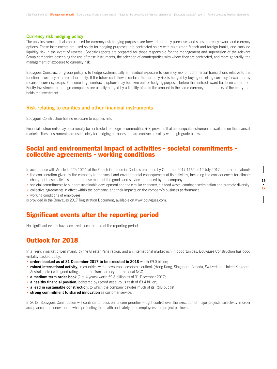### **Currency risk hedging policy**

The only instruments that can be used for currency risk hedging purposes are forward currency purchases and sales, currency swaps and currency options. These instruments are used solely for hedging purposes, are contracted solely with high-grade French and foreign banks, and carry no liquidity risk in the event of reversal. Specific reports are prepared for those responsible for the management and supervision of the relevant Group companies describing the use of these instruments, the selection of counterparties with whom they are contracted, and more generally, the management of exposure to currency risk.

Bouygues Construction group policy is to hedge systematically all residual exposure to currency risk on commercial transactions relative to the functional currency of a project or entity. If the future cash flow is certain, the currency risk is hedged by buying or selling currency forward, or by means of currency swaps. For some large contracts, options may be taken out for hedging purposes before the contract award has been confirmed. Equity investments in foreign companies are usually hedged by a liability of a similar amount in the same currency in the books of the entity that holds the investment.

### **Risk relating to equities and other financial instruments**

Bouygues Construction has no exposure to equities risk.

Financial instruments may occasionally be contracted to hedge a commodities risk, provided that an adequate instrument is available on the financial markets. These instruments are used solely for hedging purposes and are contracted solely with high-grade banks.

### Social and environmental impact of activities - societal commitments collective agreements - working conditions

In accordance with Article L. 225-102-1 of the French Commercial Code as amended by Order no. 2017-1162 of 12 July 2017, information about:

- the consideration given by the company to the social and environmental consequences of its activities, including the consequences for climate change of those activities and of the use made of the goods and services produced by the company;
- societal commitments to support sustainable development and the circular economy, cut food waste, combat discrimination and promote diversity;
- collective agreements in effect within the company, and their impacts on the company's business performance;
- working conditions of employees;

is provided in the Bouygues 2017 Registration Document, available on www.bouygues.com.

### Significant events after the reporting period

No significant events have occurred since the end of the reporting period.

### Outlook for 2018

In a French market driven mainly by the Greater Paris region, and an international market rich in opportunities, Bouygues Construction has good visibility backed up by:

- **orders booked as of 31 December 2017 to be executed in 2018** worth €9.0 billion;
- **robust international activity,** in countries with a favourable economic outlook (Hong Kong, Singapore, Canada, Switzerland, United Kingdom, Australia, etc.) with good ratings from the Transparency International NGO;
- **a medium-term order book** (2 to 4 years) worth €9.8 billion as of 31 December 2017;
- **a healthy financial position,** bolstered by record net surplus cash of €3.4 billion;
- **a lead in sustainable construction,** to which the company devotes much of its R&D budget;
- **strong commitment to shared innovation** as customer service.

In 2018, Bouygues Construction will continue to focus on its core priorities – tight control over the execution of major projects, selectivity in order acceptance, and innovation – while protecting the health and safety of its employees and project partners.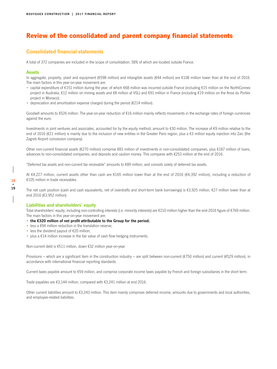### Review of the consolidated and parent company financial statements

### **Consolidated financial statements**

A total of 372 companies are included in the scope of consolidation, 58% of which are located outside France.

### **Assets**

In aggregate, property, plant and equipment (€598 million) and intangible assets (€44 million) are €108 million lower than at the end of 2016. The main factors in this year-on-year movement are:

- capital expenditure of €151 million during the year, of which €68 million was incurred outside France (including €15 million on the NorthConnex project in Australia, €12 million on mining assets and €8 million at VSL) and €91 million in France (including €19 million on the Anse du Portier project in Monaco);
- depreciation and amortisation expense charged during the period ( $\epsilon$ 214 million).

Goodwill amounts to €526 million. The year-on-year reduction of €16 million mainly reflects movements in the exchange rates of foreign currencies against the euro.

Investments in joint ventures and associates, accounted for by the equity method, amount to €30 million. The increase of €9 million relative to the end of 2016 (€21 million) is mainly due to the inclusion of new entities in the Greater Paris region, plus a €3 million equity injection into Zaic (the Zagreb Airport concession company).

Other non-current financial assets (€270 million) comprise €83 million of investments in non-consolidated companies, plus €187 million of loans, advances to non-consolidated companies, and deposits and caution money. This compares with €253 million at the end of 2016.

"Deferred tax assets and non-current tax receivable" amounts to €89 million, and consists solely of deferred tax assets.

At €4,227 million, current assets other than cash are €165 million lower than at the end of 2016 (€4,392 million), including a reduction of €105 million in trade receivables.

The net cash position (cash and cash equivalents, net of overdrafts and short-term bank borrowings) is €3,925 million, €27 million lower than at end 2016 (€3,952 million).

### **Liabilities and shareholders' equity**

Total shareholders' equity, including non-controlling interests (i.e. minority interests) are €210 million higher than the end-2016 figure of €769 million. The main factors in this year-on-year movement are:

- **the €320 million of net profit attributable to the Group for the period;**
- less a €94 million reduction in the translation reserve;
- less the dividend payout of €20 million;
- plus a €14 million increase in the fair value of cash flow hedging instruments.

Non-current debt is €511 million, down €32 million year-on-year.

Provisions – which are a significant item in the construction industry – are split between non-current ( $\epsilon$ 750 million) and current ( $\epsilon$ 529 million), in accordance with international financial reporting standards.

Current taxes payable amount to €59 million, and comprise corporate income taxes payable by French and foreign subsidiaries in the short term.

Trade payables are €3,144 million, compared with €3,241 million at end 2016.

Other current liabilities amount to €3,243 million. This item mainly comprises deferred income, amounts due to governments and local authorities, and employee-related liabilities.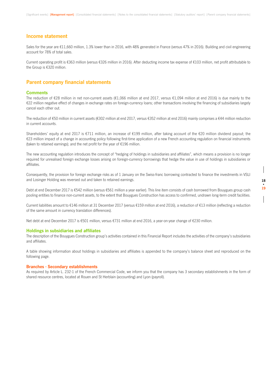### **Income statement**

Sales for the year are €11,660 million, 1.3% lower than in 2016, with 48% generated in France (versus 47% in 2016). Building and civil engineering account for 78% of total sales.

Current operating profit is €363 million (versus €326 million in 2016). After deducting income tax expense of €103 million, net profit attributable to the Group is €320 million.

### **Parent company financial statements**

### **Comments**

The reduction of €28 million in net non-current assets (€1,066 million at end 2017, versus €1,094 million at end 2016) is due mainly to the €22 million negative effect of changes in exchange rates on foreign-currency loans; other transactions involving the financing of subsidiaries largely cancel each other out.

The reduction of €50 million in current assets (€302 million at end 2017, versus €352 million at end 2016) mainly comprises a €44 million reduction in current accounts.

Shareholders' equity at end 2017 is €711 million, an increase of €199 million, after taking account of the €20 million dividend payout; the €23 million impact of a change in accounting policy following first-time application of a new French accounting regulation on financial instruments (taken to retained earnings); and the net profit for the year of €196 million.

The new accounting regulation introduces the concept of "hedging of holdings in subsidiaries and affiliates", which means a provision is no longer required for unrealised foreign exchange losses arising on foreign-currency borrowings that hedge the value in use of holdings in subsidiaries or affiliates.

Consequently, the provision for foreign exchange risks as of 1 January on the Swiss-franc borrowing contracted to finance the investments in VSLI and Losinger Holding was reversed out and taken to retained earnings.

Debt at end December 2017 is €542 million (versus €561 million a year earlier). This line item consists of cash borrowed from Bouygues group cash pooling entities to finance non-current assets, to the extent that Bouygues Construction has access to confirmed, undrawn long-term credit facilities.

Current liabilities amount to €146 million at 31 December 2017 (versus €159 million at end 2016), a reduction of €13 million (reflecting a reduction of the same amount in currency translation differences).

Net debt at end December 2017 is €501 million, versus €731 million at end 2016, a year-on-year change of €230 million.

### **Holdings in subsidiaries and affiliates**

The description of the Bouygues Construction group's activities contained in this Financial Report includes the activities of the company's subsidiaries and affiliates.

A table showing information about holdings in subsidiaries and affiliates is appended to the company's balance sheet and reproduced on the following page.

#### **Branches - Secondary establishments**

As required by Article L. 232-1 of the French Commercial Code, we inform you that the company has 3 secondary establishments in the form of shared resource centres, located at Rouen and St Herblain (accounting) and Lyon (payroll).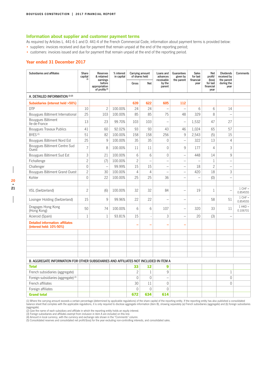### **Information about supplier and customer payment terms**

As required by Articles L. 441-6-1 and D. 441-4 of the French Commercial Code, information about payment terms is provided below:

- suppliers: invoices received and due for payment that remain unpaid at the end of the reporting period;
- customers: invoices issued and due for payment that remain unpaid at the end of the reporting period.

### **Year ended 31 December 2017**

| Subsidiaries and affiliates                                                           | Share<br>capital<br>(4) | Reserves<br>& retained<br>earnings                   | % interest<br>in capital | Carrying amount<br>of shares held |                          | Loans and<br>advances<br>receivable | Guarantees<br>given by<br>the parent | <b>Sales</b><br>for last<br>financial | <b>Net</b><br>profit/<br>(loss) | <b>Dividends</b><br>received by<br>the parent | Comments              |
|---------------------------------------------------------------------------------------|-------------------------|------------------------------------------------------|--------------------------|-----------------------------------|--------------------------|-------------------------------------|--------------------------------------|---------------------------------------|---------------------------------|-----------------------------------------------|-----------------------|
|                                                                                       |                         | before<br>appropriation<br>of profits <sup>(4)</sup> |                          | Gross                             | Net                      | by the<br>parent                    |                                      | year                                  | for last<br>financial<br>year   | during the<br>year                            |                       |
| A. DETAILED INFORMATION (1) (2)                                                       |                         |                                                      |                          |                                   |                          |                                     |                                      |                                       |                                 |                                               |                       |
| Subsidiaries (interest held >50%)                                                     |                         |                                                      |                          | 639                               | 622                      | 605                                 | 112                                  |                                       |                                 |                                               |                       |
| <b>DTP</b>                                                                            | 10                      | $\overline{c}$                                       | 100.00%                  | 24                                | 24                       | $\qquad \qquad -$                   | $\overline{\phantom{0}}$             | 6                                     | 6                               | 14                                            |                       |
| Bouygues Bâtiment International                                                       | 25                      | 103                                                  | 100.00%                  | 85                                | 85                       | 75                                  | 48                                   | 329                                   | 8                               |                                               |                       |
| Bouygues Bâtiment<br>Ile-de-France                                                    | 13                      | 23                                                   | 99.70%                   | 103                               | 103                      | $\overline{a}$                      | $\overline{\phantom{0}}$             | 1,532                                 | 47                              | 27                                            |                       |
| Bouygues Travaux Publics                                                              | 41                      | 60                                                   | 92.02%                   | 93                                | 93                       | 43                                  | 46                                   | 1,024                                 | 65                              | 57                                            |                       |
| BYES <sup>(5)</sup>                                                                   | 51                      | 82                                                   | 100.00%                  | 158                               | 158                      | 256                                 | $\mathsf 9$                          | 2,543                                 | (5)                             | 15                                            |                       |
| Bouygues Bâtiment Nord Est                                                            | 25                      | 9                                                    | 100.00%                  | 35                                | 35                       | 0                                   | $\overline{\phantom{0}}$             | 322                                   | 13                              | 4                                             |                       |
| Bouygues Bâtiment Centre Sud<br>Ouest                                                 | $\overline{7}$          | 8                                                    | 100.00%                  | 11                                | 11                       | $\overline{0}$                      | 9                                    | 177                                   | $\overline{4}$                  | 3                                             |                       |
| Bouygues Bâtiment Sud Est                                                             | 3                       | 21                                                   | 100.00%                  | 6                                 | 6                        | $\overline{0}$                      | $\overline{\phantom{0}}$             | 448                                   | 14                              | 9                                             |                       |
| Fichallenge                                                                           | $\overline{c}$          | (7)                                                  | 100.00%                  | $\overline{c}$                    | $\overline{\phantom{0}}$ | $\overline{a}$                      | $\overline{\phantom{0}}$             | $\overline{\phantom{0}}$              | $\mathbf{1}$                    | $\equiv$                                      |                       |
| Challenger                                                                            | $\mathbf{0}$            |                                                      | 99.99%                   | 15                                | 15                       | $\overline{\phantom{0}}$            | $\overline{\phantom{0}}$             | 18                                    | $\overline{c}$                  | $\overline{\phantom{0}}$                      |                       |
| Bouygues Bâtiment Grand Ouest                                                         | $\overline{c}$          | 30                                                   | 100.00%                  | $\overline{4}$                    | $\overline{4}$           | L,                                  | $\overline{\phantom{a}}$             | 420                                   | 18                              | 3                                             |                       |
| Kohler                                                                                | $\mathbf{0}$            | 22                                                   | 100.00%                  | 25                                | 25                       | 36                                  | $\overline{\phantom{0}}$             | $\overline{\phantom{0}}$              | (0)                             | $\overline{\phantom{0}}$                      |                       |
|                                                                                       |                         |                                                      |                          |                                   |                          |                                     |                                      |                                       |                                 |                                               |                       |
| VSL (Switzerland)                                                                     | $\overline{c}$          | (6)                                                  | 100.00%                  | 32                                | 32                       | 84                                  |                                      | 19                                    | $\mathbf{1}$                    |                                               | $1$ CHF =<br>0.854555 |
| Losinger Holding (Switzerland)                                                        | 15                      | 9                                                    | 99.96%                   | 22                                | 22                       | L,                                  |                                      |                                       | 58                              | 51                                            | $1$ CHF =<br>0.854555 |
| Dragages Hong Kong<br>(Hong Kong)                                                     | 50                      | 74                                                   | 100.00%                  | 6                                 | 6                        | 107                                 | $\overline{\phantom{0}}$             | 320                                   | 33                              | 11                                            | $1$ HKD =<br>0.106701 |
| Acieroid (Spain)                                                                      | $\mathbf{1}$            | $\mathbf{1}$                                         | 93.81%                   | 15                                | Ĭ.                       | 3                                   |                                      | 20                                    | (3)                             |                                               |                       |
| <b>Detailed information: affiliates</b><br>(interest held: 10%-50%)                   |                         |                                                      |                          |                                   |                          |                                     |                                      |                                       |                                 |                                               |                       |
|                                                                                       |                         |                                                      |                          |                                   |                          |                                     |                                      |                                       |                                 |                                               |                       |
|                                                                                       |                         |                                                      |                          |                                   |                          |                                     |                                      |                                       |                                 |                                               |                       |
|                                                                                       |                         |                                                      |                          |                                   |                          |                                     |                                      |                                       |                                 |                                               |                       |
|                                                                                       |                         |                                                      |                          |                                   |                          |                                     |                                      |                                       |                                 |                                               |                       |
|                                                                                       |                         |                                                      |                          |                                   |                          |                                     |                                      |                                       |                                 |                                               |                       |
| B. AGGREGATE INFORMATION FOR OTHER SUBSIDIARIES AND AFFILIATES NOT INCLUDED IN ITEM A |                         |                                                      |                          |                                   |                          |                                     |                                      |                                       |                                 |                                               |                       |
| <b>Total</b>                                                                          |                         |                                                      |                          | 33                                | 12                       | 9                                   |                                      |                                       |                                 |                                               |                       |
| French subsidiaries (aggregate)                                                       |                         |                                                      |                          | $\overline{c}$                    | $\mathbf{1}$             | 9                                   |                                      |                                       |                                 | 1                                             |                       |
| Foreign subsidiaries (aggregate) (3)                                                  |                         |                                                      |                          | $\mathbf 0$                       | $\Omega$                 | $\overline{\phantom{0}}$            |                                      |                                       |                                 | $\mathbf{0}$                                  |                       |
| French affiliates                                                                     |                         |                                                      |                          | 30                                | 11                       | $\overline{0}$                      |                                      |                                       |                                 | $\overline{0}$                                |                       |
| Foreign affiliates                                                                    |                         |                                                      |                          | $\mathbf{0}$                      | $\mathbf{0}$             | $\mathbf 0$                         |                                      |                                       |                                 |                                               |                       |
| <b>Grand total</b>                                                                    |                         |                                                      |                          | 672                               | 634                      | 614                                 |                                      |                                       |                                 |                                               |                       |

(1) Where the carrying amount exceeds a certain percentage (determined by applicable regulations) of the share capital of the reporting entity. If the reporting entity has also published a consolidated<br>balance sheet that c (aggregate).

(2) Give the name of each subsidiary and affiliate in which the reporting entity holds an equity interest.<br>(3) Foreign subsidiaries and affiliates exempt from inclusion in item A are included on this line.<br>(4) Amount in lo

(5) Consolidated reserves and consolidated net profit/(loss) for the year excluding non-controlling interests, and consolidated sales.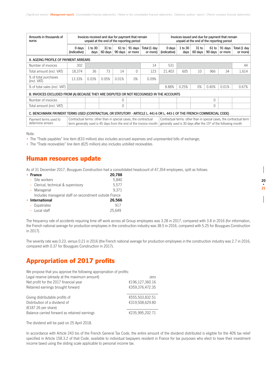| Amounts in thousands of<br>euros                                                                                        |                                                                 |                 |                             |                    | Invoices received and due for payment that remain<br>unpaid at the end of the reporting period |                                                                  |                                                                             | Invoices issued and due for payment that remain<br>unpaid at the end of the reporting period |                    |                  |                    |                                                                      |
|-------------------------------------------------------------------------------------------------------------------------|-----------------------------------------------------------------|-----------------|-----------------------------|--------------------|------------------------------------------------------------------------------------------------|------------------------------------------------------------------|-----------------------------------------------------------------------------|----------------------------------------------------------------------------------------------|--------------------|------------------|--------------------|----------------------------------------------------------------------|
|                                                                                                                         | 0 days<br>(indicative)                                          | 1 to 30<br>days | 31 <sub>to</sub><br>60 days | $61$ to<br>90 days | 91 days<br>or more                                                                             | Total (1 day<br>or more)                                         | 0 days<br>(indicative)                                                      | 1 to 30<br>days                                                                              | $31$ to<br>60 days | 61 to<br>90 days | 91 days<br>or more | Total (1 day<br>or more)                                             |
| A. AGEING PROFILE OF PAYMENT ARREARS                                                                                    |                                                                 |                 |                             |                    |                                                                                                |                                                                  |                                                                             |                                                                                              |                    |                  |                    |                                                                      |
| Number of invoices                                                                                                      | 302                                                             |                 |                             |                    |                                                                                                | 14                                                               | 531                                                                         |                                                                                              |                    |                  |                    | 44                                                                   |
| Total amount (incl. VAT)                                                                                                | 18,374                                                          | 36              | 73                          | 14                 |                                                                                                | 123                                                              | 21,403                                                                      | 605                                                                                          | 10                 | 966              | 34                 | 1,614                                                                |
| % of total purchases<br>(incl. VAT)                                                                                     | 13.33%                                                          | 0.03%           | 0.05%                       | 0.01%              | 0%                                                                                             | 0.09%                                                            |                                                                             |                                                                                              |                    |                  |                    |                                                                      |
| % of total sales (incl. VAT)                                                                                            | 8.88%<br>0.25%<br>0%<br>0.40%<br>0.01%                          |                 |                             |                    |                                                                                                |                                                                  | 0.67%                                                                       |                                                                                              |                    |                  |                    |                                                                      |
| B. INVOICES EXCLUDED FROM (A) BECAUSE THEY ARE DISPUTED OR NOT RECOGNISED IN THE ACCOUNTS                               |                                                                 |                 |                             |                    |                                                                                                |                                                                  |                                                                             |                                                                                              |                    |                  |                    |                                                                      |
| Number of invoices                                                                                                      |                                                                 |                 |                             | 0                  |                                                                                                |                                                                  |                                                                             |                                                                                              |                    |                  |                    |                                                                      |
| Total amount (incl. VAT)                                                                                                |                                                                 |                 |                             | 0                  |                                                                                                |                                                                  |                                                                             |                                                                                              |                    |                  |                    |                                                                      |
| C. BENCHMARK PAYMENT TERMS USED (CONTRACTUAL OR STATUTORY - ARTICLE L. 441-6 OR L. 443-1 OF THE FRENCH COMMERCIAL CODE) |                                                                 |                 |                             |                    |                                                                                                |                                                                  |                                                                             |                                                                                              |                    |                  |                    |                                                                      |
| Payment terms used to<br>determine arrears                                                                              | Contractual terms: other than in special cases, the contractual |                 |                             |                    |                                                                                                | term generally used is 45 days from the end of the invoice month | generally used is 30 days after the 15 <sup>th</sup> of the following month |                                                                                              |                    |                  |                    | Contractual terms: other than in special cases, the contractual term |

Note:

• The "Trade payables" line item (€33 million) also includes accrued expenses and unpresented bills of exchange;

• The "Trade receivables" line item (€25 million) also includes unbilled receivables.

### Human resources update

As of 31 December 2017, Bouygues Construction had a consolidated headcount of 47,354 employees, split as follows:

| <b>France</b>                                          | 20,788 |
|--------------------------------------------------------|--------|
| - Site workers                                         | 5,840  |
| - Clerical, technical & supervisory                    | 5.577  |
| - Managerial                                           | 9.371  |
| Includes managerial staff on secondment outside France |        |
| • International                                        | 26,566 |
| - Expatriates                                          | 917    |
| - Local staff                                          | 25.649 |

The frequency rate of accidents requiring time off work across all Group employees was 3.28 in 2017, compared with 3.8 in 2016 (for information, the French national average for production employees in the construction industry was 38.5 in 2016, compared with 5.25 for Bouygues Construction in 2017).

The severity rate was 0.23, versus 0.21 in 2016 (the French national average for production employees in the construction industry was 2.7 in 2016, compared with 0.37 for Bouygues Construction in 2017).

### Appropriation of 2017 profits

| We propose that you approve the following appropriation of profits: |                 |  |  |  |  |
|---------------------------------------------------------------------|-----------------|--|--|--|--|
| Legal reserve (already at the maximum amount)                       | zero            |  |  |  |  |
| Net profit for the 2017 financial year                              | €196,127,360.16 |  |  |  |  |
| Retained earnings brought forward                                   | €359,376,472.35 |  |  |  |  |
|                                                                     |                 |  |  |  |  |
| Giving distributable profits of                                     | €555,503,832.51 |  |  |  |  |
| Distribution of a dividend of                                       | €319,508,629.80 |  |  |  |  |
| $(£187.26$ per share)                                               |                 |  |  |  |  |
| Balance carried forward as retained earnings                        | €235,995,202.71 |  |  |  |  |

The dividend will be paid on 25 April 2018.

In accordance with Article 243 bis of the French General Tax Code, the entire amount of the dividend distributed is eligible for the 40% tax relief specified in Article 158.3.2 of that Code, available to individual taxpayers resident in France for tax purposes who elect to have their investment income taxed using the sliding scale applicable to personal income tax.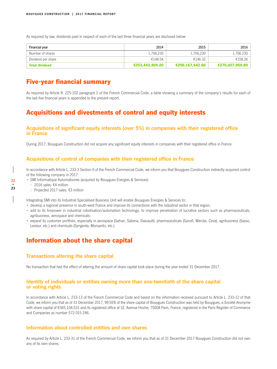As required by law, dividends paid in respect of each of the last three financial years are disclosed below:

| Financial year        | 2014            | 2015            | 2016            |
|-----------------------|-----------------|-----------------|-----------------|
| Number of shares      | 1,706,230       | 1,706,230       | l.706.230 l     |
| Dividend per share    | €148.54         | €146.32         | €158.26         |
| <b>Total dividend</b> | €253,443,404.20 | €250.167.442.60 | €270,027,959.80 |

### Five-year financial summary

As required by Article R. 225-102 paragraph 2 of the French Commercial Code, a table showing a summary of the company's results for each of the last five financial years is appended to the present report.

### Acquisitions and divestments of control and equity interests

### **Acquisitions of significant equity interests (over 5%) in companies with their registered office in France**

During 2017, Bouygues Construction did not acquire any significant equity interests in companies with their registered office in France.

### **Acquisitions of control of companies with their registered office in France**

In accordance with Article L. 233-3 Section II of the French Commercial Code, we inform you that Bouygues Construction indirectly acquired control of the following company in 2017:

- SMI Informatique Automatismes (acquired by Bouygues Energies & Services):
	- **-** 2016 sales: €4 million
	- **-** Projected 2017 sales: €3 million

Integrating SMI into its Industrial Specialised Business Unit will enable Bouygues Energies & Services to:

- develop a regional presence in south-west France and improve its connections with the industrial sector in that region;
- add to its firepower in industrial robotisation/automation technology, to improve penetration of lucrative sectors such as pharmaceuticals, agribusiness, aerospace and chemicals;
- expand its customer portfolio, especially in aerospace (Safran, Sabena, Dassault), pharmaceuticals (Sanofi, Merckx, Ceva), agribusiness (Sasso, Lesieur, etc.) and chemicals (Syngenta, Monsanto, etc.).

### Information about the share capital

### **Transactions altering the share capital**

No transaction that had the effect of altering the amount of share capital took place during the year ended 31 December 2017.

### **Identity of individuals or entities owning more than one-twentieth of the share capital or voting rights**

In accordance with Article L. 233-13 of the French Commercial Code and based on the information received pursuant to Article L. 233-12 of that Code, we inform you that as of 31 December 2017, 99.93% of the share capital of Bouygues Construction was held by Bouygues, a *Société Anonyme*  with share capital of €365,104,531 and its registered office at 32, Avenue Hoche, 75008 Paris, France, registered in the Paris Register of Commerce and Companies as number 572 015 246.

### **Information about controlled entities and own shares**

As required by Article L. 233-31 of the French Commercial Code, we inform you that as of 31 December 2017 Bouygues Construction did not own any of its own shares.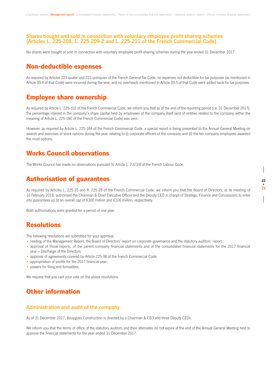### **Shares bought and sold in connection with voluntary employee profit-sharing schemes (Articles L. 225-208, L. 225-209-2 and L. 225-211 of the French Commercial Code)**

No shares were bought or sold in connection with voluntary employee profit-sharing schemes during the year ended 31 December 2017.

### Non-deductible expenses

As required by Articles 223 quater and 223 *quinquies* of the French General Tax Code, no expenses not deductible for tax purposes (as mentioned in Article 39.4 of that Code) were incurred during the year, and no overheads mentioned in Article 39.5 of that Code were added back for tax purposes.

### Employee share ownership

As required by Article L. 225-102 of the French Commercial Code, we inform you that as of the end of the reporting period (i.e. 31 December 2017), the percentage interest in the company's share capital held by employees of the company itself (and of entities related to the company within the meaning of Article L. 225-180 of the French Commercial Code) was zero.

However, as required by Article L. 225-184 of the French Commercial Code, a special report is being presented to the Annual General Meeting on awards and exercises of stock options during the year, relating to (i) corporate officers of the company and (ii) the ten company employees awarded the most options.

### Works Council observations

The Works Council has made no observations pursuant to Article L. 2323-8 of the French Labour Code.

### Authorisation of guarantees

As required by Articles L. 225-35 and R. 225-28 of the French Commercial Code, we inform you that the Board of Directors, at its meeting of 16 February 2018, authorised the Chairman & Chief Executive Officer and the Deputy CEO in charge of Strategy, Finance and Concessions to enter into guarantees up to an overall cap of €300 million and €100 million, respectively.

Both authorisations were granted for a period of one year.

### **Resolutions**

The following resolutions are submitted for your approval:

- reading of the Management Report, the Board of Directors' report on corporate governance and the statutory auditors' report;
- approval of those reports, of the parent company financial statements and of the consolidated financial statements for the 2017 financial year – Discharge of the Directors;
- approval of agreements covered by Article 225-38 of the French Commercial Code;
- appropriation of profits for the 2017 financial year;
- powers for filing and formalities.

We request that you cast your vote on the above resolutions.

### Other information

### **Administration and audit of the company**

As of 31 December 2017, Bouygues Construction is directed by a Chairman & CEO and three Deputy CEOs.

We inform you that the terms of office of the statutory auditors and their alternates do not expire at the end of the Annual General Meeting held to approve the financial statements for the year ended 31 December 2017.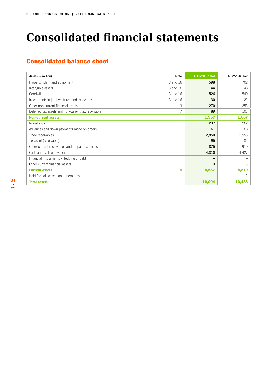## **Consolidated financial statements**

### Consolidated balance sheet

| Assets ( $\varepsilon$ million)                    | <b>Note</b> | 31/12/2017 Net           | 31/12/2016 Net |
|----------------------------------------------------|-------------|--------------------------|----------------|
| Property, plant and equipment                      | 3 and 16    | 598                      | 702            |
| Intangible assets                                  | 3 and 16    | 44                       | 48             |
| Goodwill                                           | 3 and 16    | 526                      | 540            |
| Investments in joint ventures and associates       | 3 and 16    | 30                       | 21             |
| Other non-current financial assets                 | 3           | 270                      | 253            |
| Deferred tax assets and non-current tax receivable |             | 89                       | 103            |
| <b>Non-current assets</b>                          |             | 1,557                    | 1,667          |
| Inventories                                        |             | 237                      | 262            |
| Advances and down-payments made on orders          |             | 161                      | 168            |
| Trade receivables                                  |             | 2,850                    | 2,955          |
| Tax asset (receivable)                             |             | 95                       | 84             |
| Other current receivables and prepaid expenses     |             | 875                      | 910            |
| Cash and cash equivalents                          |             | 4,310                    | 4 4 2 7        |
| Financial instruments - Hedging of debt            |             | $\overline{\phantom{0}}$ |                |
| Other current financial assets                     |             | 9                        | 13             |
| <b>Current assets</b>                              | 4           | 8,537                    | 8,819          |
| Held-for-sale assets and operations                |             | -                        | 2              |
| <b>Total assets</b>                                |             | 10,094                   | 10,488         |

 $\overline{\phantom{a}}$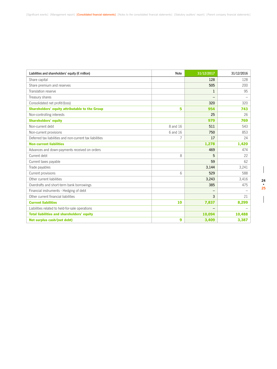| Liabilities and shareholders' equity ( $\epsilon$ million) | <b>Note</b> | 31/12/2017        | 31/12/2016 |
|------------------------------------------------------------|-------------|-------------------|------------|
| Share capital                                              |             | 128               | 128        |
| Share premium and reserves                                 |             | 505               | 200        |
| Translation reserve                                        |             | $\mathbf{1}$      | 95         |
| Treasury shares                                            |             |                   |            |
| Consolidated net profit/(loss)                             |             | 320               | 320        |
| <b>Shareholders' equity attributable to the Group</b>      | 5           | 954               | 743        |
| Non-controlling interests                                  |             | 25                | 26         |
| <b>Shareholders' equity</b>                                |             | 979               | 769        |
| Non-current debt                                           | 8 and 16    | 511               | 543        |
| Non-current provisions                                     | 6 and 16    | 750               | 853        |
| Deferred tax liabilities and non-current tax liabilities   | 7           | 17                | 24         |
| <b>Non-current liabilities</b>                             |             | 1,278             | 1,420      |
| Advances and down-payments received on orders              |             | 469               | 474        |
| Current debt                                               | 8           | 5                 | 22         |
| Current taxes payable                                      |             | 59                | 62         |
| Trade payables                                             |             | 3.144             | 3,241      |
| Current provisions                                         | 6           | 529               | 588        |
| Other current liabilities                                  |             | 3,243             | 3,416      |
| Overdrafts and short-term bank borrowings                  |             | 385               | 475        |
| Financial instruments - Hedging of debt                    |             | $\qquad \qquad -$ |            |
| Other current financial liabilities                        |             | 3                 | 21         |
| <b>Current liabilities</b>                                 | 10          | 7,837             | 8,299      |
| Liabilities related to held-for-sale operations            |             |                   |            |
| <b>Total liabilities and shareholders' equity</b>          |             | 10,094            | 10,488     |
| Net surplus cash/(net debt)                                | 9           | 3,409             | 3,387      |

 $\begin{array}{c} \hline \end{array}$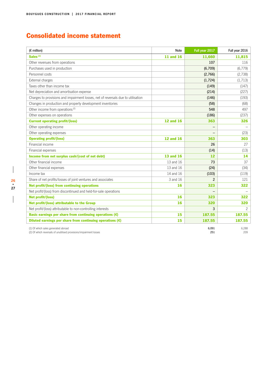### Consolidated income statement

| $(E \text{ million})$                                                                                    | <b>Note</b>      | Full year 2017 | Full year 2016 |
|----------------------------------------------------------------------------------------------------------|------------------|----------------|----------------|
| Sales <sup>(1)</sup>                                                                                     | <b>11 and 16</b> | 11,660         | 11,815         |
| Other revenues from operations                                                                           |                  | 107            | 116            |
| Purchases used in production                                                                             |                  | (6,709)        | (6.779)        |
| Personnel costs                                                                                          |                  | (2,766)        | (2,738)        |
| External charges                                                                                         |                  | (1,724)        | (1,713)        |
| Taxes other than income tax                                                                              |                  | (149)          | (147)          |
| Net depreciation and amortisation expense                                                                |                  | (214)          | (227)          |
| Charges to provisions and impairment losses, net of reversals due to utilisation                         |                  | (146)          | (193)          |
| Changes in production and property development inventories                                               |                  | (58)           | (68)           |
| Other income from operations <sup>(2)</sup>                                                              |                  | 548            | 497            |
| Other expenses on operations                                                                             |                  | (186)          | (237)          |
| <b>Current operating profit/(loss)</b>                                                                   | <b>12 and 16</b> | 363            | 326            |
| Other operating income                                                                                   |                  | —              |                |
| Other operating expenses                                                                                 |                  | -              | (23)           |
| <b>Operating profit/(loss)</b>                                                                           | <b>12 and 16</b> | 363            | 303            |
| Financial income                                                                                         |                  | 26             | 27             |
| Financial expenses                                                                                       |                  | (14)           | (13)           |
| Income from net surplus cash/(cost of net debt)                                                          | <b>13 and 16</b> | 12             | 14             |
| Other financial income                                                                                   | 13 and 16        | 73             | 37             |
| Other financial expenses                                                                                 | 13 and 16        | (24)           | (34)           |
| Income tax                                                                                               | 14 and 16        | (103)          | (119)          |
| Share of net profits/losses of joint ventures and associates                                             | 3 and 16         | $\overline{2}$ | 121            |
| Net profit/(loss) from continuing operations                                                             | 16               | 323            | 322            |
| Net profit/(loss) from discontinued and held-for-sale operations                                         |                  |                |                |
| Net profit/(loss)                                                                                        | 16               | 323            | 322            |
| Net profit/(loss) attributable to the Group                                                              | 16               | 320            | 320            |
| Net profit/(loss) attributable to non-controlling interests                                              |                  | 3              | $\overline{c}$ |
| Basic earnings per share from continuing operations $(\epsilon)$                                         | 15               | 187.55         | 187.55         |
| Diluted earnings per share from continuing operations $(\epsilon)$                                       | 15               | 187.55         | 187.55         |
| (1) Of which sales generated abroad<br>(2) Of which reversals of unutilised provisions/impairment losses |                  | 6,091<br>251   | 6,288<br>209   |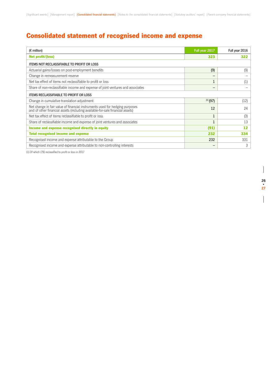### Consolidated statement of recognised income and expense

| $(E \text{ million})$                                                                                                                                        | Full year 2017 | Full year 2016   |
|--------------------------------------------------------------------------------------------------------------------------------------------------------------|----------------|------------------|
| Net profit/(loss)                                                                                                                                            | 323            | 322              |
| <b>ITEMS NOT RECLASSIFIABLE TO PROFIT OR LOSS</b>                                                                                                            |                |                  |
| Actuarial gains/losses on post-employment benefits                                                                                                           | (9)            | (9)              |
| Change in remeasurement reserve                                                                                                                              |                |                  |
| Net tax effect of items not reclassifiable to profit or loss                                                                                                 |                | $\left(1\right)$ |
| Share of non-reclassifiable income and expense of joint ventures and associates                                                                              |                |                  |
| <b>ITEMS RECLASSIFIABLE TO PROFIT OR LOSS</b>                                                                                                                |                |                  |
| Change in cumulative translation adjustment                                                                                                                  | $(1)$ (97)     | (12)             |
| Net change in fair value of financial instruments used for hedging purposes<br>and of other financial assets (including available-for-sale financial assets) | 12             | 24               |
| Net tax effect of items reclassifiable to profit or loss                                                                                                     |                | (3)              |
| Share of reclassifiable income and expense of joint ventures and associates                                                                                  |                | 13               |
| Income and expense recognised directly in equity                                                                                                             | (91)           | 12               |
| <b>Total recognised income and expense</b>                                                                                                                   | 232            | 334              |
| Recognised income and expense attributable to the Group                                                                                                      | 232            | 331              |
| Recognised income and expense attributable to non-controlling interests                                                                                      | -              | 3                |

(1) Of which (79) reclassified to profit or loss in 2017

 $\overline{\phantom{a}}$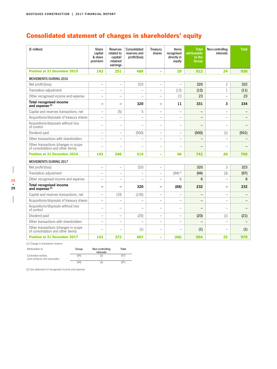### Consolidated statement of changes in shareholders' equity

| $(E \text{ million})$                                                     | Share<br>capital<br>& share<br>premium | <b>Reserves</b><br>related to<br>capital/<br>retained<br>earnings | Consolidated<br>reserves and<br>profit/(loss) | Treasury<br>shares       | Items<br>recognised<br>directly in<br>equity | <b>Total</b><br><b>attributable</b><br>to the<br>Group | Non-controlling<br>interests | <b>Total</b>             |
|---------------------------------------------------------------------------|----------------------------------------|-------------------------------------------------------------------|-----------------------------------------------|--------------------------|----------------------------------------------|--------------------------------------------------------|------------------------------|--------------------------|
| <b>Position at 31 December 2015</b>                                       | 143                                    | 251                                                               | 489                                           | ÷                        | 29                                           | 912                                                    | 24                           | 936                      |
| <b>MOVEMENTS DURING 2016</b>                                              |                                        |                                                                   |                                               |                          |                                              |                                                        |                              |                          |
| Net profit/(loss)                                                         | $\qquad \qquad -$                      | $\overline{\phantom{0}}$                                          | 320                                           | $\overline{\phantom{0}}$ | $\overline{\phantom{a}}$                     | 320                                                    | $\overline{c}$               | 322                      |
| Translation adjustment                                                    | $\equiv$                               | $\overline{\phantom{0}}$                                          | $\equiv$                                      | $=$                      | (12)                                         | (12)                                                   | 1                            | (11)                     |
| Other recognised income and expense                                       | $\overline{\phantom{0}}$               | $\overline{\phantom{a}}$                                          |                                               | $\overline{\phantom{0}}$ | 23                                           | 23                                                     | $\overline{\phantom{0}}$     | 23                       |
| <b>Total recognised income</b><br>and expense <sup>(2)</sup>              |                                        | $\overline{\phantom{0}}$                                          | 320                                           |                          | 11                                           | 331                                                    | 3                            | 334                      |
| Capital and reserves transactions, net                                    | $=$                                    | (5)                                                               | 5                                             | $\overline{\phantom{0}}$ | $\overline{\phantom{0}}$                     |                                                        |                              |                          |
| Acquisitions/disposals of treasury shares                                 | $\overline{\phantom{0}}$               |                                                                   |                                               | $\overline{\phantom{0}}$ |                                              |                                                        |                              |                          |
| Acquisitions/disposals without loss<br>of control                         | $\equiv$                               | $\overline{\phantom{0}}$                                          | $\overline{\phantom{0}}$                      | $\equiv$                 | $\overline{\phantom{0}}$                     |                                                        |                              |                          |
| Dividend paid                                                             | $\overline{\phantom{0}}$               | $\overline{\phantom{0}}$                                          | (500)                                         | $\overline{\phantom{0}}$ | $\overline{\phantom{0}}$                     | (500)                                                  | (1)                          | (501)                    |
| Other transactions with shareholders                                      | $\overline{\phantom{0}}$               | Ē,                                                                |                                               | -                        | $\overline{\phantom{0}}$                     |                                                        |                              |                          |
| Other transactions (changes in scope<br>of consolidation and other items) |                                        |                                                                   |                                               |                          |                                              |                                                        |                              |                          |
| <b>Position at 31 December 2016</b>                                       | 143                                    | 246                                                               | 314                                           | ÷                        | 40                                           | 743                                                    | 26                           | 769                      |
| <b>MOVEMENTS DURING 2017</b>                                              |                                        |                                                                   |                                               |                          |                                              |                                                        |                              |                          |
| Net profit/(loss)                                                         | $\overline{\phantom{0}}$               | $\equiv$                                                          | 320                                           | $\equiv$                 |                                              | 320                                                    | 3                            | 323                      |
| Translation adjustment                                                    | $\equiv$                               |                                                                   |                                               | $\overline{\phantom{0}}$ | $(94)^{(1)}$                                 | (94)                                                   | (3)                          | (97)                     |
| Other recognised income and expense                                       | $\overline{\phantom{0}}$               | $\overline{\phantom{a}}$                                          | $\overline{\phantom{a}}$                      | $\equiv$                 | 6                                            | 6                                                      | $\frac{1}{2}$                | 6                        |
| <b>Total recognised income</b><br>and expense <sup>(2)</sup>              | -                                      | $\overline{\phantom{0}}$                                          | 320                                           | -                        | (88)                                         | 232                                                    |                              | 232                      |
| Capital and reserves transactions, net                                    | $\overline{\phantom{0}}$               | 126                                                               | (126)                                         | $\overline{\phantom{0}}$ |                                              |                                                        | $\overline{\phantom{0}}$     |                          |
| Acquisitions/disposals of treasury shares                                 | $\overline{\phantom{0}}$               | L,                                                                |                                               | $\overline{\phantom{0}}$ | $\overline{\phantom{0}}$                     | -                                                      | $\overline{\phantom{0}}$     | —                        |
| Acquisitions/disposals without loss<br>of control                         | -                                      | $\overline{\phantom{0}}$                                          | ÷                                             | $\overline{\phantom{0}}$ | $\overline{\phantom{0}}$                     | $\overline{\phantom{0}}$                               |                              | $\overline{\phantom{0}}$ |
| Dividend paid                                                             | $\overline{\phantom{0}}$               | $\qquad \qquad -$                                                 | (20)                                          | $\overline{\phantom{0}}$ | $\qquad \qquad -$                            | (20)                                                   | (1)                          | (21)                     |
| Other transactions with shareholders                                      | -                                      | $\overline{\phantom{a}}$                                          | $\overline{\phantom{a}}$                      | $=$                      |                                              | $\overline{\phantom{0}}$                               | $\equiv$                     |                          |
| Other transactions (changes in scope<br>of consolidation and other items) | -                                      | $\overline{\phantom{a}}$                                          | (1)                                           |                          | $\overline{\phantom{0}}$                     | (1)                                                    |                              | (1)                      |
| <b>Position at 31 December 2017</b>                                       | 143                                    | 372                                                               | 487                                           | ÷                        | (48)                                         | 954                                                    | 25                           | 979                      |

(1) Change in translation reserve

| Attributable to:              | Group | Non-controlling<br>interests | Total |
|-------------------------------|-------|------------------------------|-------|
| Controlled entities           | (94)  | (3)                          | (97)  |
| Joint ventures and associates |       |                              |       |
|                               | (94)  | (3)                          | (97)  |

(2) See statement of recognised income and expense

 $\overline{\phantom{a}}$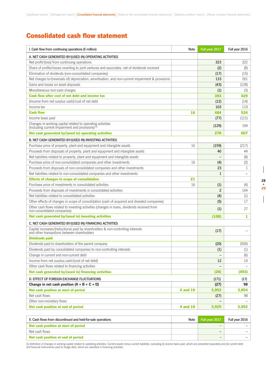### Consolidated cash flow statement

| I. Cash flow from continuing operations ( $\epsilon$ million)                                                                  | <b>Note</b>     | Full year 2017 | Full year 2016 |
|--------------------------------------------------------------------------------------------------------------------------------|-----------------|----------------|----------------|
| A. NET CASH GENERATED BY/(USED IN) OPERATING ACTIVITIES                                                                        |                 |                |                |
| Net profit/(loss) from continuing operations                                                                                   |                 | 323            | 322            |
| Share of profits/losses reverting to joint ventures and associates, net of dividends received                                  |                 | (2)            | (8)            |
| Elimination of dividends (non-consolidated companies)                                                                          |                 | (17)           | (15)           |
| Net charges to/(reversals of) depreciation, amortisation, and non-current impairment & provisions                              |                 | 133            | 261            |
| Gains and losses on asset disposals                                                                                            |                 | (43)           | (128)          |
| Miscellaneous non-cash charges                                                                                                 |                 | (1)            | (3)            |
| Cash flow after cost of net debt and income tax                                                                                |                 | 393            | 429            |
| (Income from net surplus cash)/cost of net debt                                                                                |                 | (12)           | (14)           |
| Income tax                                                                                                                     |                 | 103            | 119            |
| <b>Cash flow</b>                                                                                                               | 16              | 484            | 534            |
| Income taxes paid                                                                                                              |                 | (77)           | (121)          |
| Changes in working capital related to operating activities<br>(including current impairment and provisions) $(1)$              |                 | (129)          | 194            |
| Net cash generated by/(used in) operating activities                                                                           |                 | 278            | 607            |
| B. NET CASH GENERATED BY/(USED IN) INVESTING ACTIVITIES                                                                        |                 |                |                |
| Purchase price of property, plant and equipment and intangible assets                                                          | 16              | (159)          | (217)          |
| Proceeds from disposals of property, plant and equipment and intangible assets                                                 |                 | 40             | 44             |
| Net liabilities related to property, plant and equipment and intangible assets                                                 |                 |                | (8)            |
| Purchase price of non-consolidated companies and other investments                                                             | 16              | (4)            | (2)            |
| Proceeds from disposals of non-consolidated companies and other investments                                                    |                 | 23             | 1              |
| Net liabilities related to non-consolidated companies and other investments                                                    |                 | 1              |                |
| <b>Effects of changes in scope of consolidation</b>                                                                            | 21              |                |                |
| Purchase price of investments in consolidated activities                                                                       | 16              | (1)            | (4)            |
| Proceeds from disposals of investments in consolidated activities                                                              |                 | $\overline{2}$ | 144            |
| Net liabilities related to consolidated activities                                                                             |                 | (4)            | (1)            |
| Other effects of changes in scope of consolidation (cash of acquired and divested companies)                                   |                 | (5)            | 17             |
| Other cash flows related to investing activities (changes in loans, dividends received from<br>non-consolidated companies)     |                 | (1)            | 27             |
| Net cash generated by/(used in) investing activities                                                                           |                 | (108)          | 1              |
| C. NET CASH GENERATED BY/(USED IN) FINANCING ACTIVITIES                                                                        |                 |                |                |
| Capital increases/(reductions) paid by shareholders & non-controlling interests<br>and other transactions between shareholders |                 | (17)           |                |
| <b>Dividends paid</b>                                                                                                          |                 |                |                |
| Dividends paid to shareholders of the parent company                                                                           |                 | (20)           | (500)          |
| Dividends paid by consolidated companies to non-controlling interests                                                          |                 | (1)            | (1)            |
| Change in current and non-current debt                                                                                         |                 |                | (6)            |
| Income from net surplus cash/(cost of net debt)                                                                                |                 | 12             | 14             |
| Other cash flows related to financing activities                                                                               |                 |                |                |
| Net cash generated by/(used in) financing activities                                                                           |                 | (26)           | (493)          |
| D. EFFECT OF FOREIGN EXCHANGE FLUCTUATIONS                                                                                     |                 | (171)          | (17)           |
| Change in net cash position $(A + B + C + D)$                                                                                  |                 | (27)           | 98             |
| Net cash position at start of period                                                                                           | <b>4 and 10</b> | 3,952          | 3,854          |
| Net cash flows                                                                                                                 |                 | (27)           | 98             |
| Other non-monetary flows                                                                                                       |                 |                |                |
| Net cash position at end of period                                                                                             | <b>4 and 10</b> | 3,925          | 3,952          |
|                                                                                                                                |                 |                |                |

| II. Cash flows from discontinued and held-for-sale operations | Note | Full vear 2017 | Full vear 2016 |
|---------------------------------------------------------------|------|----------------|----------------|
| Net cash position at start of period                          |      |                |                |
| Net cash flows                                                |      | –              |                |
| Net cash position at end of period                            |      |                |                |

(1) Definition of changes in working capital related to operating activities: Current assets minus current liabilities, excluding (i) income taxes paid, which are presented separately and (ii) current debt<br>and financial in

 $\overline{\phantom{a}}$ 

 $\begin{array}{c} \hline \end{array}$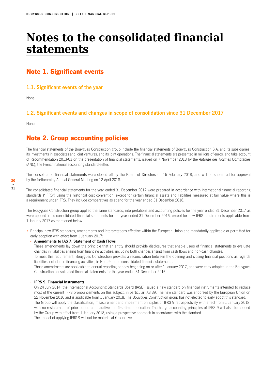## **Notes to the consolidated financial statements**

### Note 1. Significant events

### **1.1. Significant events of the year**

None.

### **1.2. Significant events and changes in scope of consolidation since 31 December 2017**

None.

### Note 2. Group accounting policies

The financial statements of the Bouygues Construction group include the financial statements of Bouygues Construction S.A. and its subsidiaries, its investments in associates and joint ventures, and its joint operations. The financial statements are presented in millions of euros, and take account of Recommendation 2013-03 on the presentation of financial statements, issued on 7 November 2013 by the Autorité des Normes Comptables (ANC), the French national accounting standard-setter.

The consolidated financial statements were closed off by the Board of Directors on 16 February 2018, and will be submitted for approval by the forthcoming Annual General Meeting on 12 April 2018.

The consolidated financial statements for the year ended 31 December 2017 were prepared in accordance with international financial reporting standards ("IFRS") using the historical cost convention, except for certain financial assets and liabilities measured at fair value where this is a requirement under IFRS. They include comparatives as at and for the year ended 31 December 2016.

The Bouygues Construction group applied the same standards, interpretations and accounting policies for the year ended 31 December 2017 as were applied in its consolidated financial statements for the year ended 31 December 2016, except for new IFRS requirements applicable from 1 January 2017 as mentioned below.

• Principal new IFRS standards, amendments and interpretations effective within the European Union and mandatorily applicable or permitted for early adoption with effect from 1 January 2017:

### **- Amendments to IAS 7: Statement of Cash Flows**

These amendments lay down the principle that an entity should provide disclosures that enable users of financial statements to evaluate changes in liabilities arising from financing activities, including both changes arising from cash flows and non-cash changes.

To meet this requirement, Bouygues Construction provides a reconciliation between the opening and closing financial positions as regards liabilities included in financing activities, in Note 9 to the consolidated financial statements.

Those amendments are applicable to annual reporting periods beginning on or after 1 January 2017, and were early adopted in the Bouygues Construction consolidated financial statements for the year ended 31 December 2016.

### **- IFRS 9: Financial Instruments**

On 24 July 2014, the International Accounting Standards Board (IASB) issued a new standard on financial instruments intended to replace most of the current IFRS pronouncements on this subject, in particular IAS 39. The new standard was endorsed by the European Union on 22 November 2016 and is applicable from 1 January 2018. The Bouygues Construction group has not elected to early adopt this standard.

The Group will apply the classification, measurement and impairment principles of IFRS 9 retrospectively with effect from 1 January 2018, with no restatement of prior period comparatives on first-time application. The hedge accounting principles of IFRS 9 will also be applied by the Group with effect from 1 January 2018, using a prospective approach in accordance with the standard. The impact of applying IFRS 9 will not be material at Group level.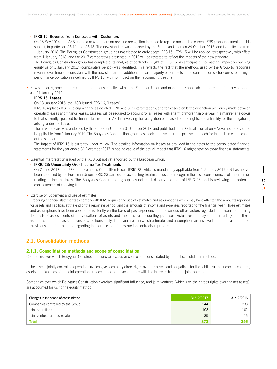### **- IFRS 15: Revenue from Contracts with Customers**

On 28 May 2014, the IASB issued a new standard on revenue recognition intended to replace most of the current IFRS pronouncements on this subject, in particular IAS 11 and IAS 18. The new standard was endorsed by the European Union on 29 October 2016, and is applicable from 1 January 2018. The Bouygues Construction group has not elected to early adopt IFRS 15. IFRS 15 will be applied retrospectively with effect from 1 January 2018, and the 2017 comparatives presented in 2018 will be restated to reflect the impacts of the new standard.

The Bouygues Construction group has completed its analysis of contracts in light of IFRS 15. As anticipated, no material impact on opening equity as of 1 January 2017 (comparative period) was identified. This reflects the fact that the methods used by the Group to recognise revenue over time are consistent with the new standard. In addition, the vast majority of contracts in the construction sector consist of a single performance obligation as defined by IFRS 15, with no impact on their accounting treatment.

• New standards, amendments and interpretations effective within the European Union and mandatorily applicable or permitted for early adoption as of 1 January 2019:

#### **- IFRS 16: Leases**

On 13 January 2016, the IASB issued IFRS 16, "Leases".

IFRS 16 replaces IAS 17, along with the associated IFRIC and SIC interpretations, and for lessees ends the distinction previously made between operating leases and finance leases. Lessees will be required to account for all leases with a term of more than one year in a manner analogous to that currently specified for finance leases under IAS 17, involving the recognition of an asset for the rights, and a liability for the obligations, arising under the lease.

The new standard was endorsed by the European Union on 31 October 2017 (and published in the Official Journal on 9 November 2017), and is applicable from 1 January 2019. The Bouygues Construction group has elected to use the retrospective approach for the first-time application of the standard.

The impact of IFRS 16 is currently under review. The detailed information on leases as provided in the notes to the consolidated financial statements for the year ended 31 December 2017 is not indicative of the actual impact that IFRS 16 might have on those financial statements.

• Essential interpretation issued by the IASB but not yet endorsed by the European Union:

### **- IFRIC 23: Uncertainty Over Income Tax Treatments**

On 7 June 2017, the IFRS Interpretations Committee issued IFRIC 23, which is mandatorily applicable from 1 January 2019 and has not yet been endorsed by the European Union. IFRIC 23 clarifies the accounting treatments used to recognise the fiscal consequences of uncertainties relating to income taxes. The Bouygues Construction group has not elected early adoption of IFRIC 23, and is reviewing the potential consequences of applying it.

• Exercise of judgement and use of estimates:

Preparing financial statements to comply with IFRS requires the use of estimates and assumptions which may have affected the amounts reported for assets and liabilities at the end of the reporting period, and the amounts of income and expenses reported for the financial year. Those estimates and assumptions have been applied consistently on the basis of past experience and of various other factors regarded as reasonable forming the basis of assessments of the valuations of assets and liabilities for accounting purposes. Actual results may differ materially from these estimates if different assumptions or conditions apply. The main areas in which estimates and assumptions are involved are the measurement of provisions, and forecast data regarding the completion of construction contracts in progress.

### **2.1. Consolidation methods**

### **2.1.1. Consolidation methods and scope of consolidation**

Companies over which Bouygues Construction exercises exclusive control are consolidated by the full consolidation method.

In the case of jointly controlled operations (which give each party direct rights over the assets and obligations for the liabilities), the income, expenses, assets and liabilities of the joint operation are accounted for in accordance with the interests held in the joint operation.

Companies over which Bouygues Construction exercises significant influence, and joint ventures (which give the parties rights over the net assets), are accounted for using the equity method.

| Changes in the scope of consolidation | 31/12/2017 | 31/12/2016       |
|---------------------------------------|------------|------------------|
| Companies controlled by the Group     | 244        | 238              |
| Joint operations                      | 103        | 102 <sub>1</sub> |
| Joint ventures and associates         | 25         | 16               |
| <b>Total</b>                          | 372        |                  |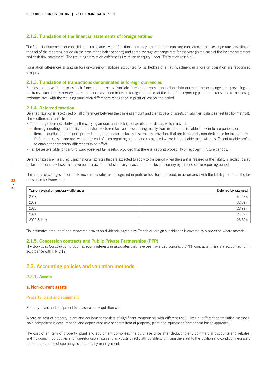### **2.1.2. Translation of the financial statements of foreign entities**

The financial statements of consolidated subsidiaries with a functional currency other than the euro are translated at the exchange rate prevailing at the end of the reporting period (in the case of the balance sheet) and at the average exchange rate for the year (in the case of the income statement and cash flow statement). The resulting translation differences are taken to equity under "Translation reserve".

Translation differences arising on foreign-currency liabilities accounted for as hedges of a net investment in a foreign operation are recognised in equity.

### **2.1.3. Translation of transactions denominated in foreign currencies**

Entities that have the euro as their functional currency translate foreign-currency transactions into euros at the exchange rate prevailing on the transaction date. Monetary assets and liabilities denominated in foreign currencies at the end of the reporting period are translated at the closing exchange rate, with the resulting translation differences recognised in profit or loss for the period.

### **2.1.4. Deferred taxation**

Deferred taxation is recognised on all differences between the carrying amount and the tax base of assets or liabilities (balance sheet liability method). These differences arise from:

• Temporary differences between the carrying amount and tax base of assets or liabilities, which may be:

- **-** items generating a tax liability in the future (deferred tax liabilities), arising mainly from income that is liable to tax in future periods, or;
- **-** items deductible from taxable profits in the future (deferred tax assets), mainly provisions that are temporarily non-deductible for tax purposes. Deferred tax assets are reviewed at the end of each reporting period, and recognised where it is probable there will be sufficient taxable profits to enable the temporary differences to be offset;
- Tax losses available for carry-forward (deferred tax assets), provided that there is a strong probability of recovery in future periods.

Deferred taxes are measured using national tax rates that are expected to apply to the period when the asset is realised or the liability is settled, based on tax rates (and tax laws) that have been enacted or substantively enacted in the relevant country by the end of the reporting period.

The effects of changes in corporate income tax rates are recognised in profit or loss for the period, in accordance with the liability method. The tax rates used for France are:

| Year of reversal of temporary differences | Deferred tax rate used |
|-------------------------------------------|------------------------|
| 2018                                      | 34.43%                 |
| 2019                                      | 32.02%                 |
| 2020                                      | 28.92%                 |
| 2021                                      | 27.37%                 |
| 2022 & later                              | 25.83%                 |

The estimated amount of non-recoverable taxes on dividends payable by French or foreign subsidiaries is covered by a provision where material.

### **2.1.5. Concession contracts and Public-Private Partnerships (PPP)**

The Bouygues Construction group has equity interests in associates that have been awarded concession/PPP contracts; these are accounted for in accordance with IFRIC 12.

### **2.2. Accounting policies and valuation methods**

### **2.2.1. Assets**

### **a. Non-current assets**

### **Property, plant and equipment**

Property, plant and equipment is measured at acquisition cost.

Where an item of property, plant and equipment consists of significant components with different useful lives or different depreciation methods, each component is accounted for and depreciated as a separate item of property, plant and equipment (component-based approach).

The cost of an item of property, plant and equipment comprises the purchase price after deducting any commercial discounts and rebates, and including import duties and non-refundable taxes and any costs directly attributable to bringing the asset to the location and condition necessary for it to be capable of operating as intended by management.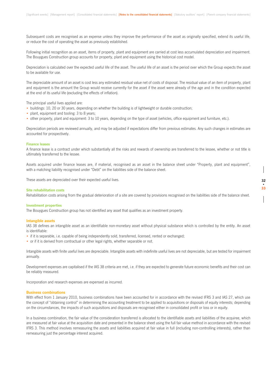Subsequent costs are recognised as an expense unless they improve the performance of the asset as originally specified, extend its useful life, or reduce the cost of operating the asset as previously established.

Following initial recognition as an asset, items of property, plant and equipment are carried at cost less accumulated depreciation and impairment. The Bouygues Construction group accounts for property, plant and equipment using the historical cost model.

Depreciation is calculated over the expected useful life of the asset. The useful life of an asset is the period over which the Group expects the asset to be available for use.

The depreciable amount of an asset is cost less any estimated residual value net of costs of disposal. The residual value of an item of property, plant and equipment is the amount the Group would receive currently for the asset if the asset were already of the age and in the condition expected at the end of its useful life (excluding the effects of inflation).

The principal useful lives applied are:

- buildings: 10, 20 or 30 years, depending on whether the building is of lightweight or durable construction;
- plant, equipment and tooling: 3 to 8 years;
- other property, plant and equipment: 3 to 10 years, depending on the type of asset (vehicles, office equipment and furniture, etc.).

Depreciation periods are reviewed annually, and may be adjusted if expectations differ from previous estimates. Any such changes in estimates are accounted for prospectively.

#### **Finance leases**

A finance lease is a contract under which substantially all the risks and rewards of ownership are transferred to the lessee, whether or not title is ultimately transferred to the lessee.

Assets acquired under finance leases are, if material, recognised as an asset in the balance sheet under "Property, plant and equipment", with a matching liability recognised under "Debt" on the liabilities side of the balance sheet.

These assets are depreciated over their expected useful lives.

#### **Site rehabilitation costs**

Rehabilitation costs arising from the gradual deterioration of a site are covered by provisions recognised on the liabilities side of the balance sheet.

#### **Investment properties**

The Bouygues Construction group has not identified any asset that qualifies as an investment property.

#### **Intangible assets**

IAS 38 defines an intangible asset as an identifiable non-monetary asset without physical substance which is controlled by the entity. An asset is identifiable:

- if it is separable, i.e. capable of being independently sold, transferred, licensed, rented or exchanged;
- or if it is derived from contractual or other legal rights, whether separable or not.

Intangible assets with finite useful lives are depreciable. Intangible assets with indefinite useful lives are not depreciable, but are tested for impairment annually.

Development expenses are capitalised if the IAS 38 criteria are met, i.e. if they are expected to generate future economic benefits and their cost can be reliably measured.

Incorporation and research expenses are expensed as incurred.

#### **Business combinations**

With effect from 1 January 2010, business combinations have been accounted for in accordance with the revised IFRS 3 and IAS 27, which use the concept of "obtaining control" in determining the accounting treatment to be applied to acquisitions or disposals of equity interests; depending on the circumstances, the impacts of such acquisitions and disposals are recognised either in consolidated profit or loss or in equity.

In a business combination, the fair value of the consideration transferred is allocated to the identifiable assets and liabilities of the acquiree, which are measured at fair value at the acquisition date and presented in the balance sheet using the full fair value method in accordance with the revised IFRS 3. This method involves remeasuring the assets and liabilities acquired at fair value in full (including non-controlling interests), rather than remeasuring just the percentage interest acquired.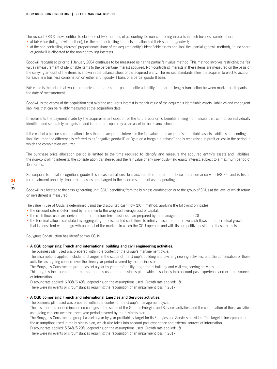The revised IFRS 3 allows entities to elect one of two methods of accounting for non-controlling interests in each business combination:

- at fair value (full goodwill method), i.e. the non-controlling interests are allocated their share of goodwill;
- at the non-controlling interests' proportionate share of the acquired entity's identifiable assets and liabilities (partial goodwill method), i.e. no share of goodwill is allocated to the non-controlling interests.

Goodwill recognised prior to 1 January 2004 continues to be measured using the partial fair value method. This method involves restricting the fair value remeasurement of identifiable items to the percentage interest acquired. Non-controlling interests in these items are measured on the basis of the carrying amount of the items as shown in the balance sheet of the acquired entity. The revised standards allow the acquirer to elect to account for each new business combination on either a full goodwill basis or a partial goodwill basis.

Fair value is the price that would be received for an asset or paid to settle a liability in an arm's length transaction between market participants at the date of measurement.

Goodwill is the excess of the acquisition cost over the acquirer's interest in the fair value of the acquiree's identifiable assets, liabilities and contingent liabilities that can be reliably measured at the acquisition date.

It represents the payment made by the acquirer in anticipation of the future economic benefits arising from assets that cannot be individually identified and separately recognised, and is reported separately as an asset in the balance sheet.

If the cost of a business combination is less than the acquirer's interest in the fair value of the acquiree's identifiable assets, liabilities and contingent liabilities, then the difference is referred to as "negative goodwill" or "gain on a bargain purchase" and is recognised in profit or loss in the period in which the combination occurred.

The purchase price allocation period is limited to the time required to identify and measure the acquired entity's assets and liabilities, the non-controlling interests, the consideration transferred and the fair value of any previously-held equity interest, subject to a maximum period of 12 months.

Subsequent to initial recognition, goodwill is measured at cost less accumulated impairment losses in accordance with IAS 36, and is tested for impairment annually. Impairment losses are charged to the income statement as an operating item.

Goodwill is allocated to the cash generating unit (CGU) benefiting from the business combination or to the group of CGUs at the level of which return on investment is measured.

The value in use of CGUs is determined using the discounted cash flow (DCF) method, applying the following principles:

- the discount rate is determined by reference to the weighted average cost of capital;
- the cash flows used are derived from the medium-term business plan prepared by the management of the CGU;
- the terminal value is calculated by aggregating the discounted cash flows to infinity, based on normative cash flows and a perpetual growth rate that is consistent with the growth potential of the markets in which the CGU operates and with its competitive position in those markets.

Bouygues Construction has identified two CGUs:

### • **A CGU comprising French and international building and civil engineering activities:**

The business plan used was prepared within the context of the Group's management cycle.

The assumptions applied include no changes in the scope of the Group's building and civil engineering activities, and the continuation of those activities as a going concern over the three-year period covered by the business plan.

The Bouygues Construction group has set a year by year profitability target for its building and civil engineering activities.

This target is incorporated into the assumptions used in the business plan, which also takes into account past experience and external sources of information.

Discount rate applied: 6.83%/6.49%, depending on the assumptions used. Growth rate applied: 1%.

There were no events or circumstances requiring the recognition of an impairment loss in 2017.

### • **A CGU comprising French and international Energies and Services activities:**

The business plan used was prepared within the context of the Group's management cycle.

The assumptions applied include no changes in the scope of the Group's Energies and Services activities, and the continuation of those activities as a going concern over the three-year period covered by the business plan.

The Bouygues Construction group has set a year by year profitability target for its Energies and Services activities. This target is incorporated into the assumptions used in the business plan, which also takes into account past experience and external sources of information.

Discount rate applied: 5.54%/5.29%, depending on the assumptions used. Growth rate applied: 1%.

There were no events or circumstances requiring the recognition of an impairment loss in 2017.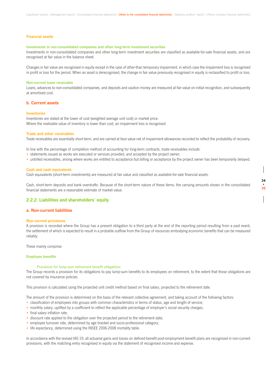### **Financial assets**

### **Investments in non-consolidated companies and other long-term investment securities**

Investments in non-consolidated companies and other long-term investment securities are classified as available-for-sale financial assets, and are recognised at fair value in the balance sheet.

Changes in fair value are recognised in equity except in the case of other-than temporary impairment, in which case the impairment loss is recognised in profit or loss for the period. When an asset is derecognised, the change in fair value previously recognised in equity is reclassified to profit or loss.

### **Non-current loans receivable**

Loans, advances to non-consolidated companies, and deposits and caution money are measured at fair value on initial recognition, and subsequently at amortised cost.

### **b. Current assets**

### **Inventories**

Inventories are stated at the lower of cost (weighted average unit cost) or market price. Where the realisable value of inventory is lower than cost, an impairment loss is recognised.

### **Trade and other receivables**

Trade receivables are essentially short-term, and are carried at face value net of impairment allowances recorded to reflect the probability of recovery.

In line with the percentage of completion method of accounting for long-term contracts, trade receivables include:

- statements issued as works are executed or services provided, and accepted by the project owner;
- unbilled receivables, arising where works are entitled to acceptance but billing or acceptance by the project owner has been temporarily delayed.

### **Cash and cash equivalents**

Cash equivalents (short-term investments) are measured at fair value and classified as available-for-sale financial assets.

Cash, short-term deposits and bank overdrafts: Because of the short-term nature of these items, the carrying amounts shown in the consolidated financial statements are a reasonable estimate of market value.

**34 • 35**

### **2.2.2. Liabilities and shareholders' equity**

### **a. Non-current liabilities**

### **Non-current provisions**

A provision is recorded where the Group has a present obligation to a third party at the end of the reporting period resulting from a past event, the settlement of which is expected to result in a probable outflow from the Group of resources embodying economic benefits that can be measured reliably.

These mainly comprise:

### **Employee benefits**

### *Provisions for lump-sum retirement benefit obligations*

The Group records a provision for its obligations to pay lump-sum benefits to its employees on retirement, to the extent that those obligations are not covered by insurance policies.

This provision is calculated using the projected unit credit method based on final salary, projected to the retirement date.

The amount of the provision is determined on the basis of the relevant collective agreement, and taking account of the following factors:

- classification of employees into groups with common characteristics in terms of status, age and length of service;
- monthly salary, uplifted by a coefficient to reflect the applicable percentage of employer's social security charges;
- final salary inflation rate;
- discount rate applied to the obligation over the projected period to the retirement date;
- employee turnover rate, determined by age bracket and socio-professional category;
- life expectancy, determined using the INSEE 2006-2008 mortality table.

In accordance with the revised IAS 19, all actuarial gains and losses on defined-benefit post-employment benefit plans are recognised in non-current provisions, with the matching entry recognised in equity via the statement of recognised income and expense.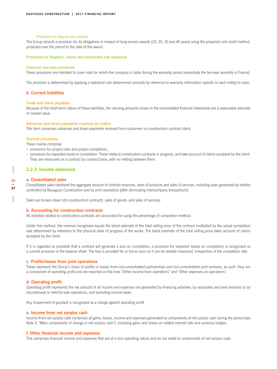### *Provision for long-service awards*

The Group records a provision for its obligations in respect of long-service awards (10, 20, 30 and 40 years) using the projected unit credit method, projected over the period to the date of the award.

**Provisions for litigation, claims and foreseeable risk exposures**

### **Customer warranty provisions**

These provisions are intended to cover risks for which the company is liable during the warranty period (essentially the ten-year warranty in France).

The provision is determined by applying a statistical rate (determined annually by reference to warranty information specific to each entity) to sales.

### **b. Current liabilities**

### **Trade and other payables**

Because of the short-term nature of these liabilities, the carrying amounts shown in the consolidated financial statements are a reasonable estimate of market value.

### **Advances and down-payments received on orders**

This item comprises advances and down-payments received from customers on construction contract starts.

### **Current provisions**

These mainly comprise:

- provisions for project risks and project completion;
- provisions for expected losses to completion: These relate to construction contracts in progress, and take account of claims accepted by the client. They are measured on a contract by contract basis, with no netting between them.

### **2.2.3. Income statement**

### **a. Consolidated sales**

Consolidated sales represent the aggregate amount of contract revenues, sales of products and sales of services, including sales generated by entities controlled by Bouygues Construction and by joint operations (after eliminating intercompany transactions).

Sales are broken down into construction contracts, sales of goods, and sales of services.

### **b. Accounting for construction contracts**

All activities related to construction contracts are accounted for using the percentage of completion method.

Under this method, the revenue recognised equals the latest estimate of the total selling price of the contract multiplied by the actual completion rate determined by reference to the physical state of progress of the works. The latest estimate of the total selling price takes account of claims accepted by the client.

If it is regarded as probable that a contract will generate a loss on completion, a provision for expected losses on completion is recognised as a current provision in the balance sheet. The loss is provided for in full as soon as it can be reliably measured, irrespective of the completion rate.

### **c. Profits/losses from joint operations**

These represent the Group's share of profits or losses from non-consolidated partnerships and non-consolidated joint ventures; as such, they are a component of operating profit and are reported on the lines "Other income from operations" and "Other expenses on operations".

### **d. Operating profit**

Operating profit represents the net amount of all income and expenses not generated by financing activities, by associates and joint ventures or by discontinued or held-for-sale operations, and excluding income taxes.

Any impairment of goodwill is recognised as a charge against operating profit

### **e. Income from net surplus cash**

Income from net surplus cash comprises all gains, losses, income and expenses generated by components of net surplus cash during the period (see Note 9, "Main components of change in net surplus cash"), including gains and losses on related interest rate and currency hedges.

### **f. Other financial income and expenses**

This comprises financial income and expenses that are of a non-operating nature and do not relate to components of net surplus cash.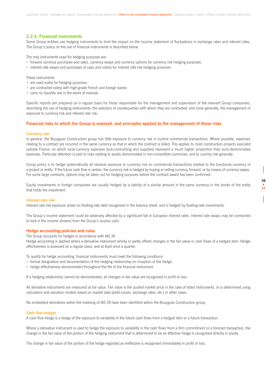### **2.2.4. Financial instruments**

Some Group entities use hedging instruments to limit the impact on the income statement of fluctuations in exchange rates and interest rates. The Group's policy on the use of financial instruments is described below.

The only instruments used for hedging purposes are:

- forward currency purchases and sales, currency swaps and currency options for currency risk hedging purposes;
- interest rate swaps and purchases of caps and collars for interest rate risk hedging purposes.

These instruments:

- are used solely for hedging purposes;
- are contracted solely with high-grade French and foreign banks;
- carry no liquidity risk in the event of reversal.

Specific reports are prepared on a regular basis for those responsible for the management and supervision of the relevant Group companies, describing the use of hedging instruments; the selection of counterparties with whom they are contracted; and more generally, the management of exposure to currency risk and interest rate risk.

### **Financial risks to which the Group is exposed, and principles applied to the management of those risks**

### **Currency risk**

In general, the Bouygues Construction group has little exposure to currency risk in routine commercial transactions. Where possible, expenses relating to a contract are incurred in the same currency as that in which the contract is billed. This applies to most construction projects executed outside France, on which local-currency expenses (sub-contracting and supplies) represent a much higher proportion than euro-denominated expenses. Particular attention is paid to risks relating to assets denominated in non-convertible currencies, and to country risk generally.

Group policy is to hedge systematically all residual exposure to currency risk on commercial transactions relative to the functional currency of a project or entity. If the future cash flow is certain, the currency risk is hedged by buying or selling currency forward, or by means of currency swaps. For some large contracts, options may be taken out for hedging purposes before the contract award has been confirmed.

Equity investments in foreign companies are usually hedged by a liability of a similar amount in the same currency in the books of the entity that holds the investment.

### **Interest rate risk**

Interest rate risk exposure arises on floating-rate debt recognised in the balance sheet, and is hedged by floating-rate investments.

The Group's income statement could be adversely affected by a significant fall in European interest rates. Interest rate swaps may be contracted to lock in the income streams from the Group's surplus cash.

### **Hedge accounting policies and rules**

The Group accounts for hedges in accordance with IAS 39. Hedge accounting is applied where a derivative instrument wholly or partly offsets changes in the fair value or cash flows of a hedged item. Hedge effectiveness is assessed on a regular basis, and at least once a quarter.

To qualify for hedge accounting, financial instruments must meet the following conditions:

- formal designation and documentation of the hedging relationship on inception of the hedge;
- hedge effectiveness demonstrated throughout the life of the financial instrument.

If a hedging relationship cannot be demonstrated, all changes in fair value are recognised in profit or loss.

All derivative instruments are measured at fair value. Fair value is the quoted market price in the case of listed instruments, or is determined using calculation and valuation models based on market data (yield curves, exchange rates, etc.) in other cases.

No embedded derivatives within the meaning of IAS 39 have been identified within the Bouygues Construction group.

### **Cash flow hedges**

A cash flow hedge is a hedge of the exposure to variability in the future cash flows from a hedged item or a future transaction.

Where a derivative instrument is used to hedge the exposure to variability in the cash flows from a firm commitment or a forecast transaction, the change in the fair value of the portion of the hedging instrument that is determined to be an effective hedge is recognised directly in equity.

The change in fair value of the portion of the hedge regarded as ineffective is recognised immediately in profit or loss.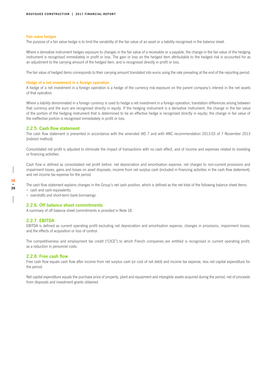### **Fair value hedges**

The purpose of a fair value hedge is to limit the variability of the fair value of an asset or a liability recognised in the balance sheet.

Where a derivative instrument hedges exposure to changes in the fair value of a receivable or a payable, the change in the fair value of the hedging instrument is recognised immediately in profit or loss. The gain or loss on the hedged item attributable to the hedged risk is accounted for as an adjustment to the carrying amount of the hedged item, and is recognised directly in profit or loss.

The fair value of hedged items corresponds to their carrying amount translated into euros using the rate prevailing at the end of the reporting period.

### **Hedge of a net investment in a foreign operation**

A hedge of a net investment in a foreign operation is a hedge of the currency risk exposure on the parent company's interest in the net assets of that operation.

Where a liability denominated in a foreign currency is used to hedge a net investment in a foreign operation, translation differences arising between that currency and the euro are recognised directly in equity. If the hedging instrument is a derivative instrument, the change in the fair value of the portion of the hedging instrument that is determined to be an effective hedge is recognised directly in equity; the change in fair value of the ineffective portion is recognised immediately in profit or loss.

### **2.2.5. Cash flow statement**

The cash flow statement is presented in accordance with the amended IAS 7 and with ANC recommendation 2013-03 of 7 November 2013 (indirect method).

Consolidated net profit is adjusted to eliminate the impact of transactions with no cash effect, and of income and expenses related to investing or financing activities.

Cash flow is defined as consolidated net profit before: net depreciation and amortisation expense, net charges to non-current provisions and impairment losses, gains and losses on asset disposals, income from net surplus cash (included in financing activities in the cash flow statement), and net income tax expense for the period.

The cash flow statement explains changes in the Group's net cash position, which is defined as the net total of the following balance sheet items:

- cash and cash equivalents;
- overdrafts and short-term bank borrowings.

### **2.2.6. Off balance sheet commitments**

A summary of off balance sheet commitments is provided in Note 18.

### **2.2.7. EBITDA**

EBITDA is defined as current operating profit excluding net depreciation and amortisation expense, changes in provisions, impairment losses, and the effects of acquisition or loss of control.

The competitiveness and employment tax credit ("CICE") to which French companies are entitled is recognised in current operating profit, as a reduction in personnel costs.

### **2.2.8. Free cash flow**

Free cash flow equals cash flow after income from net surplus cash (or cost of net debt) and income tax expense, less net capital expenditure for the period.

Net capital expenditure equals the purchase price of property, plant and equipment and intangible assets acquired during the period, net of proceeds from disposals and investment grants obtained.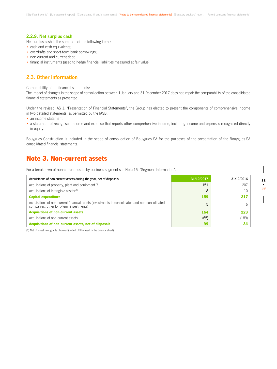### **2.2.9. Net surplus cash**

Net surplus cash is the sum total of the following items:

- cash and cash equivalents;
- overdrafts and short-term bank borrowings;
- non-current and current debt;
- financial instruments (used to hedge financial liabilities measured at fair value).

### **2.3. Other information**

Comparability of the financial statements:

The impact of changes in the scope of consolidation between 1 January and 31 December 2017 does not impair the comparability of the consolidated financial statements as presented.

Under the revised IAS 1, "Presentation of Financial Statements", the Group has elected to present the components of comprehensive income in two detailed statements, as permitted by the IASB:

- an income statement;
- a statement of recognised income and expense that reports other comprehensive income, including income and expenses recognised directly in equity.

Bouygues Construction is included in the scope of consolidation of Bouygues SA for the purposes of the presentation of the Bouygues SA consolidated financial statements.

# Note 3. Non-current assets

For a breakdown of non-current assets by business segment see Note 16, "Segment Information".

| Acquisitions of non-current assets during the year, net of disposals                                                                      | 31/12/2017 | 31/12/2016 |
|-------------------------------------------------------------------------------------------------------------------------------------------|------------|------------|
| Acquisitions of property, plant and equipment <sup>(1)</sup>                                                                              | 151        | 207        |
| Acquisitions of intangible assets <sup>(1)</sup>                                                                                          | 8          | 10         |
| <b>Capital expenditure</b>                                                                                                                | 159        | 217        |
| Acquisitions of non-current financial assets (investments in consolidated and non-consolidated<br>companies, other long-term investments) |            |            |
| <b>Acquisitions of non-current assets</b>                                                                                                 | 164        | 223        |
| Acquisitions of non-current assets                                                                                                        | (65)       | (189)      |
| Acquisitions of non-current assets, net of disposals                                                                                      | 99         | 34         |

(1) Net of investment grants obtained (netted off the asset in the balance sheet)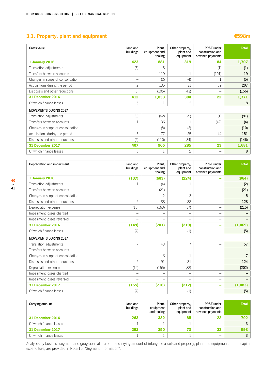# **3.1. Property, plant and equipment €598m**

| Gross value                       | Land and<br>buildings | Plant,<br>equipment and<br>tooling | Other property,<br>plant and<br>equipment | PP&E under<br>construction and<br>advance payments | <b>Total</b> |
|-----------------------------------|-----------------------|------------------------------------|-------------------------------------------|----------------------------------------------------|--------------|
| <b>1 January 2016</b>             | 423                   | 881                                | 319                                       | 84                                                 | 1,707        |
| Translation adjustments           | (5)                   | 5                                  |                                           | (1)                                                | (1)          |
| Transfers between accounts        | -                     | 119                                |                                           | (101)                                              | 19           |
| Changes in scope of consolidation | -                     | (2)                                | (4)                                       |                                                    | (5)          |
| Acquisitions during the period    | $\overline{c}$        | 135                                | 31                                        | 39                                                 | 207          |
| Disposals and other reductions    | (8)                   | (105)                              | (43)                                      | $\overline{\phantom{0}}$                           | (156)        |
| 31 December 2016                  | 412                   | 1,033                              | 304                                       | 22                                                 | 1,771        |
| Of which finance leases           | 5                     |                                    | $\mathbf{2}$                              | -                                                  | 8            |
| <b>MOVEMENTS DURING 2017</b>      |                       |                                    |                                           |                                                    |              |
| Translation adjustments           | (9)                   | (62)                               | (9)                                       | (1)                                                | (81)         |
| Transfers between accounts        | 1                     | 36                                 |                                           | (42)                                               | (4)          |
| Changes in scope of consolidation | -                     | (8)                                | (2)                                       | $\overline{\phantom{0}}$                           | (10)         |
| Acquisitions during the period    | 5                     | 77                                 | 25                                        | 44                                                 | 151          |
| Disposals and other reductions    | (2)                   | (110)                              | (34)                                      | $\overline{\phantom{0}}$                           | (146)        |
| 31 December 2017                  | 407                   | 966                                | 285                                       | 23                                                 | 1,681        |
| Of which finance leases           | 5                     |                                    | $\overline{c}$                            |                                                    | 8            |

| Depreciation and impairment       | Land and<br>buildings    | Plant.<br>equipment and<br>tooling | Other property,<br>plant and<br>equipment | PP&E under<br>construction and<br>advance payments | <b>Total</b>   |
|-----------------------------------|--------------------------|------------------------------------|-------------------------------------------|----------------------------------------------------|----------------|
| <b>1 January 2016</b>             | (137)                    | (603)                              | (224)                                     | ۰                                                  | (964)          |
| Translation adjustments           |                          | (4)                                |                                           | $\overline{\phantom{0}}$                           | (2)            |
| Transfers between accounts        | $\overline{\phantom{0}}$ | (21)                               | $\qquad \qquad$                           | -                                                  | (21)           |
| Changes in scope of consolidation |                          | $\mathfrak{D}$                     | 3                                         | $\overline{\phantom{0}}$                           | 5              |
| Disposals and other reductions    | $\overline{c}$           | 88                                 | 38                                        | $\overline{\phantom{0}}$                           | 128            |
| Depreciation expense              | (15)                     | (163)                              | (37)                                      |                                                    | (215)          |
| Impairment losses charged         |                          |                                    | $\overline{\phantom{0}}$                  |                                                    |                |
| Impairment losses reversed        |                          |                                    | -                                         | -                                                  |                |
| 31 December 2016                  | (149)                    | (701)                              | (219)                                     | ۰                                                  | (1,069)        |
| Of which finance leases           | (4)                      |                                    | (1)                                       | -                                                  | (5)            |
| <b>MOVEMENTS DURING 2017</b>      |                          |                                    |                                           |                                                    |                |
| Translation adjustments           | $\overline{7}$           | 43                                 | $\overline{7}$                            | $\overline{\phantom{0}}$                           | 57             |
| Transfers between accounts        |                          |                                    | $\overline{\phantom{0}}$                  | $\overline{\phantom{0}}$                           |                |
| Changes in scope of consolidation | -                        | $6\overline{6}$                    |                                           | -                                                  | $\overline{7}$ |
| Disposals and other reductions    | $\overline{c}$           | 91                                 | 31                                        | $\overline{\phantom{0}}$                           | 124            |
| Depreciation expense              | (15)                     | (155)                              | (32)                                      | $\overline{\phantom{0}}$                           | (202)          |
| Impairment losses charged         | -                        |                                    | $\overline{\phantom{0}}$                  | -                                                  |                |
| Impairment losses reversed        | -                        |                                    | -                                         | -                                                  |                |
| 31 December 2017                  | (155)                    | (716)                              | (212)                                     | ۰                                                  | (1,083)        |
| Of which finance leases           | (4)                      |                                    | (1)                                       |                                                    | (5)            |

| Carrying amount         | Land and<br>buildings | Plant.<br>equipment<br>and tooling | Other property.<br>plant and<br>equipment | PP&E under<br>construction and<br>advance payments | <b>Total</b>   |
|-------------------------|-----------------------|------------------------------------|-------------------------------------------|----------------------------------------------------|----------------|
| 31 December 2016        | 263                   | 332                                | 85                                        | 22                                                 | 702            |
| Of which finance leases |                       |                                    |                                           |                                                    | 3 <sup>1</sup> |
| 31 December 2017        | 252                   | 250                                | 73                                        | 23                                                 | 598            |
| Of which finance leases |                       |                                    |                                           | -                                                  |                |

Analyses by business segment and geographical area of the carrying amount of intangible assets and property, plant and equipment, and of capital expenditure, are provided in Note 16, "Segment Information".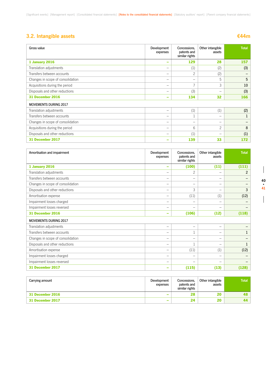# **3.2. Intangible assets €44m**

| Gross value                       | Development<br>expenses  | Concessions.<br>patents and<br>similar rights | Other intangible<br>assets | <b>Total</b> |
|-----------------------------------|--------------------------|-----------------------------------------------|----------------------------|--------------|
| 1 January 2016                    | $\overline{\phantom{a}}$ | 129                                           | 28                         | 157          |
| Translation adjustments           | -                        | (1)                                           | (2)                        | (3)          |
| Transfers between accounts        | -                        | $\overline{c}$                                | (2)                        |              |
| Changes in scope of consolidation | -                        |                                               | 5                          | 5            |
| Acquisitions during the period    | -                        | 7                                             | 3                          | 10           |
| Disposals and other reductions    |                          | (3)                                           | -                          | (3)          |
| 31 December 2016                  | $\overline{\phantom{0}}$ | 134                                           | 32                         | 166          |
| <b>MOVEMENTS DURING 2017</b>      |                          |                                               |                            |              |
| Translation adjustments           | -                        | (1)                                           | (1)                        | (2)          |
| Transfers between accounts        | -                        | $\mathbf{1}$                                  | -                          |              |
| Changes in scope of consolidation | -                        | $\qquad \qquad$                               | $\overline{\phantom{0}}$   |              |
| Acquisitions during the period    | -                        | 6                                             | $\mathcal{P}$              | 8            |
| Disposals and other reductions    | -                        | (1)                                           |                            | (1)          |
| 31 December 2017                  | $\qquad \qquad$          | 139                                           | 33                         | 172          |

| Amortisation and impairment       | Development<br>expenses  | Concessions.<br>patents and<br>similar rights | Other intangible<br>assets | <b>Total</b> |
|-----------------------------------|--------------------------|-----------------------------------------------|----------------------------|--------------|
| 1 January 2016                    | -                        | (100)                                         | (11)                       | (111)        |
| Translation adjustments           | -                        | $\overline{c}$                                | -                          | 2            |
| Transfers between accounts        | -                        |                                               | -                          |              |
| Changes in scope of consolidation | $\overline{\phantom{0}}$ | $\overline{\phantom{0}}$                      | -                          |              |
| Disposals and other reductions    | -                        | 3                                             | -                          | 3            |
| Amortisation expense              | -                        | (11)                                          | (1)                        | (12)         |
| Impairment losses charged         | -                        |                                               | $\overline{\phantom{0}}$   |              |
| Impairment losses reversed        | —                        | -                                             | -                          |              |
| 31 December 2016                  | -                        | (106)                                         | (12)                       | (118)        |
| <b>MOVEMENTS DURING 2017</b>      |                          |                                               |                            |              |
| Translation adjustments           | -                        |                                               | -                          |              |
| Transfers between accounts        | -                        |                                               | -                          | 1            |
| Changes in scope of consolidation | -                        | -                                             | -                          |              |
| Disposals and other reductions    | -                        |                                               | -                          |              |
| Amortisation expense              | —                        | (11)                                          | (1)                        | (12)         |
| Impairment losses charged         | -                        |                                               | -                          |              |
| Impairment losses reversed        | -                        |                                               | -                          |              |
| 31 December 2017                  |                          | (115)                                         | (13)                       | (128)        |

| Carrying amount  | Development<br>expenses  | Concessions,<br>patents and<br>similar rights | Other intangible<br>assets | <b>Total</b> |
|------------------|--------------------------|-----------------------------------------------|----------------------------|--------------|
| 31 December 2016 | $\overline{\phantom{a}}$ | 28                                            |                            | 48           |
| 31 December 2017 | $\overline{\phantom{a}}$ | 24                                            | 20                         | 44           |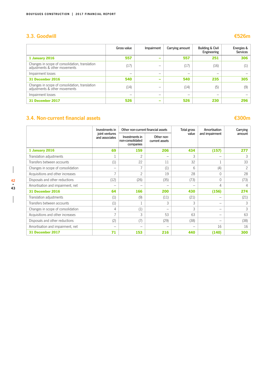## **3.3. Goodwill €526m**

|                                                                                 | Gross value | Impairment                                                                | Carrying amount | <b>Building &amp; Civil</b><br>Engineering | Energies &<br><b>Services</b> |
|---------------------------------------------------------------------------------|-------------|---------------------------------------------------------------------------|-----------------|--------------------------------------------|-------------------------------|
| 1 January 2016                                                                  | 557         | -                                                                         | 557             | 251                                        | 306                           |
| Changes in scope of consolidation, translation<br>adjustments & other movements | (17)        | $\hspace{1.0cm} \rule{1.5cm}{0.15cm} \hspace{1.0cm} \rule{1.5cm}{0.15cm}$ | (17)            | (16)                                       |                               |
| Impairment losses                                                               |             | -                                                                         | -               | -                                          |                               |
| 31 December 2016                                                                | 540         | -                                                                         | 540             | 235                                        | 305                           |
| Changes in scope of consolidation, translation<br>adjustments & other movements | (14)        |                                                                           | (14)            | (5)                                        | (9)                           |
| Impairment losses                                                               | -           | $\overline{\phantom{0}}$                                                  | -               | -                                          |                               |
| 31 December 2017                                                                | 526         | -                                                                         | 526             | 230                                        | 296                           |

# **3.4. Non-current financial assets €300m**

# $\overline{\phantom{a}}$

|                                   | Investments in                   | Other non-current financial assets              |                              | Total gross | Amortisation    | Carrying |
|-----------------------------------|----------------------------------|-------------------------------------------------|------------------------------|-------------|-----------------|----------|
|                                   | joint ventures<br>and associates | Investments in<br>non-consolidated<br>companies | Other non-<br>current assets | value       | and impairment  | amount   |
| <b>1 January 2016</b>             | 69                               | 159                                             | 206                          | 434         | (157)           | 277      |
| Translation adjustments           |                                  | $\overline{c}$                                  | $\qquad \qquad$              | 3           | -               | 3        |
| Transfers between accounts        | (1)                              | 22                                              | 11                           | 32          |                 | 33       |
| Changes in scope of consolidation | -                                | 7                                               | (1)                          | 6           | (4)             | 2        |
| Acquisitions and other increases  | $\overline{7}$                   | $\mathbf{2}$                                    | 19                           | 28          | 0               | 28       |
| Disposals and other reductions    | (12)                             | (26)                                            | (35)                         | (73)        | 0               | (73)     |
| Amortisation and impairment, net  |                                  | $\overline{\phantom{0}}$                        | -                            |             | 4               | 4        |
| 31 December 2016                  | 64                               | 166                                             | 200                          | 430         | (156)           | 274      |
| Translation adjustments           | (1)                              | (9)                                             | (11)                         | (21)        | -               | (21)     |
| Transfers between accounts        | (1)                              | 1                                               | 3                            | 3           | $\qquad \qquad$ | 3        |
| Changes in scope of consolidation | 4                                | (1)                                             |                              | 3           | -               | 3        |
| Acquisitions and other increases  | 7                                | 3                                               | 53                           | 63          | -               | 63       |
| Disposals and other reductions    | (2)                              | (7)                                             | (29)                         | (38)        | -               | (38)     |
| Amortisation and impairment, net  |                                  | -                                               |                              |             | 16              | 16       |
| 31 December 2017                  | 71                               | 153                                             | 216                          | 440         | (140)           | 300      |

 $\overline{\phantom{a}}$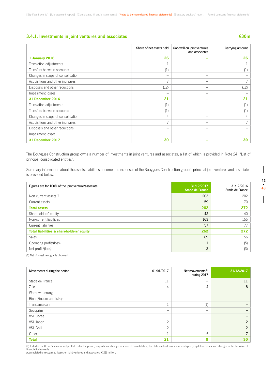### **3.4.1. Investments in joint ventures and associates €30m**

|                                   | Share of net assets held | Goodwill on joint ventures<br>and associates | Carrying amount |
|-----------------------------------|--------------------------|----------------------------------------------|-----------------|
| <b>1 January 2016</b>             | 26                       | -                                            | 26              |
| Translation adjustments           |                          | -                                            |                 |
| Transfers between accounts        | (1)                      | $\overline{\phantom{0}}$                     | (1)             |
| Changes in scope of consolidation | -                        | -                                            |                 |
| Acquisitions and other increases  |                          | -                                            |                 |
| Disposals and other reductions    | (12)                     | -                                            | (12)            |
| Impairment losses                 |                          | -                                            |                 |
| 31 December 2016                  | 21                       | -                                            | 21              |
| Translation adjustments           | (1)                      |                                              | (1)             |
| Transfers between accounts        | (1)                      | -                                            | (1)             |
| Changes in scope of consolidation | 4                        | -                                            | 4               |
| Acquisitions and other increases  |                          | $\qquad \qquad \longleftarrow$               |                 |
| Disposals and other reductions    |                          | –                                            |                 |
| Impairment losses                 | -                        | -                                            |                 |
| 31 December 2017                  | 30                       |                                              | 30              |

The Bouygues Construction group owns a number of investments in joint ventures and associates, a list of which is provided in Note 24, "List of principal consolidated entities".

Summary information about the assets, liabilities, income and expenses of the Bouygues Construction group's principal joint ventures and associates is provided below.

| Figures are for 100% of the joint venture/associate | 31/12/2017<br><b>Stade de France</b> | 31/12/2016<br>Stade de France |
|-----------------------------------------------------|--------------------------------------|-------------------------------|
| Non-current assets <sup>(1)</sup>                   | 203                                  | 202                           |
| Current assets                                      | 59                                   | 70                            |
| <b>Total assets</b>                                 | 262                                  | 272                           |
| Shareholders' equity                                | 42                                   | 40                            |
| Non-current liabilities                             | 163                                  | 155                           |
| Current liabilities                                 | 57                                   | 77                            |
| <b>Total liabilities &amp; shareholders' equity</b> | 262                                  | 272                           |
| <b>Sales</b>                                        | 69                                   | 56                            |
| Operating profit/(loss)                             | $\mathbf{1}$                         | (5)                           |
| Net profit/(loss)                                   | $\overline{2}$                       | (3)                           |

(1) Net of investment grants obtained.

| Movements during the period | 01/01/2017 | Net movements <sup>(1)</sup><br>during 2017 | 31/12/2017     |
|-----------------------------|------------|---------------------------------------------|----------------|
| Stade de France             | 11         | -                                           | 11             |
| Zaic                        | 4          | 4                                           | 8              |
| Warnowquerung               | -          | $\overline{\phantom{0}}$                    |                |
| Bina (Fincom and Istra)     | -          | -                                           |                |
| Transjamaican               |            | (1)                                         |                |
| Socoprim                    | -          | $\overline{\phantom{0}}$                    |                |
| VSL Corée                   | -          | $\overline{\phantom{m}}$                    |                |
| VSL Japon                   | $\Omega$   | $\overline{\phantom{m}}$                    | $\overline{2}$ |
| VSL Chili                   | $\Omega$   | $\overline{\phantom{m}}$                    | $\mathfrak{p}$ |
| Other                       |            | 6                                           | ┑              |
| <b>Total</b>                | 21         | 9                                           | 30             |

(1) Includes the Group's share of net profit/loss for the period, acquisitions, changes in scope of consolidation, translation adjustments, dividends paid, capital increases, and changes in the fair value of financial instruments.

Accumulated unrecognised losses on joint ventures and associates: €(21) million.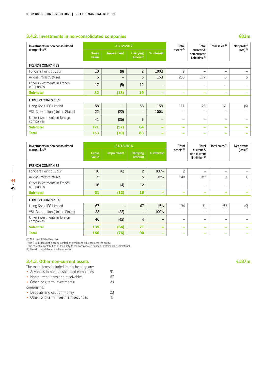### **3.4.2. Investments in non-consolidated companies €83m**

| Investments in non-consolidated           |                       | 31/12/2017               |                    |            | <b>Total</b>             | Total                                                  | Total sales <sup>(2)</sup> | Net profit/             |
|-------------------------------------------|-----------------------|--------------------------|--------------------|------------|--------------------------|--------------------------------------------------------|----------------------------|-------------------------|
| companies <sup>(1)</sup>                  | <b>Gross</b><br>value | <b>Impairment</b>        | Carrying<br>amount | % interest | assets <sup>(2)</sup>    | current &<br>non-current<br>liabilities <sup>(2)</sup> |                            | $(logs)$ <sup>(2)</sup> |
| <b>FRENCH COMPANIES</b>                   |                       |                          |                    |            |                          |                                                        |                            |                         |
| Foncière Point du Jour                    | 10                    | (8)                      | $\overline{c}$     | 100%       | $\overline{c}$           | -                                                      | -                          |                         |
| Axione Infrastructures                    | 5                     | $\overline{\phantom{m}}$ | 5                  | 15%        | 235                      | 177                                                    | 3                          | 5                       |
| Other investments in French<br>companies  | 17                    | (5)                      | 12                 | -          | -                        | -                                                      | -                          |                         |
| <b>Sub-total</b>                          | 32                    | (13)                     | 19                 | -          | -                        | $\overline{\phantom{a}}$                               | -                          |                         |
| <b>FOREIGN COMPANIES</b>                  |                       |                          |                    |            |                          |                                                        |                            |                         |
| Hong Kong IEC Limited                     | 58                    | $\qquad \qquad$          | 58                 | 15%        | 111                      | 28                                                     | 61                         | (6)                     |
| VSL Corporation (United States)           | 22                    | (22)                     | $\qquad \qquad -$  | 100%       | $\overline{\phantom{m}}$ | -                                                      | -                          |                         |
| Other investments in foreign<br>companies | 41                    | (35)                     | 6                  | -          | -                        | -                                                      | -                          |                         |
| <b>Sub-total</b>                          | 121                   | (57)                     | 64                 | -          | $\overline{\phantom{a}}$ | -                                                      | -                          |                         |
| <b>Total</b>                              | 153                   | (70)                     | 83                 | -          | -                        | -                                                      |                            |                         |

| Investments in non-consolidated           |                       | 31/12/2016      |                          |            | Total                          | <b>Total</b>                                  | Total sales <sup>(2)</sup> | Net profit/           |
|-------------------------------------------|-----------------------|-----------------|--------------------------|------------|--------------------------------|-----------------------------------------------|----------------------------|-----------------------|
| companies <sup>(1)</sup>                  | <b>Gross</b><br>value | Impairment      | Carrying<br>amount       | % interest | assets <sup>(2)</sup>          | current &<br>non-current<br>liabilities $(2)$ |                            | $(\text{loss})^{(2)}$ |
| <b>FRENCH COMPANIES</b>                   |                       |                 |                          |            |                                |                                               |                            |                       |
| Foncière Point du Jour                    | 10                    | (8)             | $\overline{2}$           | 100%       | 2                              |                                               | -                          |                       |
| Axione Infrastructures                    | 5                     |                 | 5                        | 15%        | 240                            | 187                                           | 3                          | 6                     |
| Other investments in French<br>companies  | 16                    | (4)             | 12                       | -          | -                              | -                                             | -                          |                       |
| <b>Sub-total</b>                          | 31                    | (12)            | 19                       | -          | -                              | -                                             | -                          |                       |
| <b>FOREIGN COMPANIES</b>                  |                       |                 |                          |            |                                |                                               |                            |                       |
| Hong Kong IEC Limited                     | 67                    | $\qquad \qquad$ | 67                       | 15%        | 134                            | 31                                            | 53                         | (9)                   |
| VSL Corporation (United States)           | 22                    | (22)            | $\overline{\phantom{m}}$ | 100%       | $\qquad \qquad \longleftarrow$ | -                                             | -                          |                       |
| Other investments in foreign<br>companies | 46                    | (42)            | 4                        | —          | $\overline{\phantom{0}}$       | -                                             | -                          |                       |
| <b>Sub-total</b>                          | 135                   | (64)            | 71                       | -          | -                              | -                                             | -                          |                       |
| <b>Total</b>                              | 166                   | (76)            | 90                       | -          | -                              | -                                             | -                          |                       |

(1) Not consolidated because:<br>• the Group does not exercise control or significant influence over the entity;<br>• the potential contribution of the entity to the consolidated financial statements is immaterial.<br>(2) Based on

## **3.4.3. Other non-current assets €187m**

| The main items included in this heading are: |    |
|----------------------------------------------|----|
| • Advances to non-consolidated companies     | 91 |
| • Non-current loans and receivables          | 67 |
| • Other long-term investments:               | 29 |
| comprising:                                  |    |
| • Deposits and caution money                 | 23 |
| • Other long-term investment securities      |    |

 $\overline{\phantom{a}}$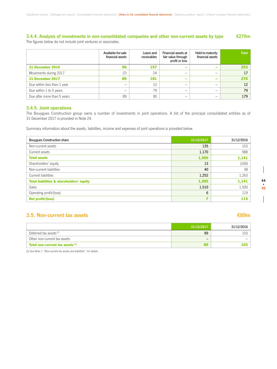### **3.4.4. Analysis of investments in non-consolidated companies and other non-current assets by type €270m** The figures below do not include joint ventures or associates.

|                             | Available for sale<br>financial assets | Loans and<br>receivables | Financial assets at<br>fair value through<br>profit or loss | Held-to-maturity<br>financial assets | <b>Total</b> |
|-----------------------------|----------------------------------------|--------------------------|-------------------------------------------------------------|--------------------------------------|--------------|
| 31 December 2016            | 96                                     | 157                      | $\overline{\phantom{a}}$                                    | -                                    | 253          |
| Movements during 2017       |                                        | 24                       | -                                                           |                                      | 17           |
| 31 December 2017            | 89                                     | 181                      | $\overline{\phantom{0}}$                                    | $\overline{\phantom{a}}$             | 270          |
| Due within less than 1 year |                                        | 12                       | –                                                           | -                                    | 12           |
| Due within 1 to 5 years     |                                        | 79                       |                                                             |                                      | 79           |
| Due after more than 5 years | 89                                     | 90                       |                                                             |                                      | 179          |

### **3.4.5. Joint operations**

The Bouygues Construction group owns a number of investments in joint operations. A list of the principal consolidated entities as of 31 December 2017 is provided in Note 24.

Summary information about the assets, liabilities, income and expenses of joint operations is provided below.

| <b>Bouygues Construction share</b>                  | 31/12/2017 | 31/12/2016 |
|-----------------------------------------------------|------------|------------|
| Non-current assets                                  | 135        | 153        |
| Current assets                                      | 1,170      | 988        |
| <b>Total assets</b>                                 | 1,305      | 1,141      |
| Shareholders' equity                                | 13         | (160)      |
| Non-current liabilities                             | 40         | 38         |
| Current liabilities                                 | 1,252      | 1,263      |
| <b>Total liabilities &amp; shareholders' equity</b> | 1,305      | 1,141      |
| <b>Sales</b>                                        | 1,510      | 1,500      |
| Operating profit/(loss)                             | 6          | 119        |
| Net profit/(loss)                                   | 7          | 114        |

## **3.5. Non-current tax assets €89m**

|                                       | 31/12/2017               | 31/12/2016 |
|---------------------------------------|--------------------------|------------|
| Deferred tax assets (1)               | 89                       | :03        |
| Other non-current tax assets          | $\overline{\phantom{0}}$ |            |
| Total non-current tax assets $^{(1)}$ | 89                       |            |

(1) See Note 7, "Non-current tax assets and liabilities", for details.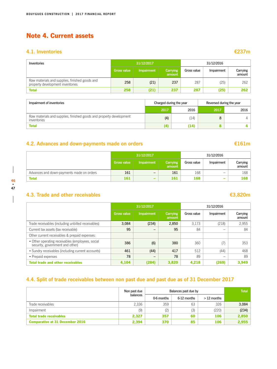# Note 4. Current assets

## **4.1. Inventories**

| n ya | ٠   | ---<br><b>Service Service</b><br>- |   |
|------|-----|------------------------------------|---|
| ٠    | . . |                                    | ٠ |

| Inventories                                                                        | 31/12/2017         |                   |                    | 31/12/2016  |            |                    |
|------------------------------------------------------------------------------------|--------------------|-------------------|--------------------|-------------|------------|--------------------|
|                                                                                    | <b>Gross value</b> | <b>Impairment</b> | Carrying<br>amount | Gross value | Impairment | Carrying<br>amount |
| Raw materials and supplies, finished goods and<br>property development inventories | 258                | (21)              | 237                | 287         | (25)       | 262                |
| <b>Total</b>                                                                       | 258                | (21)              | 237                | 287         | (25)       | 262                |

| Impairment of inventories                                                          | Charged during the year |      | Reversed during the year |      |
|------------------------------------------------------------------------------------|-------------------------|------|--------------------------|------|
|                                                                                    | 2017                    | 2016 | 2017                     | 2016 |
| Raw materials and supplies, finished goods and property development<br>inventories | (4)                     | (14) |                          |      |
| Total                                                                              |                         | (14) |                          |      |

# **4.2. Advances and down-payments made on orders €161m**

### **31/12/2017** 31/12/2016 **Gross value Impairment amount** Gross value | Impairment | Carrying amount Advances and down-payments made on orders 161  $-$  161  $-$  161 168  $-$  168 Total 161 – 161 – 161 – 168 – 168

 $\overline{\phantom{a}}$ 

## **4.3. Trade and other receivables €3,820m**

|                                                                                     |             | 31/12/2017               |                           | 31/12/2016  |            |                    |
|-------------------------------------------------------------------------------------|-------------|--------------------------|---------------------------|-------------|------------|--------------------|
|                                                                                     | Gross value | Impairment               | <b>Carrying</b><br>amount | Gross value | Impairment | Carrying<br>amount |
| Trade receivables (including unbilled receivables)                                  | 3,084       | (234)                    | 2,850                     | 3.173       | (218)      | 2,955              |
| Current tax assets (tax receivable)                                                 | 95          | -                        | 95                        | 84          | -          | 84                 |
| Other current receivables & prepaid expenses:                                       |             |                          |                           |             |            |                    |
| • Other operating receivables (employees, social<br>security, government and other) | 386         | (6)                      | 380                       | 360         | (7)        | 353                |
| • Sundry receivables (including current accounts)                                   | 461         | (44)                     | 417                       | 512         | (44)       | 468                |
| • Prepaid expenses                                                                  | 78          | $\qquad \qquad \qquad -$ | 78                        | 89          | -          | 89                 |
| <b>Total trade and other receivables</b>                                            | 4,104       | (284)                    | 3,820                     | 4,218       | (269)      | 3.949              |

# **4.4. Split of trade receivables between non past due and past due as of 31 December 2017**

|                                        | Non past due |            | Balances past due by | <b>Total</b> |       |
|----------------------------------------|--------------|------------|----------------------|--------------|-------|
|                                        | balances     | 0-6 months | 6-12 months          | $>12$ months |       |
| Trade receivables                      | 2,336        | 359        | 63                   | 326          | 3,084 |
| Impairment                             | (9)          | (2)        | (3)                  | (220)        | (234) |
| <b>Total trade receivables</b>         | 2,327        | 357        | 60                   | 106          | 2,850 |
| <b>Comparative at 31 December 2016</b> | 2,394        | 370        | 85                   | 106          | 2,955 |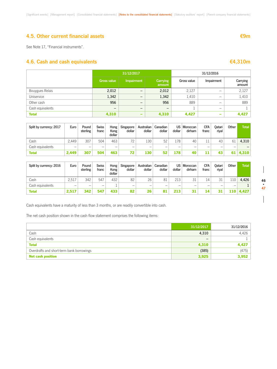## **4.5. Other current financial assets €9m**

See Note 17, "Financial instruments".

## **4.6. Cash and cash equivalents €4,310m**

|                  |                    | 31/12/2017               |                    | 31/12/2016  |            |                    |
|------------------|--------------------|--------------------------|--------------------|-------------|------------|--------------------|
|                  | <b>Gross value</b> | <b>Impairment</b>        | Carrying<br>amount | Gross value | Impairment | Carrying<br>amount |
| Bouygues Relais  | 2,012              | $\overline{\phantom{m}}$ | 2,012              | 2,127       | -          | 2,127              |
| Uniservice       | 1,342              | —                        | 1,342              | 1,410       | -          | 1,410              |
| Other cash       | 956                | $\qquad \qquad -$        | 956                | 889         | -          | 889                |
| Cash equivalents | -                  | —                        | –                  |             | -          |                    |
| <b>Total</b>     | 4,310              | -                        | 4,310              | 4,427       | -          | 4,427              |

| Split by currency: 2017 | Euro                     | Pound<br>sterling | <b>Swiss</b><br>franc | Hong<br>Kong<br>dollar | Singapore<br>dollar | Australian<br>dollar | Canadian<br>dollar | dollar | US Moroccan<br>dirham | <b>CFA</b><br>franc | Oatari<br>riyal | Other | <b>Total</b> |
|-------------------------|--------------------------|-------------------|-----------------------|------------------------|---------------------|----------------------|--------------------|--------|-----------------------|---------------------|-----------------|-------|--------------|
| Cash                    | 2.449                    | 307               | 504                   | 463                    | 72                  | 130                  | 52                 | 178    | 40                    |                     | 43              | 61    | 4,310        |
| Cash equivalents        | $\overline{\phantom{0}}$ | -                 | -                     | –                      | -                   | -                    | -                  | -      | -                     | _                   | -               |       |              |
| <b>Total</b>            | 2.449                    | 307               | 504                   | 463                    | 72                  | 130                  | 52                 | l78    | 40                    | 11                  | 43              |       | 4.310        |

| Split by currency: 2016 | Euro                     | Pound<br>sterling | <b>Swiss</b><br>franc | Hong<br>Kong<br>dollar | Singapore<br>dollar | Australian<br>dollar | Canadian<br>dollar | US<br>dollar             | Moroccan<br>dirham | CFA<br>franc | <b>Jatari</b><br>riyal | Other | <b>Total</b> |
|-------------------------|--------------------------|-------------------|-----------------------|------------------------|---------------------|----------------------|--------------------|--------------------------|--------------------|--------------|------------------------|-------|--------------|
| Cash                    | 2.517                    | 342               | 547                   | 432                    | 82                  | 26                   | 81                 | 213                      | $\bigcap$          | 14           | 31                     | 110   | 4.426        |
| Cash equivalents        | $\overline{\phantom{0}}$ | –                 | –                     |                        | -                   | -                    | –                  | $\overline{\phantom{a}}$ | -                  | -            | -                      | –     |              |
| <b>Total</b>            | 2.517                    | 342               | 547                   | 433                    | 82                  | 26                   |                    | 213                      | 31                 | л            | 31                     | 110   | 4.427        |

Cash equivalents have a maturity of less than 3 months, or are readily convertible into cash.

The net cash position shown in the cash flow statement comprises the following items:

|                                           | 31/12/2017               | 31/12/2016 |
|-------------------------------------------|--------------------------|------------|
| Cash                                      | 4,310                    | 4,426      |
| Cash equivalents                          | $\overline{\phantom{m}}$ |            |
| <b>Total</b>                              | 4,310                    | 4,427      |
| Overdrafts and short-term bank borrowings | (385)                    | (475)      |
| <b>Net cash position</b>                  | 3,925                    | 3,952      |

 $\overline{\phantom{a}}$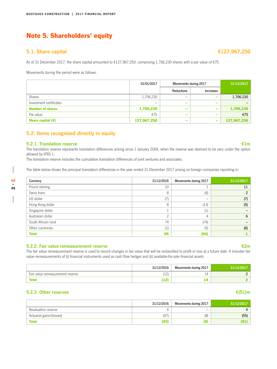# Note 5. Shareholders' equity

### **5.1. Share capital €127,967,250**

As of 31 December 2017, the share capital amounted to €127,967,250, comprising 1,706,230 shares with a par value of €75.

Movements during the period were as follows:

|                         | 01/01/2017  | Movements during 2017 |           | 31/12/2017  |
|-------------------------|-------------|-----------------------|-----------|-------------|
|                         |             | Reductions            | Increases |             |
| <b>Shares</b>           | 1,706,230   | -                     | –         | 1,706,230   |
| Investment certificates | -           | -                     | –         |             |
| <b>Number of shares</b> | 1,706,230   | -                     | -         | 1,706,230   |
| Par value               | €75         | -                     | –         | €75         |
| Share capital $(E)$     | 127,967,250 | -                     | -         | 127,967,250 |

## **5.2. Items recognised directly in equity**

### **5.2.1. Translation reserve €1m**

**48 • 49** The translation reserve represents translation differences arising since 1 January 2004, when the reserve was deemed to be zero under the option allowed by IFRS 1.

The translation reserve includes the cumulative translation differences of joint ventures and associates.

The table below shows the principal translation differences in the year ended 31 December 2017 arising on foreign companies reporting in:

| Currency           | 31/12/2016 | Movements during 2017 | 31/12/2017     |
|--------------------|------------|-----------------------|----------------|
| Pound sterling     | 10         |                       | 11             |
| Swiss franc        | 8          | (6)                   | $\mathfrak{p}$ |
| US dollar          | (7)        |                       | (7)            |
| Hong Kong dollar   | 8          | (13)                  | (5)            |
| Singapore dollar   |            | (1)                   |                |
| Australian dollar  | $\bigcap$  | 4                     | 6              |
| South African rand | 74         | (74)                  |                |
| Other currencies   | (1)        | (5)                   | (6)            |
| <b>Total</b>       | 95         | (94)                  |                |

### **5.2.2. Fair value remeasurement reserve €2m**

The fair value remeasurement reserve is used to record changes in fair value that will be reclassified to profit or loss at a future date. It includes fair value remeasurements of (i) financial instruments used as cash flow hedges and (ii) available-for-sale financial assets.

|                                  | 31/12/2016         | Movements during 2017 | 31/12/2017 |
|----------------------------------|--------------------|-----------------------|------------|
| Fair value remeasurement reserve | 1101<br>. <u>.</u> | . .                   |            |
| <b>Total</b>                     | .                  |                       |            |

### **5.2.3. Other reserves €(51)m**

|                          | 31/12/2016 | Movements during 2017    | 31/12/2017 |
|--------------------------|------------|--------------------------|------------|
| Revaluation reserve      |            | $\overline{\phantom{0}}$ |            |
| Actuarial gains/(losses) | (47)       | (8)                      | (55)       |
| <b>Total</b>             | (43)       | 81                       | 15         |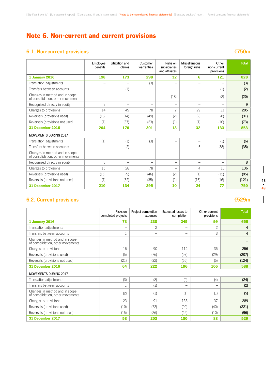# Note 6. Non-current and current provisions

# **6.1. Non-current provisions €750m**

|                                                                     | Employee<br>benefits | Litigation and<br>claims          | Customer<br>warranties   | Risks on<br>subsidiaries<br>and affiliates | Miscellaneous<br>foreign risks | Other<br>non-current<br>provisions | <b>Total</b> |
|---------------------------------------------------------------------|----------------------|-----------------------------------|--------------------------|--------------------------------------------|--------------------------------|------------------------------------|--------------|
| <b>1 January 2016</b>                                               | 198                  | 173                               | 298                      | 32                                         | 6                              | 121                                | 828          |
| Translation adjustments                                             |                      | $\overline{\phantom{0}}$          | (3)                      | $\overline{\phantom{0}}$                   | -                              | -                                  | (3)          |
| Transfers between accounts                                          | $\qquad \qquad -$    | (1)                               | -                        |                                            | -                              | (1)                                | (2)          |
| Changes in method and in scope<br>of consolidation, other movements | $\qquad \qquad$      | $\qquad \qquad$                   | $\qquad \qquad$          | (18)                                       | -                              | (2)                                | (20)         |
| Recognised directly in equity                                       | 9                    | $\overbrace{\phantom{123221111}}$ | $\overline{\phantom{0}}$ | $\overline{\phantom{0}}$                   | $\overline{\phantom{0}}$       | $\overline{\phantom{0}}$           | 9            |
| Charges to provisions                                               | 14                   | 49                                | 78                       | $\overline{c}$                             | 29                             | 33                                 | 205          |
| Reversals (provisions used)                                         | (16)                 | (14)                              | (49)                     | (2)                                        | (2)                            | (8)                                | (91)         |
| Reversals (provisions not used)                                     | (1)                  | (37)                              | (23)                     | (1)                                        | (1)                            | (10)                               | (73)         |
| 31 December 2016                                                    | 204                  | 170                               | 301                      | 13                                         | 32                             | 133                                | 853          |
| <b>MOVEMENTS DURING 2017</b>                                        |                      |                                   |                          |                                            |                                |                                    |              |
| Translation adjustments                                             | (1)                  | (1)                               | (3)                      |                                            | -                              | (1)                                | (6)          |
| Transfers between accounts                                          | $\qquad \qquad$      | (2)                               | -                        | $\qquad \qquad$                            | 5                              | (38)                               | (35)         |
| Changes in method and in scope<br>of consolidation, other movements | -                    | $\qquad \qquad$                   | $\qquad \qquad$          | $\qquad \qquad$                            | -                              | -                                  |              |
| Recognised directly in equity                                       | 8                    | $\overline{\phantom{0}}$          | $\overline{\phantom{0}}$ | $\qquad \qquad -$                          | $\overline{\phantom{0}}$       | $\overline{\phantom{0}}$           | 8            |
| Charges to provisions                                               | 15                   | 28                                | 78                       | $\qquad \qquad -$                          | 4                              | 11                                 | 136          |
| Reversals (provisions used)                                         | (15)                 | (9)                               | (46)                     | (2)                                        | (1)                            | (12)                               | (85)         |
| Reversals (provisions not used)                                     | (1)                  | (52)                              | (35)                     | (1)                                        | (16)                           | (16)                               | (121)        |
| 31 December 2017                                                    | 210                  | 134                               | 295                      | 10                                         | 24                             | 77                                 | 750          |

# **6.2. Current provisions €529m**

|                                                                     | Risks on<br>completed projects | Project completion<br>expenses | <b>Expected losses to</b><br>completion | Other current<br>provisions | <b>Total</b> |
|---------------------------------------------------------------------|--------------------------------|--------------------------------|-----------------------------------------|-----------------------------|--------------|
| 1 January 2016                                                      | 73                             | 238                            | 245                                     | 99                          | 655          |
| Translation adjustments                                             | $\qquad \qquad$                | $\overline{c}$                 | -                                       | $\overline{c}$              | 4            |
| Transfers between accounts                                          |                                | -                              | -                                       | 3                           | 4            |
| Changes in method and in scope<br>of consolidation, other movements |                                |                                |                                         | -                           |              |
| Charges to provisions                                               | 16                             | 90                             | 114                                     | 36                          | 256          |
| Reversals (provisions used)                                         | (5)                            | (76)                           | (97)                                    | (29)                        | (207)        |
| Reversals (provisions not used)                                     | (21)                           | (32)                           | (66)                                    | (5)                         | (124)        |
| 31 December 2016                                                    | 64                             | 222                            | 196                                     | 106                         | 588          |
| <b>MOVEMENTS DURING 2017</b>                                        |                                |                                |                                         |                             |              |
| Translation adjustments                                             | (3)                            | (8)                            | (9)                                     | (4)                         | (24)         |
| Transfers between accounts                                          |                                | (3)                            | -                                       | -                           | (2)          |
| Changes in method and in scope<br>of consolidation, other movements | (2)                            | (1)                            | (1)                                     | (1)                         | (5)          |
| Charges to provisions                                               | 23                             | 91                             | 138                                     | 37                          | 289          |
| Reversals (provisions used)                                         | (10)                           | (72)                           | (99)                                    | (40)                        | (221)        |
| Reversals (provisions not used)                                     | (15)                           | (26)                           | (45)                                    | (10)                        | (96)         |
| 31 December 2017                                                    | 58                             | 203                            | 180                                     | 88                          | 529          |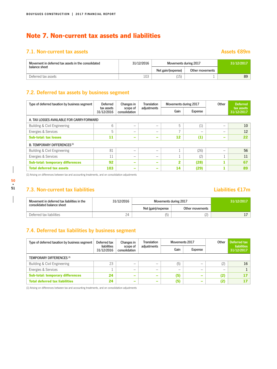# Note 7. Non-current tax assets and liabilities

# **7.1. Non-current tax assets** Assets **Assets** €89m

| Movement in deferred tax assets in the consolidated | 31/12/2016 | Movements during 2017 |                 | 31/12/2017 |  |
|-----------------------------------------------------|------------|-----------------------|-----------------|------------|--|
| balance sheet                                       |            | Net gain/(expense)    | Other movements |            |  |
| Deferred tax assets                                 | 103        | '15                   |                 | 89         |  |

# **7.2. Deferred tax assets by business segment**

| Type of deferred taxation by business segment | Deferred<br>Changes in   |                           | <b>Translation</b> | Movements during 2017 |         | Other           | <b>Deferred</b>          |  |  |
|-----------------------------------------------|--------------------------|---------------------------|--------------------|-----------------------|---------|-----------------|--------------------------|--|--|
|                                               | tax assets<br>31/12/2016 | scope of<br>consolidation | adjustments        | Gain                  | Expense |                 | tax assets<br>31/12/2017 |  |  |
| A. TAX LOSSES AVAILABLE FOR CARRY-FORWARD     |                          |                           |                    |                       |         |                 |                          |  |  |
| Building & Civil Engineering                  | 6                        | $\qquad \qquad$           | -                  | 5                     | (1)     | -               | 10                       |  |  |
| Energies & Services                           | 5                        | -                         | -                  | $\overline{ }$        | -       | -               | 12                       |  |  |
| <b>Sub-total: tax losses</b>                  | 11                       | $\overline{\phantom{a}}$  | -                  | 12                    | (1)     | $\qquad \qquad$ | 22                       |  |  |
| B. TEMPORARY DIFFERENCES <sup>(1)</sup>       |                          |                           |                    |                       |         |                 |                          |  |  |
| Building & Civil Engineering                  | 81                       | -                         | -                  |                       | (26)    |                 | 56                       |  |  |
| Energies & Services                           | 11                       | $\overline{\phantom{0}}$  | -                  |                       | (2)     |                 | 11                       |  |  |
| <b>Sub-total: temporary differences</b>       | 92                       | $\overline{\phantom{a}}$  | -                  | 2                     | (28)    |                 | 67                       |  |  |
| <b>Total deferred tax assets</b>              | 103                      | $\overline{\phantom{a}}$  | -                  | 14                    | (29)    | л.              | 89                       |  |  |

(1) Arising on differences between tax and accounting treatments, and on consolidation adjustments

# **7.3. Non-current tax liabilities Liabilities €17m**

| Movement in deferred tax liabilities in the | 31/12/2016 | Movements during 2017 |                 | 31/12/2017 |  |
|---------------------------------------------|------------|-----------------------|-----------------|------------|--|
| consolidated balance sheet                  |            | Net (gain)/expense    | Other movements |            |  |
| Deferred tax liabilities                    | 24         | (5)                   | └               |            |  |

# **7.4. Deferred tax liabilities by business segment**

| Type of deferred taxation by business segment | Deferred tax              | Changes in                | Translation              |      | Movements 2017 |     | Deferred tax                     |
|-----------------------------------------------|---------------------------|---------------------------|--------------------------|------|----------------|-----|----------------------------------|
|                                               | liabilities<br>31/12/2016 | scope of<br>consolidation | adjustments              | Gain | Expense        |     | <b>liabilities</b><br>31/12/2017 |
| <b>TEMPORARY DIFFERENCES (1)</b>              |                           |                           |                          |      |                |     |                                  |
| Building & Civil Engineering                  | 23                        | -                         | –                        | (5)  | -              | (2) | 16                               |
| Energies & Services                           |                           | -                         | –                        | -    | -              | -   |                                  |
| <b>Sub-total: temporary differences</b>       | 24                        | $\qquad \qquad$           | $\overline{\phantom{a}}$ | (5)  | -              | (2) |                                  |
| <b>Total deferred tax liabilities</b>         | 24                        | $\qquad \qquad$           | $\overline{\phantom{a}}$ | (5)  | -              | (2) |                                  |

(1) Arising on differences between tax and accounting treatments, and on consolidation adjustments

# **50 • 51**

 $\overline{\phantom{a}}$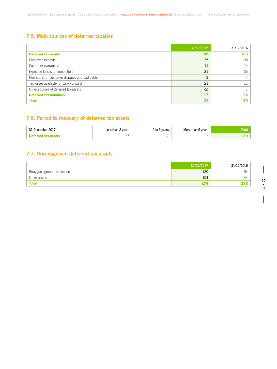## **7.5. Main sources of deferred taxation**

|                                                | 31/12/2017 | 31/12/2016 |
|------------------------------------------------|------------|------------|
| <b>Deferred tax assets</b>                     | 89         | 103        |
| Employee benefits                              | 35         | 38         |
| Customer warranties                            | 11         | 14         |
| Expected losses to completion                  | 21         | 35         |
| Provisions for customer disputes and bad debts | 3          | 4          |
| Tax losses available for carry-forward         | 21         | 11         |
| Other sources of deferred tax assets           | (2)        |            |
| <b>Deferred tax liabilities</b>                | 17         | 24         |
| <b>Total</b>                                   | 72         | 79         |

# **7.6. Period to recovery of deferred tax assets**

| December 2017<br><b>01 P</b> | Less than 2 years | vears<br>2 ເບ | More than 5 years<br>$\sim$ $\sim$ | Total |
|------------------------------|-------------------|---------------|------------------------------------|-------|
|                              | $ -$<br>ັ້        |               | つに<br>$\sim$                       |       |

# **7.7. Unrecognised deferred tax assets**

|                             | 31/12/2017 | 31/12/2016 |
|-----------------------------|------------|------------|
| Bouygues group tax election | 120        | 94         |
| Other assets                | 154        | 144        |
| <b>Total</b>                | 27A        | 238        |

 $\overline{\phantom{a}}$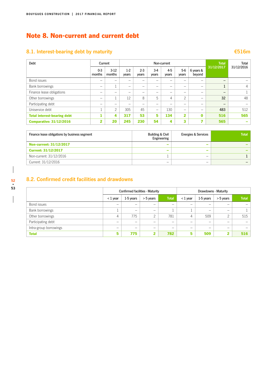# Note 8. Non-current and current debt

# **8.1. Interest-bearing debt by maturity €516m**

| Debt                               | Current           |                  |                          |                  |                          | Non-current    |                |                          | <b>Total</b> | Total      |
|------------------------------------|-------------------|------------------|--------------------------|------------------|--------------------------|----------------|----------------|--------------------------|--------------|------------|
|                                    | $0 - 3$<br>months | $3-12$<br>months | $1-2$<br>years           | $2 - 3$<br>years | $3-4$<br>years           | $4-5$<br>years | $5-6$<br>years | 6 years &<br>beyond      | 31/12/2017   | 31/12/2016 |
| Bond issues                        |                   |                  | -                        |                  |                          | -              |                | -                        | -            |            |
| Bank borrowings                    | -                 |                  | $\overline{\phantom{m}}$ |                  | -                        | —              | -              | -                        |              | 4          |
| Finance lease obligations          | –                 | -                | -                        |                  | -                        | -              | -              | -                        | -            |            |
| Other borrowings                   | -                 |                  | 12                       | 8                | 5                        | 4              | $\overline{c}$ | $\overline{\phantom{m}}$ | 32           | 48         |
| Participating debt                 | –                 |                  | -                        |                  |                          | -              |                | -                        | -            |            |
| Uniservice debt                    |                   | C                | 305                      | 45               | $\overline{\phantom{0}}$ | 130            | -              | -                        | 483          | 512        |
| <b>Total interest-bearing debt</b> |                   | 4                | 317                      | 53               | 5                        | 134            | $\overline{2}$ | $\bf{0}$                 | 516          | 565        |
| <b>Comparative: 31/12/2016</b>     | $\overline{2}$    | 20               | 245                      | 230              | 54                       | 4              | 3              | 7                        | 565          |            |

| Finance lease obligations by business segment | <b>Building &amp; Civil</b><br>Engineering | <b>Energies &amp; Services</b> | <b>Total</b> |
|-----------------------------------------------|--------------------------------------------|--------------------------------|--------------|
| <b>Non-current: 31/12/2017</b>                |                                            | -                              |              |
| <b>Current: 31/12/2017</b>                    |                                            | -                              |              |
| Non-current: 31/12/2016                       |                                            | $\overline{\phantom{0}}$       |              |
| Current: 31/12/2016                           | -                                          | $\overline{\phantom{a}}$       |              |

**8.2. Confirmed credit facilities and drawdowns**

|                        | <b>Confirmed facilities - Maturity</b> |                                |                          |              | Drawdowns - Maturity |           |             |              |
|------------------------|----------------------------------------|--------------------------------|--------------------------|--------------|----------------------|-----------|-------------|--------------|
|                        | $<$ 1 year                             | 1-5 years                      | $>$ 5 years              | <b>Total</b> | $<$ 1 year           | 1-5 years | $> 5$ years | <b>Total</b> |
| Bond issues            | -                                      | $\overline{\phantom{0}}$       | $\overline{\phantom{0}}$ | -            | -                    | -         |             |              |
| Bank borrowings        | ᆠ                                      | $\qquad \qquad \longleftarrow$ | $\overline{\phantom{m}}$ |              |                      | -         |             |              |
| Other borrowings       | 4                                      | 775                            | ⌒                        | 781          | 4                    | 509       | $\sim$      | 515          |
| Participating debt     | –                                      | $\qquad \qquad \longleftarrow$ | –                        | -            |                      |           |             |              |
| Intra-group borrowings | -                                      | $\qquad \qquad \longleftarrow$ | -                        | -            | -                    | -         |             |              |
| <b>Total</b>           | 5                                      | 775                            | ີ<br>◢                   | 782          | 5                    | 509       |             | 516          |

 $\overline{\phantom{a}}$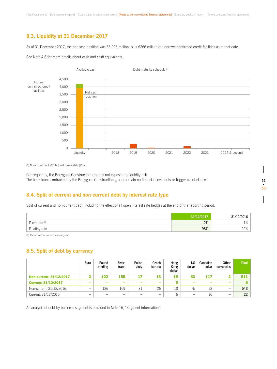## **8.3. Liquidity at 31 December 2017**

As of 31 December 2017, the net cash position was €3,925 million, plus €266 million of undrawn confirmed credit facilities as of that date.

See Note 4.6 for more details about cash and cash equivalents.



(1) Non-current debt (€511m) and current debt (€5m).

Consequently, the Bouygues Construction group is not exposed to liquidity risk. The bank loans contracted by the Bouygues Construction group contain no financial covenants or trigger event clauses.

### **8.4. Split of current and non-current debt by interest rate type**

Split of current and non-current debt, including the effect of all open interest rate hedges at the end of the reporting period:

|                | 31/12/2017 | 21/10/0012        |
|----------------|------------|-------------------|
| Fixed rate (1) | 2%         | 10/<br><b>170</b> |
| Floating rate  | 98%        | 99%               |

(1) Rates fixed for more than one year.

## **8.5. Split of debt by currency**

|                                | Euro                     | Pound<br>sterling | <b>Swiss</b><br>franc    | Polish<br>zloty          | Czech<br>koruna          | Hong<br>Kong<br>dollar | US<br>dollar             | Canadian<br>dollar | Other<br>currencies      | <b>Total</b> |
|--------------------------------|--------------------------|-------------------|--------------------------|--------------------------|--------------------------|------------------------|--------------------------|--------------------|--------------------------|--------------|
| <b>Non-current: 31/12/2017</b> |                          | 122               | 155                      | 17                       | 18                       | 15                     | 63                       | 117                |                          | 511          |
| <b>Current: 31/12/2017</b>     | $\overline{\phantom{a}}$ | -                 | $\overline{\phantom{a}}$ | -                        | -                        | 5                      | $\overline{\phantom{a}}$ | $\sim$             | $\overline{\phantom{0}}$ | 5.           |
| Non-current: 31/12/2016        | -                        | 126               | 169                      | 31                       | 26                       | 18                     | 75                       | 98                 | -                        | 543          |
| Current: 31/12/2016            | -                        | -                 | $\overline{\phantom{0}}$ | $\overline{\phantom{0}}$ | $\overline{\phantom{0}}$ | 6                      | -                        | 16                 | -                        | 22           |

An analysis of debt by business segment is provided in Note 16, "Segment information".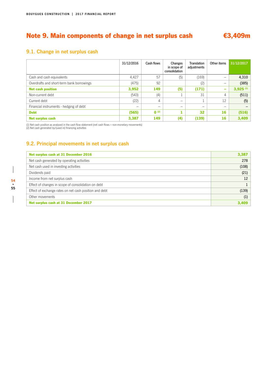# Note 9. Main components of change in net surplus cash €3,409m

# **9.1. Change in net surplus cash**

|                                           | 31/12/2016 | Cash flows | Changes<br>in scope of<br>consolidation | <b>Translation</b><br>adjustments | Other items              | 31/12/2017             |
|-------------------------------------------|------------|------------|-----------------------------------------|-----------------------------------|--------------------------|------------------------|
| Cash and cash equivalents                 | 4,427      | 57         | (5)                                     | (169)                             | $\overline{\phantom{m}}$ | 4,310                  |
| Overdrafts and short-term bank borrowings | (475)      | 92         |                                         | (2)                               | -                        | (385)                  |
| <b>Net cash position</b>                  | 3,952      | 149        | (5)                                     | (171)                             | ÷                        | $3,925$ <sup>(1)</sup> |
| Non-current debt                          | (543)      | (4)        |                                         | 31                                | 4                        | (511)                  |
| Current debt                              | (22)       | 4          | -                                       |                                   | 12                       | (5)                    |
| Financial instruments - hedging of debt   | -          | -          | -                                       | -                                 | $\overline{\phantom{m}}$ |                        |
| <b>Debt</b>                               | (565)      | $0^{(2)}$  |                                         | 32                                | 16                       | (516)                  |
| <b>Net surplus cash</b>                   | 3,387      | 149        | (4)                                     | (139)                             | 16                       | 3,409                  |

(1) Net cash position as analysed in the cash flow statement (net cash flows + non-monetary movements) (2) Net cash generated by/(used in) financing activities

# **9.2. Principal movements in net surplus cash**

| Net surplus cash at 31 December 2016                   | 3,387 |
|--------------------------------------------------------|-------|
| Net cash generated by operating activities             | 278   |
| Net cash used in investing activities                  | (108) |
| Dividends paid                                         | (21)  |
| Income from net surplus cash                           | 12    |
| Effect of changes in scope of consolidation on debt    |       |
| Effect of exchange rates on net cash position and debt | (139) |
| Other movements                                        | (1)   |
| Net surplus cash at 31 December 2017                   | 3,409 |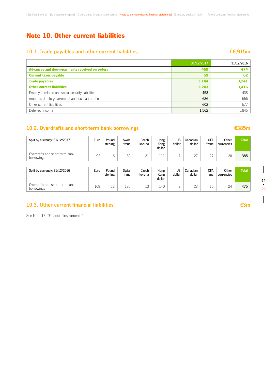# Note 10. Other current liabilities

# **10.1. Trade payables and other current liabilities ★6,915m**

|                                                  | 31/12/2017 | 31/12/2016 |
|--------------------------------------------------|------------|------------|
| Advances and down-payments received on orders    | 469        | 474        |
| <b>Current taxes payable</b>                     | 59         | 62         |
| <b>Trade payables</b>                            | 3,144      | 3,241      |
| <b>Other current liabilities</b>                 | 3,243      | 3,416      |
| Employee-related and social security liabilities | 453        | 438        |
| Amounts due to government and local authorities  | 626        | 556        |
| Other current liabilities                        | 602        | 577        |
| Deferred income                                  | 1,562      | 1,845      |

## **10.2. Overdrafts and short-term bank borrowings €385m**

| Split by currency: 31/12/2017                | Euro | Pound<br>sterling | <b>Swiss</b><br>franc | Czech<br>koruna | Hong<br>Kong<br>dollar | US<br>dollar | Canadian<br>dollar | CFA<br>franc       | Other<br>currencies | <b>Total</b> |
|----------------------------------------------|------|-------------------|-----------------------|-----------------|------------------------|--------------|--------------------|--------------------|---------------------|--------------|
| Overdrafts and short-term bank<br>borrowings | 92   |                   | 80                    | 21              |                        |              | $\cap$             | $\cap$<br><u>.</u> | 20                  | 385          |

| Split by currency: 31/12/2016                | Euro | Pound<br>sterling | <b>Swiss</b><br>franc | Czech<br>koruna | Hong<br>Kong<br>dollar | US<br>dollar | Canadian<br>dollar | <b>CFA</b><br>franc | Other<br>currencies | <b>Total</b> |
|----------------------------------------------|------|-------------------|-----------------------|-----------------|------------------------|--------------|--------------------|---------------------|---------------------|--------------|
| Overdrafts and short-term bank<br>borrowings | 109  | 1 ^               | 136                   | -2<br>⊥◡        | 140                    |              | 23                 | $\sim$              | 24                  | 475          |

## **10.3. Other current financial liabilities €3m**

See Note 17, "Financial instruments".

**54 • 55**  $\overline{\phantom{a}}$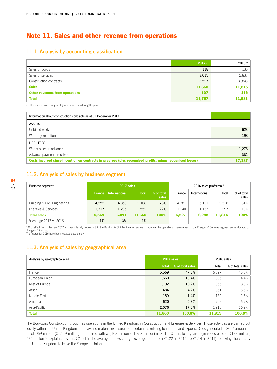# Note 11. Sales and other revenue from operations

### **11.1. Analysis by accounting classification**

|                                       | $2017^{(1)}$ | $2016^{(1)}$ |
|---------------------------------------|--------------|--------------|
| Sales of goods                        | 118          | 135          |
| Sales of services                     | 3,015        | 2,837        |
| Construction contracts                | 8,527        | 8,843        |
| <b>Sales</b>                          | 11,660       | 11,815       |
| <b>Other revenues from operations</b> | 107          | 116          |
| <b>Total</b>                          | 11,767       | 11,931       |

(1) There were no exchanges of goods or services during the period.

| Information about construction contracts as at 31 December 2017                                            |        |
|------------------------------------------------------------------------------------------------------------|--------|
| <b>ASSETS</b>                                                                                              |        |
| Unbilled works                                                                                             | 623    |
| Warranty retentions                                                                                        | 198    |
| <b>LIABILITIES</b>                                                                                         |        |
| Works billed in advance                                                                                    | 1,276  |
| Advance payments received                                                                                  | 382    |
| Costs incurred since inception on contracts in progress (plus recognised profits, minus recognised losses) | 17.187 |

## **11.2. Analysis of sales by business segment**

| <b>Business segment</b>      | 2017 sales    |                      |              |                     | 2016 sales proforma * |               |              |                     |
|------------------------------|---------------|----------------------|--------------|---------------------|-----------------------|---------------|--------------|---------------------|
|                              | <b>France</b> | <b>International</b> | <b>Total</b> | % of total<br>sales | France                | International | <b>Total</b> | % of total<br>sales |
| Building & Civil Engineering | 4.252         | 4.856                | 9.108        | 78%                 | 4.387                 | 5.131         | 9.518        | 81%                 |
| Energies & Services          | 1.317         | 1,235                | 2.552        | 22%                 | 1.140                 | 1.157         | 2.297        | 19%                 |
| <b>Total sales</b>           | 5.569         | 6,091                | 11.660       | 100%                | 5.527                 | 6.288         | 11.815       | 100%                |
| % change 2017 vs 2016        | 1%            | $-3%$                | $-1%$        |                     |                       |               |              |                     |

\* With effect from 1 January 2017, contracts legally housed within the Building & Civil Engineering segment but under the operational management of the Energies & Services segment are reallocated to Energies & Services. The figures for 2016 have been restated accordingly.

## **11.3. Analysis of sales by geographical area**

| Analysis by geographical area | 2017 sales   |                  | 2016 sales |                  |  |
|-------------------------------|--------------|------------------|------------|------------------|--|
|                               | <b>Total</b> | % of total sales | Total      | % of total sales |  |
| France                        | 5,569        | 47.8%            | 5,527      | 46.8%            |  |
| European Union                | 1,560        | 13.4%            | 1.695      | 14.4%            |  |
| Rest of Europe                | 1,192        | 10.2%            | 1.055      | 8.9%             |  |
| Africa                        | 484          | 4.2%             | 651        | 5.5%             |  |
| Middle East                   | 159          | 1.4%             | 182        | 1.5%             |  |
| Americas                      | 620          | 5.3%             | 792        | 6.7%             |  |
| Asia-Pacific                  | 2,076        | 17.8%            | 1.913      | 16.2%            |  |
| <b>Total</b>                  | 11,660       | 100.0%           | 11,815     | 100.0%           |  |

The Bouygues Construction group has operations in the United Kingdom, in Construction and Energies & Services. Those activities are carried out locally within the United Kingdom, and have no material exposure to uncertainties relating to imports and exports. Sales generated in 2017 amounted to £1,069 million (€1,219 million), compared with £1,108 million (€1,352 million) in 2016. Of the total year-on-year decrease of €133 million, €86 million is explained by the 7% fall in the average euro/sterling exchange rate (from €1.22 in 2016, to €1.14 in 2017) following the vote by the United Kingdom to leave the European Union.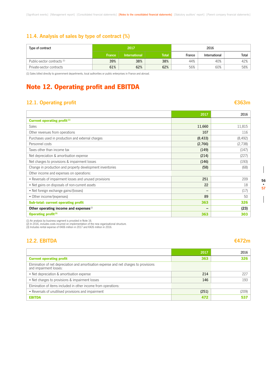# **11.4. Analysis of sales by type of contract (%)**

| Type of contract            | 2017          |                      |              | 2016   |               |       |  |
|-----------------------------|---------------|----------------------|--------------|--------|---------------|-------|--|
|                             | <b>France</b> | <b>International</b> | <b>Total</b> | France | International | Total |  |
| Public-sector contracts (1) | 39%           | 38%                  | 38%          | 44%    | 40%           | 42%   |  |
| Private-sector contracts    | 61%           | 62%                  | 62%          | 56%    | 60%           | 58%   |  |

(1) Sales billed directly to government departments, local authorities or public enterprises in France and abroad.

# Note 12. Operating profit and EBITDA

# **12.1. Operating profit €363m**

|                                                           | 2017                     | 2016     |
|-----------------------------------------------------------|--------------------------|----------|
| Current operating profit <sup>(1)</sup>                   |                          |          |
| <b>Sales</b>                                              | 11,660                   | 11,815   |
| Other revenues from operations                            | 107                      | 116      |
| Purchases used in production and external charges         | (8, 433)                 | (8, 492) |
| Personnel costs                                           | (2,766)                  | (2,738)  |
| Taxes other than income tax                               | (149)                    | (147)    |
| Net depreciation & amortisation expense                   | (214)                    | (227)    |
| Net charges to provisions & impairment losses             | (146)                    | (193)    |
| Change in production and property development inventories | (58)                     | (68)     |
| Other income and expenses on operations:                  |                          |          |
| • Reversals of impairment losses and unused provisions    | 251                      | 209      |
| • Net gains on disposals of non-current assets            | 22                       | 18       |
| • Net foreign exchange gains/(losses)                     | $\overline{\phantom{m}}$ | (17)     |
| • Other income/(expenses)                                 | 89                       | 50       |
| Sub-total: current operating profit                       | 363                      | 326      |
| Other operating income and expenses <sup>(2)</sup>        | -                        | (23)     |
| <b>Operating profit(3)</b>                                | 363                      | 303      |

(1) An analysis by business segment is provided in Note 16.<br>(2) In 2016, includes costs incurred on implementation of the new organisational structure.<br>(3) Includes rental expense of €406 million in 2017 and €426 million i

# **12.2. EBITDA €472m**

|                                                                                                                  | 2017  | 2016  |
|------------------------------------------------------------------------------------------------------------------|-------|-------|
| <b>Current operating profit</b>                                                                                  | 363   | 326   |
| Elimination of net depreciation and amortisation expense and net charges to provisions<br>and impairment losses: |       |       |
| • Net depreciation & amortisation expense                                                                        | 214   | 227   |
| • Net charges to provisions & impairment losses                                                                  | 146   | 193   |
| Elimination of items included in other income from operations:                                                   |       |       |
| • Reversals of unutilised provisions and impairment                                                              | (251) | (209) |
| <b>EBITDA</b>                                                                                                    | 472   | 537   |

 $\overline{\phantom{a}}$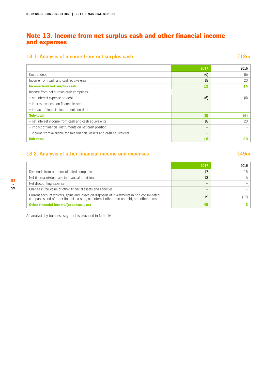# Note 13. Income from net surplus cash and other financial income and expenses

# **13.1. Analysis of income from net surplus cash €12m**

|                                                                        | 2017 | 2016 |
|------------------------------------------------------------------------|------|------|
| Cost of debt                                                           | (6)  | (6)  |
| Income from cash and cash equivalents                                  | 18   | 20   |
| Income from net surplus cash                                           | 12   | 14   |
| Income from net surplus cash comprises:                                |      |      |
| • net interest expense on debt                                         | (6)  | (6)  |
| • interest expense on finance leases                                   | -    |      |
| • impact of financial instruments on debt                              | -    |      |
| Sub-total                                                              | (6)  | (6)  |
| • net interest income from cash and cash equivalents                   | 18   | 20   |
| • impact of financial instruments on net cash position                 | -    |      |
| • income from available-for-sale financial assets and cash equivalents | -    |      |
| <b>Sub-total</b>                                                       | 18   |      |

# **13.2. Analysis of other financial income and expenses €49m**

|                                                                                                                                                                                        | 2017 | 2016 |
|----------------------------------------------------------------------------------------------------------------------------------------------------------------------------------------|------|------|
| Dividends from non-consolidated companies                                                                                                                                              | 17   |      |
| Net (increase)/decrease in financial provisions                                                                                                                                        | 13   |      |
| Net discounting expense                                                                                                                                                                |      |      |
| Change in fair value of other financial assets and liabilities                                                                                                                         |      |      |
| Current account waivers, gains and losses on disposals of investments in non-consolidated<br>companies and of other financial assets, net interest other than on debt, and other items | 19   |      |
| Other financial income/(expenses), net                                                                                                                                                 | 49   |      |

An analysis by business segment is provided in Note 16.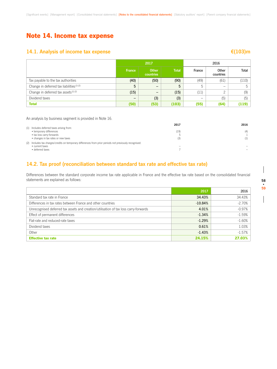# Note 14. Income tax expense

# **14.1. Analysis of income tax expense €(103)m**

|                                                      | 2016<br>2017  |                    |              |        |                    |       |
|------------------------------------------------------|---------------|--------------------|--------------|--------|--------------------|-------|
|                                                      | <b>France</b> | Other<br>countries | <b>Total</b> | France | Other<br>countries | Total |
| Tax payable to the tax authorities                   | (40)          | (50)               | (90)         | (49)   | (61)               | (110) |
| Change in deferred tax liabilities <sup>(1)(2)</sup> | 5             | -                  | 5            | 5      | -                  | 5.    |
| Change in deferred tax assets <sup>(1)(2)</sup>      | (15)          | —                  | (15)         | (11)   | $\mathcal{L}$      | (9)   |
| Dividend taxes                                       | -             | (3)                | (3)          | -      | (5)                | (5)   |
| <b>Total</b>                                         | (50)          | (53)               | (103)        | (55)   | (64)               | (119) |

An analysis by business segment is provided in Note 16.

|                                                                                                                                          | 2017                     | 2016       |
|------------------------------------------------------------------------------------------------------------------------------------------|--------------------------|------------|
| (1) Includes deferred taxes arising from:<br>• temporary differences<br>• tax loss carry-forwards<br>• changes in tax rates or new taxes | (19)<br>(3)              | (4)<br>(1) |
| (2) Includes tax charges/credits on temporary differences from prior periods not previously recognised:<br>• current taxes               | $\overline{\phantom{a}}$ |            |
| • deferred taxes                                                                                                                         |                          |            |

### **14.2. Tax proof (reconciliation between standard tax rate and effective tax rate)**

Differences between the standard corporate income tax rate applicable in France and the effective tax rate based on the consolidated financial statements are explained as follows:

|                                                                                      | 2017      | 2016     |
|--------------------------------------------------------------------------------------|-----------|----------|
| Standard tax rate in France                                                          | 34.43%    | 34.43%   |
| Differences in tax rates between France and other countries                          | $-10.84%$ | $-2.70%$ |
| Unrecognised deferred tax assets and creation/utilisation of tax loss carry-forwards | 4.01%     | $-0.97%$ |
| Effect of permanent differences                                                      | $-1.34%$  | $-1.59%$ |
| Flat-rate and reduced-rate taxes                                                     | $-1.29%$  | $-1.60%$ |
| Dividend taxes                                                                       | 0.61%     | 1.03%    |
| Other                                                                                | $-1.43%$  | $-1.57%$ |
| <b>Effective tax rate</b>                                                            | 24.15%    | 27.03%   |

 $\overline{\phantom{a}}$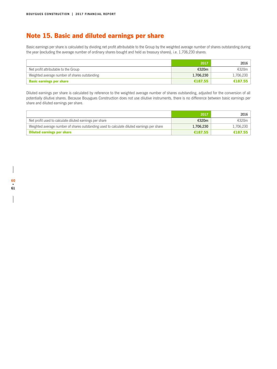# Note 15. Basic and diluted earnings per share

Basic earnings per share is calculated by dividing net profit attributable to the Group by the weighted average number of shares outstanding during the year (excluding the average number of ordinary shares bought and held as treasury shares), i.e. 1,706,230 shares.

|                                               | 2017      | 2016      |
|-----------------------------------------------|-----------|-----------|
| Net profit attributable to the Group          | €320m     | €320m     |
| Weighted average number of shares outstanding | 1,706,230 | 1,706,230 |
| <b>Basic earnings per share</b>               | €187.55   | €187.55   |

Diluted earnings per share is calculated by reference to the weighted average number of shares outstanding, adjusted for the conversion of all potentially dilutive shares. Because Bouygues Construction does not use dilutive instruments, there is no difference between basic earnings per share and diluted earnings per share.

|                                                                                            | 2017      | 2016      |
|--------------------------------------------------------------------------------------------|-----------|-----------|
| Net profit used to calculate diluted earnings per share                                    | €320m     | £320m     |
| Weighted average number of shares outstanding used to calculate diluted earnings per share | 1,706,230 | 1,706,230 |
| <b>Diluted earnings per share</b>                                                          | €187.55   | €187.55   |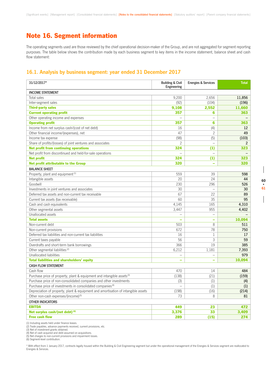# Note 16. Segment information

The operating segments used are those reviewed by the chief operational decision-maker of the Group, and are not aggregated for segment reporting purposes. The table below shows the contribution made by each business segment to key items in the income statement, balance sheet and cash flow statement:

### **16.1. Analysis by business segment: year ended 31 December 2017**

| 31/12/2017*                                                                        | <b>Building &amp; Civil</b><br>Engineering | <b>Energies &amp; Services</b> | <b>Total</b> |
|------------------------------------------------------------------------------------|--------------------------------------------|--------------------------------|--------------|
| <b>INCOME STATEMENT</b>                                                            |                                            |                                |              |
| Total sales                                                                        | 9,200                                      | 2,656                          | 11,856       |
| Inter-segment sales                                                                | (92)                                       | (104)                          | (196)        |
| <b>Third-party sales</b>                                                           | 9,108                                      | 2,552                          | 11,660       |
| <b>Current operating profit</b>                                                    | 357                                        | 6                              | 363          |
| Other operating income and expenses                                                | $\overline{\phantom{0}}$                   |                                |              |
| <b>Operating profit</b>                                                            | 357                                        | 6                              | 363          |
| Income from net surplus cash/(cost of net debt)                                    | 16                                         | (4)                            | 12           |
| Other financial income/(expenses), net                                             | 47                                         | $\overline{c}$                 | 49           |
| Income tax expense                                                                 | (98)                                       | (5)                            | (103)        |
| Share of profits/(losses) of joint ventures and associates                         | $\overline{c}$                             |                                | 2            |
| <b>Net profit from continuing operations</b>                                       | 324                                        | (1)                            | 323          |
| Net profit from discontinued and held-for-sale operations                          |                                            |                                |              |
| <b>Net profit</b>                                                                  | 324                                        | (1)                            | 323          |
| <b>Net profit attributable to the Group</b>                                        | 320                                        | ÷                              | 320          |
| <b>BALANCE SHEET</b>                                                               |                                            |                                |              |
| Property, plant and equipment <sup>(1)</sup>                                       | 559                                        | 39                             | 598          |
| Intangible assets                                                                  | 20                                         | 24                             | 44           |
| Goodwill                                                                           | 230                                        | 296                            | 526          |
| Investments in joint ventures and associates                                       | 30                                         | $\qquad \qquad -$              | 30           |
| Deferred tax assets and non-current tax receivable                                 | 67                                         | 22                             | 89           |
| Current tax assets (tax receivable)                                                | 60                                         | 35                             | 95           |
| Cash and cash equivalents                                                          | 4,145                                      | 165                            | 4,310        |
| Other segmental assets                                                             | 3,447                                      | 955                            | 4,402        |
| Unallocated assets                                                                 |                                            |                                |              |
| <b>Total assets</b>                                                                |                                            | $\equiv$                       | 10,094       |
| Non-current debt                                                                   | 503                                        | 8                              | 511          |
| Non-current provisions                                                             | 672                                        | 78                             | 750          |
| Deferred tax liabilities and non-current tax liabilities                           | 16                                         | $\mathbf{1}$                   | 17           |
| Current taxes payable                                                              | 56                                         | 3                              | 59           |
| Overdrafts and short-term bank borrowings                                          | 366                                        | 19                             | 385          |
| Other segmental liabilities <sup>(2)</sup>                                         | 6,212                                      | 1,181                          | 7,393        |
| Unallocated liabilities                                                            |                                            |                                | 979          |
| <b>Total liabilities and shareholders' equity</b>                                  | L.                                         | $\overline{\phantom{a}}$       | 10.094       |
| <b>CASH FLOW STATEMENT</b>                                                         |                                            |                                |              |
| Cash flow                                                                          | 470                                        | 14                             | 484          |
| Purchase price of property, plant & equipment and intangible assets <sup>(3)</sup> | (138)                                      | (21)                           | (159)        |
| Purchase price of non-consolidated companies and other investments                 | (3)                                        | (1)                            | (4)          |
| Purchase price of investments in consolidated companies <sup>(4)</sup>             | $\equiv$                                   | (1)                            | (1)          |
| Depreciation of property, plant & equipment and amortisation of intangible assets  | (198)                                      | (16)                           | (214)        |
| Other non-cash expenses/(income) <sup>(5)</sup>                                    | 73                                         | 8                              | 81           |
| <b>OTHER INDICATORS</b>                                                            |                                            |                                |              |
| <b>EBITDA</b>                                                                      | 449                                        | 23                             | 472          |
| Net surplus cash/(net debt) (6)                                                    | 3,376                                      | 33                             | 3,409        |
| <b>Free cash flow</b>                                                              | 289                                        | (15)                           | 274          |

(1) Including assets held under finance leases.

(2) Trade payables, advance payments received, current provisions, etc. (3) Net of investment grants obtained.

(4) Net of cash acquired and debt assumed on acquisitions. (5) Net charges to non-current provisions and impairment losses.

(6) Segment-level contribution.

\* With effect from 1 January 2017, contracts legally housed within the Building & Civil Engineering segment but under the operational management of the Energies & Services segment are reallocated to Energies & Services.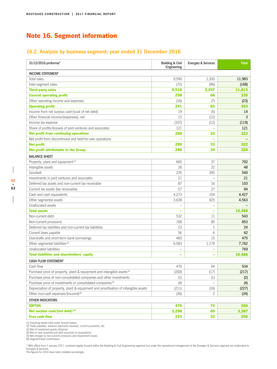# Note 16. Segment information

# **16.2. Analysis by business segment: year ended 31 December 2016**

| 31/12/2016 proforma*                                                               | <b>Building &amp; Civil</b><br>Engineering | <b>Energies &amp; Services</b> | <b>Total</b> |
|------------------------------------------------------------------------------------|--------------------------------------------|--------------------------------|--------------|
| <b>INCOME STATEMENT</b>                                                            |                                            |                                |              |
| Total sales                                                                        | 9,590                                      | 2,393                          | 11,983       |
| Inter-segment sales                                                                | (72)                                       | (96)                           | (168)        |
| <b>Third-party sales</b>                                                           | 9,518                                      | 2,297                          | 11,815       |
| <b>Current operating profit</b>                                                    | 258                                        | 68                             | 326          |
| Other operating income and expenses                                                | (16)                                       | (7)                            | (23)         |
| <b>Operating profit</b>                                                            | 241                                        | 62                             | 303          |
| Income from net surplus cash/(cost of net debt)                                    | 19                                         | (5)                            | 14           |
| Other financial income/(expenses), net                                             | 15                                         | (12)                           | 3            |
| Income tax expense                                                                 | (107)                                      | (12)                           | (119)        |
| Share of profits/(losses) of joint ventures and associates                         | 121                                        |                                | 121          |
| <b>Net profit from continuing operations</b>                                       | 289                                        | 33                             | 322          |
| Net profit from discontinued and held-for-sale operations                          |                                            |                                |              |
| <b>Net profit</b>                                                                  | 289                                        | 33                             | 322          |
| <b>Net profit attributable to the Group</b>                                        | 286                                        | 34                             | 320          |
| <b>BALANCE SHEET</b>                                                               |                                            |                                |              |
| Property, plant and equipment <sup>(1)</sup>                                       | 665                                        | 37                             | 702          |
| Intangible assets                                                                  | 26                                         | 22                             | 48           |
| Goodwill                                                                           | 235                                        | 305                            | 540          |
| Investments in joint ventures and associates                                       | 21                                         |                                | 21           |
| Deferred tax assets and non-current tax receivable                                 | 87                                         | 16                             | 103          |
| Current tax assets (tax receivable)                                                | 57                                         | 27                             | 84           |
| Cash and cash equivalents                                                          | 4,273                                      | 154                            | 4,427        |
| Other segmental assets                                                             | 3,638                                      | 925                            | 4,563        |
| Unallocated assets                                                                 |                                            | $\overline{\phantom{0}}$       |              |
| <b>Total assets</b>                                                                |                                            | ÷                              | 10,488       |
| Non-current debt                                                                   | 532                                        | 11                             | 543          |
| Non-current provisions                                                             | 768                                        | 85                             | 853          |
| Deferred tax liabilities and non-current tax liabilities                           | 23                                         | 1                              | 24           |
| Current taxes payable                                                              | 56                                         | 6                              | 62           |
| Overdrafts and short-term bank borrowings                                          | 460                                        | 15                             | 475          |
| Other segmental liabilities <sup>(2)</sup>                                         | 6,583                                      | 1,179                          | 7,762        |
| Unallocated liabilities                                                            |                                            |                                | 769          |
| <b>Total liabilities and shareholders' equity</b>                                  |                                            |                                | 10,488       |
| <b>CASH FLOW STATEMENT</b>                                                         |                                            |                                |              |
| Cash flow                                                                          | 470                                        | 64                             | 534          |
| Purchase price of property, plant & equipment and intangible assets <sup>(3)</sup> | (200)                                      | (17)                           | (217)        |
| Purchase price of non-consolidated companies and other investments                 | (1)                                        | (1)                            | (2)          |
| Purchase price of investments in consolidated companies <sup>(4)</sup>             | (4)                                        | $\overline{\phantom{m}}$       | (4)          |
| Depreciation of property, plant & equipment and amortisation of intangible assets  | (211)                                      | (16)                           | (227)        |
| Other non-cash expenses/(income) <sup>(5)</sup>                                    | (36)                                       | 2                              | (34)         |
| OTHER INDICATORS                                                                   |                                            |                                |              |
| <b>EBITDA</b>                                                                      | 476                                        | 74                             | 550          |
| Net surplus cash/(net debt) (6)                                                    | 3,298                                      | 89                             | 3,387        |
| <b>Free cash flow</b>                                                              | 223                                        | 33                             | 256          |

(1) Including assets held under finance leases. (2) Trade payables, advance payments received, current provisions, etc. (3) Net of investment grants obtained.

(4) Net of cash acquired and debt assumed on acquisitions. (5) Net charges to non-current provisions and impairment losses. (6) Segment-level contribution.

\* With effect from 1 January 2017, contracts legally housed within the Building & Civil Engineering segment but under the operational management of the Energies & Services segment are reallocated to Energies & Services. The figures for 2016 have been restated accordingly.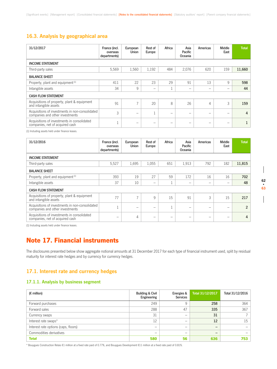## **16.3. Analysis by geographical area**

| 31/12/2017                                                                         | France (incl.<br>overseas<br>departments) | European<br>Union | Rest of<br>Europe        | Africa          | Asia<br>Pacific<br>Oceania | Americas | Middle<br>East | <b>Total</b> |
|------------------------------------------------------------------------------------|-------------------------------------------|-------------------|--------------------------|-----------------|----------------------------|----------|----------------|--------------|
| <b>INCOME STATEMENT</b>                                                            |                                           |                   |                          |                 |                            |          |                |              |
| Third-party sales                                                                  | 5.569                                     | 1,560             | 1,192                    | 484             | 2,076                      | 620      | 159            | 11,660       |
| <b>BALANCE SHEET</b>                                                               |                                           |                   |                          |                 |                            |          |                |              |
| Property, plant and equipment <sup>(1)</sup>                                       | 411                                       | 22                | 23                       | 29              | 91                         | 13       | 9              | 598          |
| Intangible assets                                                                  | 34                                        | 9                 | $\overline{\phantom{0}}$ |                 | $\overline{\phantom{0}}$   | -        | -              | 44           |
| <b>CASH FLOW STATEMENT</b>                                                         |                                           |                   |                          |                 |                            |          |                |              |
| Acquisitions of property, plant & equipment<br>and intangible assets               | 91                                        | $\overline{7}$    | 20                       | 8               | 26                         | 4        | 3              | 159          |
| Acquisitions of investments in non-consolidated<br>companies and other investments | 3                                         | -                 |                          | $\qquad \qquad$ | -                          |          |                | 4            |
| Acquisitions of investments in consolidated<br>companies, net of acquired cash     | Ŧ                                         | -                 | -                        | -               | -                          |          |                |              |

(1) Including assets held under finance leases.

| 31/12/2016                                                                         | France (incl.<br>overseas<br>departments) | European<br>Union | Rest of<br>Europe        | Africa | Asia<br>Pacific<br>Oceania | Americas | Middle<br>East | <b>Total</b>   |
|------------------------------------------------------------------------------------|-------------------------------------------|-------------------|--------------------------|--------|----------------------------|----------|----------------|----------------|
| <b>INCOME STATEMENT</b>                                                            |                                           |                   |                          |        |                            |          |                |                |
| Third-party sales                                                                  | 5.527                                     | 1,695             | 1,055                    | 651    | 1.913                      | 792      | 182            | 11,815         |
| <b>BALANCE SHEET</b>                                                               |                                           |                   |                          |        |                            |          |                |                |
| Property, plant and equipment <sup>(1)</sup>                                       | 393                                       | 19                | 27                       | 59     | 172                        | 16       | 16             | 702            |
| Intangible assets                                                                  | 37                                        | 10                | $\overline{\phantom{m}}$ | Ŧ      | -                          | -        | -              | 48             |
| <b>CASH FLOW STATEMENT</b>                                                         |                                           |                   |                          |        |                            |          |                |                |
| Acquisitions of property, plant & equipment<br>and intangible assets               | 77                                        | $\overline{ }$    | $\mathsf{Q}$             | 15     | 91                         | 3        | 15             | 217            |
| Acquisitions of investments in non-consolidated<br>companies and other investments | $\mathbf{r}$                              |                   | -                        | м      | -                          |          |                | $\overline{2}$ |
| Acquisitions of investments in consolidated<br>companies, net of acquired cash     | -                                         | 4                 | $\overline{\phantom{m}}$ | -      | -                          |          |                | 4              |

(1) Including assets held under finance leases.

# Note 17. Financial instruments

The disclosures presented below show aggregate notional amounts at 31 December 2017 for each type of financial instrument used, split by residual maturity for interest rate hedges and by currency for currency hedges.

### **17.1. Interest rate and currency hedges**

### **17.1.1. Analysis by business segment**

| $(E \text{ million})$                | <b>Building &amp; Civil</b><br>Engineering | Energies &<br><b>Services</b> | Total 31/12/2017 | Total 31/12/2016 |
|--------------------------------------|--------------------------------------------|-------------------------------|------------------|------------------|
| Forward purchases                    | 249                                        |                               | 258              | 364              |
| Forward sales                        | 288                                        | 47                            | 335              | 367              |
| Currency swaps                       | 31                                         | -                             | 31               |                  |
| Interest rate swaps*                 | 12                                         | -                             | 12               | 15               |
| Interest rate options (caps, floors) |                                            |                               | –                |                  |
| Commodities derivatives              |                                            | –                             | –                |                  |
| <b>Total</b>                         | 580                                        | 56                            | 636              | 753              |

\* Bouygues Construction Relais €1 million at a fixed rate paid of 0.77%, and Bouygues Development €11 million at a fixed rate paid of 0.81%.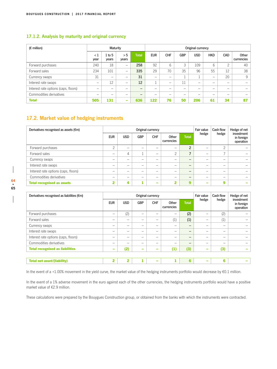### **17.1.2. Analysis by maturity and original currency**

| $(E \text{ million})$                |                 | Maturity                     |                          |                          |            | Original currency |            |            |                          |            |                     |
|--------------------------------------|-----------------|------------------------------|--------------------------|--------------------------|------------|-------------------|------------|------------|--------------------------|------------|---------------------|
|                                      | $\lt 1$<br>year | 1 to 5<br>years              | > 5<br>years             | Total <sup>'</sup>       | <b>EUR</b> | <b>CHF</b>        | <b>GBP</b> | <b>USD</b> | <b>HKD</b>               | <b>CAD</b> | Other<br>currencies |
| Forward purchases                    | 240             | 18                           | $\overline{\phantom{0}}$ | 258                      | 92         | 6                 | 3          | 109        | 6                        | $\bigcap$  | 40                  |
| Forward sales                        | 234             | 101                          | $\overline{\phantom{0}}$ | 335                      | 29         | 70                | 35         | 96         | 55                       | 12         | 38                  |
| Currency swaps                       | 31              | $\qquad \qquad \blacksquare$ | -                        | 31                       | –          | –                 |            |            | $\overline{\phantom{m}}$ | 20         | 9                   |
| Interest rate swaps                  | -               | 12                           | -                        | 12                       |            | -                 | 11         | -          | $\overline{\phantom{0}}$ |            |                     |
| Interest rate options (caps, floors) | -               | $\overline{\phantom{0}}$     | -                        | $\overline{\phantom{0}}$ |            | -                 |            | -          | -                        |            |                     |
| Commodities derivatives              |                 | -                            |                          | —                        |            |                   |            |            | $\overline{\phantom{0}}$ |            |                     |
| <b>Total</b>                         | 505             | 131                          | -                        | 636                      | 122        | 76                | 50         | 206        | 61                       | 34         | 87                  |

# **17.2. Market value of hedging instruments**

| Derivatives recognised as assets $(\epsilon m)$ |            |            | Original currency | Fair value               | Cash flow                | Hedge of net   |                          |               |                                       |
|-------------------------------------------------|------------|------------|-------------------|--------------------------|--------------------------|----------------|--------------------------|---------------|---------------------------------------|
|                                                 | <b>EUR</b> | <b>USD</b> | <b>GBP</b>        | <b>CHF</b>               | Other<br>currencies      | <b>Total</b>   | hedge                    | hedge         | investment<br>in foreign<br>operation |
| Forward purchases                               | $\sim$     | -          | -                 | –                        | $\overline{\phantom{0}}$ | $\mathfrak{p}$ | -                        | $\Omega$      |                                       |
| Forward sales                                   |            | 4          |                   |                          | $\Omega$                 | ⇁              | -                        | $\rightarrow$ |                                       |
| Currency swaps                                  |            |            |                   |                          |                          | -              | -                        | -             |                                       |
| Interest rate swaps                             | -          | -          |                   | -                        |                          | -              | -                        | -             |                                       |
| Interest rate options (caps, floors)            |            |            |                   |                          |                          | -              |                          | -             |                                       |
| Commodities derivatives                         |            |            |                   |                          |                          | -              | -                        | -             |                                       |
| <b>Total recognised as assets</b>               | n          | 4          |                   | $\overline{\phantom{a}}$ | $\overline{\mathbf{2}}$  | 9              | $\overline{\phantom{0}}$ | 9             |                                       |

| ۰.<br>×  |  |
|----------|--|
| ×<br>۰.  |  |
| ۰,<br>۰, |  |

| Derivatives recognised as liabilities $(\epsilon m)$ |                          | Original currency |                          |            |                     | Fair value               | Cash flow                | Hedge of net |       |                                       |
|------------------------------------------------------|--------------------------|-------------------|--------------------------|------------|---------------------|--------------------------|--------------------------|--------------|-------|---------------------------------------|
|                                                      | <b>EUR</b>               | <b>USD</b>        | <b>GBP</b>               | <b>CHF</b> | Other<br>currencies | <b>Total</b>             |                          | hedge        | hedge | investment<br>in foreign<br>operation |
| Forward purchases                                    | $\overline{\phantom{0}}$ | (2)               | $\overline{\phantom{0}}$ |            | -                   | (2)                      | -                        | (2)          |       |                                       |
| Forward sales                                        |                          |                   | -                        | -          | (1)                 | (1)                      | -                        | (1)          |       |                                       |
| Currency swaps                                       |                          |                   | -                        |            |                     | $\overline{\phantom{0}}$ |                          |              |       |                                       |
| Interest rate swaps                                  |                          |                   | -                        | -          | -                   | $\overline{\phantom{0}}$ | -                        | -            |       |                                       |
| Interest rate options (caps, floors)                 | $\overline{\phantom{0}}$ | -                 | -                        | -          | -                   |                          | -                        | -            |       |                                       |
| Commodities derivatives                              | $\overline{\phantom{0}}$ | -                 | -                        | -          | -                   | $\overline{\phantom{m}}$ | $\overline{\phantom{m}}$ | -            |       |                                       |
| <b>Total recognised as liabilities</b>               | -                        | (2)               | $\overline{\phantom{a}}$ | -          | (1)                 | (3)                      | -                        | (3)          |       |                                       |
|                                                      |                          |                   |                          |            |                     |                          |                          |              |       |                                       |
| <b>Total net asset/(liability)</b>                   | $\overline{2}$           | $\overline{2}$    | 1                        | -          |                     | 6                        | -                        | 6            |       |                                       |
|                                                      |                          |                   |                          |            |                     |                          |                          |              |       |                                       |

In the event of a +1.00% movement in the yield curve, the market value of the hedging instruments portfolio would decrease by €0.1 million.

In the event of a 1% adverse movement in the euro against each of the other currencies, the hedging instruments portfolio would have a positive market value of €2.9 million.

These calculations were prepared by the Bouygues Construction group, or obtained from the banks with which the instruments were contracted.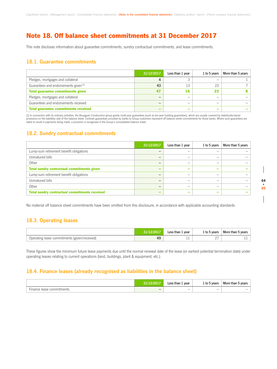# Note 18. Off balance sheet commitments at 31 December 2017

This note discloses information about guarantee commitments, sundry contractual commitments, and lease commitments.

### **18.1. Guarantee commitments**

|                                             | 31/12/2017 | Less than 1 year | 1 to 5 years    | More than 5 years |
|---------------------------------------------|------------|------------------|-----------------|-------------------|
| Pledges, mortgages and collateral           |            |                  |                 |                   |
| Guarantees and endorsements given (1)       | 43         | 13               | 23              |                   |
| <b>Total guarantee commitments given</b>    | 47         | 16               | 23              |                   |
| Pledges, mortgages and collateral           | -          |                  |                 |                   |
| Guarantees and endorsements received        |            |                  | -               |                   |
| <b>Total guarantee commitments received</b> |            |                  | $\qquad \qquad$ |                   |

(1) In connection with its ordinary activities, the Bouygues Construction group grants multi-year guarantees (such as ten-year building guarantees), which are usually covered by statistically-based provisions on the liabilities side of the balance sheet. Contract guarantees provided by banks to Group customers represent off balance sheet commitments for those banks. Where such guarantees are<br>liable to result in payme

### **18.2. Sundry contractual commitments**

|                                                      | 31/12/2017 | Less than 1 year | 1 to 5 years | More than 5 years |
|------------------------------------------------------|------------|------------------|--------------|-------------------|
| Lump-sum retirement benefit obligations              |            |                  |              |                   |
| Unmatured bills                                      | -          | -                |              |                   |
| Other                                                | -          |                  |              |                   |
| <b>Total sundry contractual commitments given</b>    | -          | -                |              |                   |
| Lump-sum retirement benefit obligations              |            |                  |              |                   |
| Unmatured bills                                      | -          |                  |              |                   |
| Other                                                |            |                  |              |                   |
| <b>Total sundry contractual commitments received</b> | -          |                  |              |                   |

No material off balance sheet commitments have been omitted from this disclosure, in accordance with applicable accounting standards.

### **18.3. Operating leases**

|                                              |    | Less than 1<br>. vear | 1 to 5 years | More than 5 years |
|----------------------------------------------|----|-----------------------|--------------|-------------------|
| Operating lease commitments (given/received) | 49 | <b>. .</b>            |              | . .               |

These figures show the minimum future lease payments due until the normal renewal date of the lease (or earliest potential termination date) under operating leases relating to current operations (land, buildings, plant & equipment, etc.).

### **18.4. Finance leases (already recognised as liabilities in the balance sheet)**

|                           | /12/2017 | Less than 1<br>vear | $\perp$ to 5 years       | More than 5 years        |
|---------------------------|----------|---------------------|--------------------------|--------------------------|
| Finance lease commitments |          | -                   | $\overline{\phantom{0}}$ | $\overline{\phantom{0}}$ |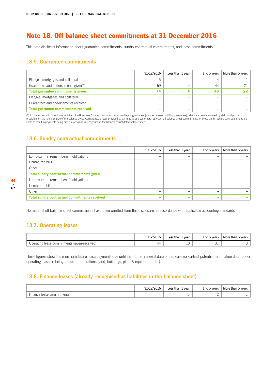# Note 18. Off balance sheet commitments at 31 December 2016

This note discloses information about guarantee commitments, sundry contractual commitments, and lease commitments.

### **18.5. Guarantee commitments**

|                                             | 31/12/2016 | Less than 1 year         | 1 to 5 years | More than 5 years |
|---------------------------------------------|------------|--------------------------|--------------|-------------------|
| Pledges, mortgages and collateral           |            |                          |              |                   |
| Guarantees and endorsements given (1)       | 69         | 4                        | 44           |                   |
| <b>Total guarantee commitments given</b>    | 74         |                          | 48           |                   |
| Pledges, mortgages and collateral           | -          | -                        |              |                   |
| Guarantees and endorsements received        |            | -                        |              |                   |
| <b>Total guarantee commitments received</b> |            | $\overline{\phantom{a}}$ |              |                   |

(1) In connection with its ordinary activities, the Bouygues Construction group grants multi-year guarantees (such as ten-year building guarantees), which are usually covered by statistically-based provisions on the liabilities side of the balance sheet. Contract guarantees provided by banks to Group customers represent off balance sheet commitments for those banks. Where such guarantees are<br>liable to result in payme

### **18.6. Sundry contractual commitments**

|                                                      | 31/12/2016               | Less than 1 year | 1 to 5 years | More than 5 years |
|------------------------------------------------------|--------------------------|------------------|--------------|-------------------|
| Lump-sum retirement benefit obligations              | -                        | -                |              |                   |
| Unmatured bills                                      | -                        | _                |              |                   |
| Other                                                | -                        | -                |              |                   |
| <b>Total sundry contractual commitments given</b>    | $\overline{\phantom{a}}$ | -                |              |                   |
| Lump-sum retirement benefit obligations              | -                        |                  |              |                   |
| Unmatured bills                                      | -                        | _                |              |                   |
| Other                                                |                          |                  |              |                   |
| <b>Total sundry contractual commitments received</b> | $\overline{\phantom{a}}$ | -                |              |                   |

No material off balance sheet commitments have been omitted from this disclosure, in accordance with applicable accounting standards.

## **18.7. Operating leases**

|                                              | 31/12/2016 | vear<br>Less than 1 | 1 to 5 years | More than 5 years |
|----------------------------------------------|------------|---------------------|--------------|-------------------|
| Operating lease commitments (given/received) | 44         | ΤC                  | ◡⊥           |                   |

These figures show the minimum future lease payments due until the normal renewal date of the lease (or earliest potential termination date) under operating leases relating to current operations (land, buildings, plant & equipment, etc.).

### **18.8. Finance leases (already recognised as liabilities in the balance sheet)**

|                           | 31/12/2016 | Less than 1<br>. year | 1 to 5 years | More than 5 years |
|---------------------------|------------|-----------------------|--------------|-------------------|
| Finance lease commitments |            |                       |              |                   |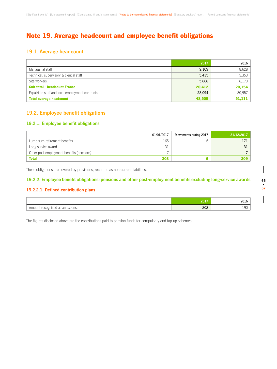# Note 19. Average headcount and employee benefit obligations

### **19.1. Average headcount**

|                                                 | 2017   | 2016   |
|-------------------------------------------------|--------|--------|
| Managerial staff                                | 9,109  | 8,628  |
| Technical, supervisory & clerical staff         | 5,435  | 5,353  |
| Site workers                                    | 5,868  | 6.173  |
| <b>Sub-total - headcount France</b>             | 20,412 | 20,154 |
| Expatriate staff and local employment contracts | 28.094 | 30,957 |
| <b>Total average headcount</b>                  | 48,505 | 51.111 |

## **19.2. Employee benefit obligations**

### **19.2.1. Employee benefit obligations**

|                                           | 01/01/2017 | Movements during 2017    | 31/12/2017 |
|-------------------------------------------|------------|--------------------------|------------|
| Lump-sum retirement benefits              | 165        |                          |            |
| Long-service awards                       | ◡          | -                        |            |
| Other post-employment benefits (pensions) |            | $\overline{\phantom{a}}$ |            |
| <b>Total</b>                              | 203        |                          | <b>209</b> |

These obligations are covered by provisions, recorded as non-current liabilities.

### **19.2.2. Employee benefit obligations: pensions and other post-employment benefits excluding long-service awards**

### **19.2.2.1. Defined-contribution plans**

|                                    | 2011 | <b>LUIT</b> |
|------------------------------------|------|-------------|
| Amount recognised as an<br>expense | 202  | $\sim$<br>∸ |

The figures disclosed above are the contributions paid to pension funds for compulsory and top-up schemes.

**66**

 $\overline{\phantom{a}}$ 

**• 67**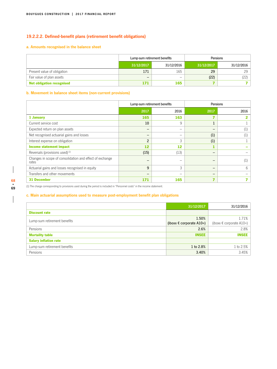### **19.2.2.2. Defined-benefit plans (retirement benefit obligations)**

### **a. Amounts recognised in the balance sheet**

|                                  | Lump-sum retirement benefits |            | Pensions   |            |  |
|----------------------------------|------------------------------|------------|------------|------------|--|
|                                  | 31/12/2017                   | 31/12/2016 | 31/12/2017 | 31/12/2016 |  |
| Present value of obligation      | 171                          | 165        | 29         | 29         |  |
| Fair value of plan assets        | -                            |            | (22)       | (22)       |  |
| <b>Net obligation recognised</b> | 171                          | 165        |            |            |  |

### **b. Movement in balance sheet items (non-current provisions)**

|                                                                   | Lump-sum retirement benefits |      | Pensions                 |      |  |
|-------------------------------------------------------------------|------------------------------|------|--------------------------|------|--|
|                                                                   | 2017                         | 2016 | 2017                     | 2016 |  |
| 1 January                                                         | 165                          | 163  |                          |      |  |
| Current service cost                                              | 10                           | 9    |                          |      |  |
| Expected return on plan assets                                    | -                            | -    |                          |      |  |
| Net recognised actuarial gains and losses                         |                              | -    | (1)                      |      |  |
| Interest expense on obligation                                    | $\overline{2}$               | 3    | (1)                      |      |  |
| <b>Income statement impact</b>                                    | 12                           | 12   |                          |      |  |
| Reversals (provisions used) <sup>(1)</sup>                        | (15)                         | (13) |                          |      |  |
| Changes in scope of consolidation and effect of exchange<br>rates | -                            |      |                          |      |  |
| Actuarial gains and losses recognised in equity                   | 9                            | 3    | –                        | 6    |  |
| Transfers and other movements                                     | -                            |      | $\overline{\phantom{0}}$ |      |  |
| <b>31 December</b>                                                | 171                          | 165  |                          |      |  |

 $\overline{\phantom{a}}$ 

 $\overline{\phantom{a}}$ 

(1) The charge corresponding to provisions used during the period is included in "Personnel costs" in the income statement.

### **c. Main actuarial assumptions used to measure post-employment benefit plan obligations**

|                              | 31/12/2017                                 | 31/12/2016                                 |
|------------------------------|--------------------------------------------|--------------------------------------------|
| <b>Discount rate</b>         |                                            |                                            |
| Lump-sum retirement benefits | 1.50%<br>(iboxx $\epsilon$ corporate A10+) | 1.71%<br>(iboxx $\epsilon$ corporate A10+) |
| Pensions                     | 2.6%                                       | 2.8%                                       |
| <b>Mortality table</b>       | <b>INSEE</b>                               | <b>INSEE</b>                               |
| <b>Salary inflation rate</b> |                                            |                                            |
| Lump-sum retirement benefits | 1 to 2.8%                                  | 1 to 2.5%                                  |
| Pensions                     | 3.40%                                      | 3.45%                                      |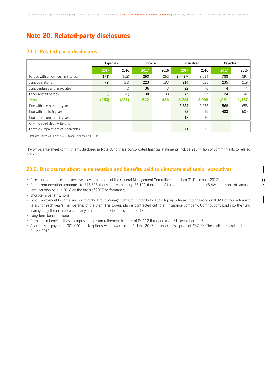# Note 20. Related-party disclosures

### **20.1. Related-party disclosures**

|                                    | <b>Expenses</b> |       | Income |      | <b>Receivables</b> |       | Payables |                |
|------------------------------------|-----------------|-------|--------|------|--------------------|-------|----------|----------------|
|                                    | 2017            | 2016  | 2017   | 2016 | 2017               | 2016  | 2017     | 2016           |
| Parties with an ownership interest | (171)           | (192) | 253    | 252  | $3.443^{(1)}$      | 3.614 | 788      | 897            |
| Joint operations                   | (79)            | (23)  | 223    | 193  | 214                | 321   | 235      | 219            |
| Joint ventures and associates      |                 | (1)   | 36     | 3    | 22                 | 6     | 4        | $\overline{4}$ |
| Other related parties              | (3)             | (5)   | 30     | 38   | 45                 | 57    | 24       | 47             |
| <b>Total</b>                       | (253)           | (221) | 542    | 486  | 3,724              | 3,998 | 1,051    | 1,167          |
| Due within less than 1 year        |                 |       |        |      | 3,684              | 3.963 | 568      | 658            |
| Due within 1 to 5 years            |                 |       |        |      | 22                 | 19    | 483      | 509            |
| Due after more than 5 years        |                 |       |        |      | 18                 | 16    |          |                |
| Of which bad debt write-offs       |                 |       |        |      |                    |       |          |                |
| Of which impairment of receivables |                 |       |        |      | 71                 | 72    |          |                |

(1) Includes Bouygues Relais: €2,012m and Uniservice: €1,342m

The off balance sheet commitments disclosed in Note 18 to these consolidated financial statements include €10 million of commitments to related parties.

### **20.2. Disclosures about remuneration and benefits paid to directors and senior executives**

- Disclosures about senior executives cover members of the General Management Committee in post on 31 December 2017;
- Direct remuneration amounted to €13,623 thousand, comprising €8,199 thousand of basic remuneration and €5,424 thousand of variable remuneration paid in 2018 on the basis of 2017 performance;
- Short-term benefits: none;
- Post-employment benefits: members of the Group Management Committee belong to a top-up retirement plan based on 0.92% of their reference salary for each year's membership of the plan. This top-up plan is contracted out to an insurance company. Contributions paid into the fund managed by the insurance company amounted to €713 thousand in 2017;
- Long-term benefits: none;
- Termination benefits: these comprise lump-sum retirement benefits of €4,112 thousand as of 31 December 2017;
- Share-based payment: 301,000 stock options were awarded on 1 June 2017, at an exercise price of €37.99. The earliest exercise date is 2 June 2019.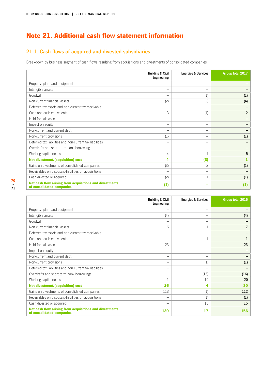# Note 21. Additional cash flow statement information

# **21.1. Cash flows of acquired and divested subsidiaries**

Breakdown by business segment of cash flows resulting from acquisitions and divestments of consolidated companies.

|                                                                                      | <b>Building &amp; Civil</b><br>Engineering | <b>Energies &amp; Services</b> | Group total 2017 |
|--------------------------------------------------------------------------------------|--------------------------------------------|--------------------------------|------------------|
| Property, plant and equipment                                                        | -                                          | -                              |                  |
| Intangible assets                                                                    |                                            | -                              |                  |
| Goodwill                                                                             |                                            | (1)                            | (1)              |
| Non-current financial assets                                                         | (2)                                        | (2)                            | (4)              |
| Deferred tax assets and non-current tax receivable                                   |                                            | $\qquad \qquad$                |                  |
| Cash and cash equivalents                                                            | 3                                          | (1)                            | $\overline{2}$   |
| Held-for-sale assets                                                                 | -                                          | $\qquad \qquad$                |                  |
| Impact on equity                                                                     |                                            | $\overline{\phantom{0}}$       |                  |
| Non-current and current debt                                                         |                                            | $\qquad \qquad$                |                  |
| Non-current provisions                                                               | (1)                                        | -                              | (1)              |
| Deferred tax liabilities and non-current tax liabilities                             | -                                          | -                              |                  |
| Overdrafts and short-term bank borrowings                                            | -                                          | $\qquad \qquad$                |                  |
| Working capital needs                                                                | 4                                          |                                | 5                |
| <b>Net divestment/(acquisition) cost</b>                                             | 4                                          | (3)                            |                  |
| Gains on divestments of consolidated companies                                       | (3)                                        | $\overline{c}$                 | (1)              |
| Receivables on disposals/liabilities on acquisitions                                 |                                            | -                              |                  |
| Cash divested or acquired                                                            | (2)                                        |                                | (1)              |
| Net cash flow arising from acquisitions and divestments<br>of consolidated companies | (1)                                        |                                | (1)              |

|                                                                                      | <b>Building &amp; Civil</b><br>Engineering | <b>Energies &amp; Services</b> | Group total 2016 |
|--------------------------------------------------------------------------------------|--------------------------------------------|--------------------------------|------------------|
| Property, plant and equipment                                                        | -                                          | $\qquad \qquad$                |                  |
| Intangible assets                                                                    | (4)                                        | -                              | (4)              |
| Goodwill                                                                             |                                            | $\qquad \qquad$                |                  |
| Non-current financial assets                                                         | 6                                          |                                | 7                |
| Deferred tax assets and non-current tax receivable                                   | -                                          | $\qquad \qquad$                |                  |
| Cash and cash equivalents                                                            |                                            |                                |                  |
| Held-for-sale assets                                                                 | 23                                         | -                              | 23               |
| Impact on equity                                                                     | -                                          | $\qquad \qquad$                |                  |
| Non-current and current debt                                                         | -                                          | -                              |                  |
| Non-current provisions                                                               |                                            | (1)                            | (1)              |
| Deferred tax liabilities and non-current tax liabilities                             | -                                          | -                              |                  |
| Overdrafts and short-term bank borrowings                                            | -                                          | (16)                           | (16)             |
| Working capital needs                                                                |                                            | 19                             | 20               |
| <b>Net divestment/(acquisition) cost</b>                                             | 26                                         | 4                              | 30               |
| Gains on divestments of consolidated companies                                       | 113                                        | (1)                            | 112              |
| Receivables on disposals/liabilities on acquisitions                                 |                                            | (1)                            | (1)              |
| Cash divested or acquired                                                            |                                            | 15                             | 15               |
| Net cash flow arising from acquisitions and divestments<br>of consolidated companies | 139                                        | 17                             | 156              |

 $\overline{\phantom{a}}$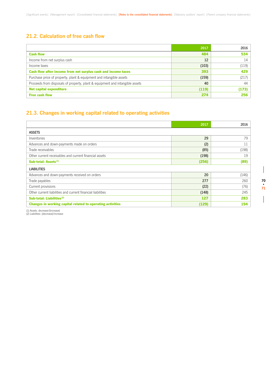### **21.2. Calculation of free cash flow**

|                                                                              | 2017  | 2016  |
|------------------------------------------------------------------------------|-------|-------|
| <b>Cash flow</b>                                                             | 484   | 534   |
| Income from net surplus cash                                                 | 12    | 14    |
| Income taxes                                                                 | (103) | (119) |
| Cash flow after income from net surplus cash and income taxes                | 393   | 429   |
| Purchase price of property, plant & equipment and intangible assets          | (159) | (217) |
| Proceeds from disposals of property, plant & equipment and intangible assets | 40    | 44    |
| <b>Net capital expenditure</b>                                               | (119) | (173) |
| <b>Free cash flow</b>                                                        | 274   | 256   |

#### **21.3. Changes in working capital related to operating activities**

|                                                             | 2017  | 2016  |
|-------------------------------------------------------------|-------|-------|
| <b>ASSETS</b>                                               |       |       |
| Inventories                                                 | 29    | 79    |
| Advances and down-payments made on orders                   | (2)   | 11    |
| Trade receivables                                           | (85)  | (198) |
| Other current receivables and current financial assets      | (198) | 19    |
| Sub-total: Assets <sup>(1)</sup>                            | (256) | (89)  |
| <b>LIABILITIES</b>                                          |       |       |
| Advances and down-payments received on orders               | 20    | (146) |
| Trade payables                                              | 277   | 260   |
| Current provisions                                          | (22)  | (76)  |
| Other current liabilities and current financial liabilities | (148) | 245   |
| Sub-total: Liabilities <sup>(2)</sup>                       | 127   | 283   |
| Changes in working capital related to operating activities  | (129) | 194   |

(1) Assets: decrease/(increase) (2) Liabilities: (decrease)/increase

 $\overline{\phantom{a}}$ 

 $\begin{array}{c} \hline \end{array}$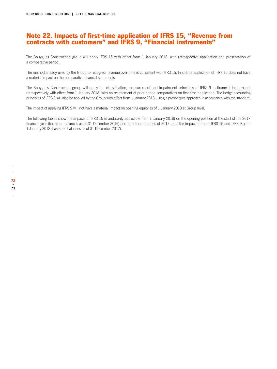#### Note 22. Impacts of first-time application of IFRS 15, "Revenue from contracts with customers" and IFRS 9, "Financial instruments"

The Bouygues Construction group will apply IFRS 15 with effect from 1 January 2018, with retrospective application and presentation of a comparative period.

The method already used by the Group to recognise revenue over time is consistent with IFRS 15. First-time application of IFRS 15 does not have a material impact on the comparative financial statements.

The Bouygues Construction group will apply the classification, measurement and impairment principles of IFRS 9 to financial instruments retrospectively with effect from 1 January 2018, with no restatement of prior period comparatives on first-time application. The hedge accounting principles of IFRS 9 will also be applied by the Group with effect from 1 January 2018, using a prospective approach in accordance with the standard.

The impact of applying IFRS 9 will not have a material impact on opening equity as of 1 January 2018 at Group level.

The following tables show the impacts of IFRS 15 (mandatorily applicable from 1 January 2018) on the opening position at the start of the 2017 financial year (based on balances as of 31 December 2016) and on interim periods of 2017, plus the impacts of both IFRS 15 and IFRS 9 as of 1 January 2018 (based on balances as of 31 December 2017).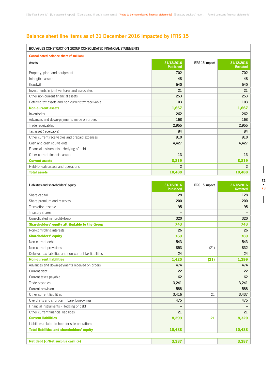#### **Balance sheet line items as of 31 December 2016 impacted by IFRS 15**

| BOUYGUES CONSTRUCTION GROUP CONSOLIDATED FINANCIAL STATEMENTS |                                |                |                               |
|---------------------------------------------------------------|--------------------------------|----------------|-------------------------------|
| Consolidated balance sheet (€ million)                        |                                |                |                               |
| Assets                                                        | 31/12/2016<br><b>Published</b> | IFRS 15 impact | 31/12/2016<br><b>Restated</b> |
| Property, plant and equipment                                 | 702                            |                | 702                           |
| Intangible assets                                             | 48                             |                | 48                            |
| Goodwill                                                      | 540                            |                | 540                           |
| Investments in joint ventures and associates                  | 21                             |                | 21                            |
| Other non-current financial assets                            | 253                            |                | 253                           |
| Deferred tax assets and non-current tax receivable            | 103                            |                | 103                           |
| <b>Non-current assets</b>                                     | 1,667                          |                | 1,667                         |
| Inventories                                                   | 262                            |                | 262                           |
| Advances and down-payments made on orders                     | 168                            |                | 168                           |
| Trade receivables                                             | 2,955                          |                | 2,955                         |
| Tax asset (receivable)                                        | 84                             |                | 84                            |
| Other current receivables and prepaid expenses                | 910                            |                | 910                           |
| Cash and cash equivalents                                     | 4,427                          |                | 4,427                         |
| Financial instruments - Hedging of debt                       |                                |                |                               |
| Other current financial assets                                | 13                             |                | 13                            |
| <b>Current assets</b>                                         | 8,819                          |                | 8,819                         |
| Held-for-sale assets and operations                           | $\overline{2}$                 |                | $\overline{2}$                |
| <b>Total assets</b>                                           | 10,488                         |                | 10,488                        |
|                                                               |                                |                |                               |
| Liabilities and shareholders' equity                          | 31/12/2016<br><b>Published</b> | IFRS 15 impact | 31/12/2016<br><b>Restated</b> |
| Share capital                                                 | 128                            |                | 128                           |
| Share premium and reserves                                    | 200                            |                | 200                           |
| Translation reserve                                           | 95                             |                | 95                            |
| Treasury shares                                               |                                |                |                               |
| Consolidated net profit/(loss)                                | 320                            |                | 320                           |
| Shareholders' equity attributable to the Group                | 743                            |                | 743                           |
| Non-controlling interests                                     | 26                             |                | 26                            |
| <b>Shareholders' equity</b>                                   | 769                            |                | 769                           |
| Non-current debt                                              | 543                            |                | 543                           |
| Non-current provisions                                        | 853                            | (21)           | 832                           |
| Deferred tax liabilities and non-current tax liabilities      | 24                             |                | 24                            |
| <b>Non-current liabilities</b>                                | 1,420                          | (21)           | 1,399                         |
| Advances and down-payments received on orders                 | 474                            |                | 474                           |
| Current debt                                                  | 22                             |                | 22                            |
| Current taxes payable                                         | 62                             |                | 62                            |
| Trade payables                                                | 3,241                          |                | 3,241                         |
| Current provisions                                            | 588                            |                | 588                           |
| Other current liabilities                                     | 3,416                          | 21             | 3,437                         |
| Overdrafts and short-term bank borrowings                     | 475                            |                | 475                           |
| Financial instruments - Hedging of debt                       |                                |                |                               |
| Other current financial liabilities                           | 21                             |                | 21                            |
| <b>Current liabilities</b>                                    | 8,299                          | 21             | 8,320                         |
| Liabilities related to held-for-sale operations               |                                |                |                               |
| <b>Total liabilities and shareholders' equity</b>             | 10,488                         |                | 10,488                        |
|                                                               |                                |                |                               |
| Net debt (-)/Net surplus cash (+)                             | 3,387                          |                | 3,387                         |

 $\overline{\phantom{a}}$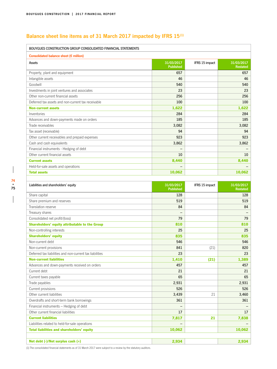#### **Balance sheet line items as of 31 March 2017 impacted by IFRS 15(1)**

| BOUYGUES CONSTRUCTION GROUP CONSOLIDATED FINANCIAL STATEMENTS |                                |                |                               |
|---------------------------------------------------------------|--------------------------------|----------------|-------------------------------|
| Consolidated balance sheet ( $\epsilon$ million)              |                                |                |                               |
| Assets                                                        | 31/03/2017<br><b>Published</b> | IFRS 15 impact | 31/03/2017<br><b>Restated</b> |
| Property, plant and equipment                                 | 657                            |                | 657                           |
| Intangible assets                                             | 46                             |                | 46                            |
| Goodwill                                                      | 540                            |                | 540                           |
| Investments in joint ventures and associates                  | 23                             |                | 23                            |
| Other non-current financial assets                            | 256                            |                | 256                           |
| Deferred tax assets and non-current tax receivable            | 100                            |                | 100                           |
| <b>Non-current assets</b>                                     | 1,622                          |                | 1,622                         |
| Inventories                                                   | 284                            |                | 284                           |
| Advances and down-payments made on orders                     | 185                            |                | 185                           |
| Trade receivables                                             | 3,082                          |                | 3,082                         |
| Tax asset (receivable)                                        | 94                             |                | 94                            |
| Other current receivables and prepaid expenses                | 923                            |                | 923                           |
| Cash and cash equivalents                                     | 3,862                          |                | 3,862                         |
| Financial instruments - Hedging of debt                       |                                |                |                               |
| Other current financial assets                                | 10                             |                | 10                            |
| <b>Current assets</b>                                         | 8,440                          |                | 8,440                         |
| Held-for-sale assets and operations                           |                                |                |                               |
| <b>Total assets</b>                                           | 10,062                         |                | 10,062                        |
|                                                               |                                |                |                               |
| Liabilities and shareholders' equity                          | 31/03/2017<br><b>Published</b> | IFRS 15 impact | 31/03/2017<br><b>Restated</b> |
| Share capital                                                 | 128                            |                | 128                           |
| Share premium and reserves                                    | 519                            |                | 519                           |
| Translation reserve                                           | 84                             |                | 84                            |
| Treasury shares                                               |                                |                |                               |
| Consolidated net profit/(loss)                                | 79                             |                | 79                            |
| Shareholders' equity attributable to the Group                | 810                            |                | 810                           |
| Non-controlling interests                                     | 25                             |                | 25                            |
| <b>Shareholders' equity</b>                                   | 835                            |                | 835                           |
| Non-current debt                                              | 546                            |                | 546                           |
| Non-current provisions                                        | 841                            | (21)           | 820                           |
| Deferred tax liabilities and non-current tax liabilities      | 23                             |                | 23                            |
| <b>Non-current liabilities</b>                                | 1,410                          | (21)           | 1,389                         |
| Advances and down-payments received on orders                 | 457                            |                | 457                           |
| Current debt                                                  | 21                             |                | 21                            |
| Current taxes payable                                         | 65                             |                | 65                            |
| Trade payables                                                | 2,931                          |                | 2,931                         |
| Current provisions                                            | 526                            |                | 526                           |
| Other current liabilities                                     | 3,439                          | 21             | 3,460                         |
| Overdrafts and short-term bank borrowings                     | 361                            |                | 361                           |
| Financial instruments - Hedging of debt                       |                                |                |                               |
| Other current financial liabilities                           | 17                             |                | 17                            |
| <b>Current liabilities</b>                                    | 7,817                          | 21             | 7,838                         |
| Liabilities related to held-for-sale operations               |                                |                |                               |
| <b>Total liabilities and shareholders' equity</b>             | 10,062                         |                | 10,062                        |
|                                                               |                                |                |                               |
| Net debt (-)/Net surplus cash (+)                             | 2,934                          |                | 2,934                         |

 $\overline{\phantom{a}}$ 

 $\overline{\phantom{a}}$ 

(1) The consolidated financial statements as of 31 March 2017 were subject to a review by the statutory auditors.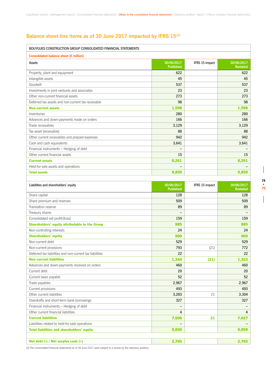#### **Balance sheet line items as of 30 June 2017 impacted by IFRS 15(2)**

| BOUYGUES CONSTRUCTION GROUP CONSOLIDATED FINANCIAL STATEMENTS |                                |                |                               |
|---------------------------------------------------------------|--------------------------------|----------------|-------------------------------|
| Consolidated balance sheet (€ million)                        |                                |                |                               |
| Assets                                                        | 30/06/2017<br><b>Published</b> | IFRS 15 impact | 30/06/2017<br><b>Restated</b> |
| Property, plant and equipment                                 | 622                            |                | 622                           |
| Intangible assets                                             | 45                             |                | 45                            |
| Goodwill                                                      | 537                            |                | 537                           |
| Investments in joint ventures and associates                  | 23                             |                | 23                            |
| Other non-current financial assets                            | 273                            |                | 273                           |
| Deferred tax assets and non-current tax receivable            | 98                             |                | 98                            |
| <b>Non-current assets</b>                                     | 1,598                          |                | 1,598                         |
| Inventories                                                   | 280                            |                | 280                           |
| Advances and down-payments made on orders                     | 166                            |                | 166                           |
| Trade receivables                                             | 3,129                          |                | 3,129                         |
| Tax asset (receivable)                                        | 88                             |                | 88                            |
| Other current receivables and prepaid expenses                | 942                            |                | 942                           |
| Cash and cash equivalents                                     | 3,641                          |                | 3,641                         |
| Financial instruments - Hedging of debt                       |                                |                |                               |
| Other current financial assets                                | 15                             |                | 15                            |
| <b>Current assets</b>                                         | 8,261                          |                | 8,261                         |
| Held-for-sale assets and operations                           |                                |                |                               |
| <b>Total assets</b>                                           | 9,859                          |                | 9,859                         |
|                                                               |                                |                |                               |
| Liabilities and shareholders' equity                          | 30/06/2017<br><b>Published</b> | IFRS 15 impact | 30/06/2017<br><b>Restated</b> |
| Share capital                                                 | 128                            |                | 128                           |
| Share premium and reserves                                    | 509                            |                | 509                           |
| Translation reserve                                           | 89                             |                | 89                            |
| Treasury shares                                               |                                |                |                               |
| Consolidated net profit/(loss)                                | 159                            |                | 159                           |
| <b>Shareholders' equity attributable to the Group</b>         | 885                            |                | 885                           |
| Non-controlling interests                                     | 24                             |                | 24                            |
| <b>Shareholders' equity</b>                                   | 909                            |                | 909                           |
| Non-current debt                                              | 529                            |                | 529                           |
| Non-current provisions                                        | 793                            | (21)           | 772                           |
| Deferred tax liabilities and non-current tax liabilities      | 22                             |                | 22                            |
| <b>Non-current liabilities</b>                                | 1,344                          | (21)           | 1,323                         |
| Advances and down-payments received on orders                 | 460                            |                | 460                           |
| Current debt                                                  | 20                             |                | 20                            |
| Current taxes payable                                         | 52                             |                | 52                            |
| Trade payables                                                | 2,967                          |                | 2,967                         |
| Current provisions                                            | 493                            |                | 493                           |
| Other current liabilities                                     | 3,283                          | 21             | 3,304                         |
| Overdrafts and short-term bank borrowings                     | 327                            |                | 327                           |
| Financial instruments - Hedging of debt                       |                                |                |                               |
| Other current financial liabilities                           | 4                              |                | 4                             |
| <b>Current liabilities</b>                                    | 7,606                          | 21             | 7,627                         |
| Liabilities related to held-for-sale operations               |                                |                |                               |
| <b>Total liabilities and shareholders' equity</b>             | 9,859                          |                | 9,859                         |
|                                                               | 2,765                          |                | 2,765                         |
| Net debt (-) / Net surplus cash (+)                           |                                |                |                               |

(2) The consolidated financial statements as of 30 June 2017 were subject to a review by the statutory auditors.

 $\overline{\phantom{a}}$ 

 $\begin{array}{c} \hline \end{array}$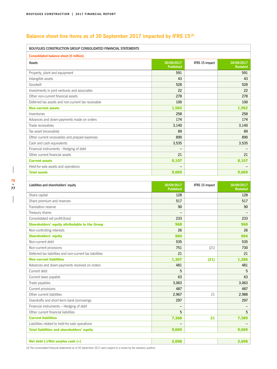## **Balance sheet line items as of 30 September 2017 impacted by IFRS 15(3)**

| BOUYGUES CONSTRUCTION GROUP CONSOLIDATED FINANCIAL STATEMENTS |                                |                |                               |
|---------------------------------------------------------------|--------------------------------|----------------|-------------------------------|
| Consolidated balance sheet ( $\epsilon$ million)              |                                |                |                               |
| Assets                                                        | 30/09/2017<br><b>Published</b> | IFRS 15 impact | 30/09/2017<br><b>Restated</b> |
| Property, plant and equipment                                 | 591                            |                | 591                           |
| Intangible assets                                             | 43                             |                | 43                            |
| Goodwill                                                      | 528                            |                | 528                           |
| Investments in joint ventures and associates                  | 22                             |                | 22                            |
| Other non-current financial assets                            | 278                            |                | 278                           |
| Deferred tax assets and non-current tax receivable            | 100                            |                | 100                           |
| <b>Non-current assets</b>                                     | 1,562                          |                | 1,562                         |
| Inventories                                                   | 258                            |                | 258                           |
| Advances and down-payments made on orders                     | 174                            |                | 174                           |
| Trade receivables                                             | 3,140                          |                | 3,140                         |
| Tax asset (receivable)                                        | 89                             |                | 89                            |
| Other current receivables and prepaid expenses                | 890                            |                | 890                           |
| Cash and cash equivalents                                     | 3,535                          |                | 3,535                         |
| Financial instruments - Hedging of debt                       |                                |                |                               |
| Other current financial assets                                | 21                             |                | 21                            |
| <b>Current assets</b>                                         | 8,107                          |                | 8,107                         |
| Held-for-sale assets and operations                           |                                |                |                               |
| <b>Total assets</b>                                           | 9,669                          |                | 9,669                         |
|                                                               |                                |                |                               |
| Liabilities and shareholders' equity                          | 30/09/2017<br><b>Published</b> | IFRS 15 impact | 30/09/2017<br><b>Restated</b> |
| Share capital                                                 | 128                            |                | 128                           |
| Share premium and reserves                                    | 517                            |                | 517                           |
| Translation reserve                                           | 90                             |                | 90                            |
| Treasury shares                                               |                                |                |                               |
| Consolidated net profit/(loss)                                | 233                            |                | 233                           |
| Shareholders' equity attributable to the Group                | 968                            |                | 968                           |
| Non-controlling interests                                     | 26                             |                | 26                            |
| <b>Shareholders' equity</b>                                   | 994                            |                | 994                           |
| Non-current debt                                              | 535                            |                | 535                           |
| Non-current provisions                                        | 751                            | (21)           | 730                           |
| Deferred tax liabilities and non-current tax liabilities      | 21                             |                | 21                            |
| <b>Non-current liabilities</b>                                | 1,307                          | (21)           | 1,286                         |
| Advances and down-payments received on orders                 | 481                            |                | 481                           |
| Current debt                                                  | 5                              |                | 5                             |
| Current taxes payable                                         | 63                             |                | 63                            |
| Trade payables                                                | 3,063                          |                | 3,063                         |
| Current provisions                                            | 487                            |                | 487                           |
| Other current liabilities                                     | 2,967                          | 21             | 2,988                         |
| Overdrafts and short-term bank borrowings                     | 297                            |                | 297                           |
| Financial instruments - Hedging of debt                       |                                |                |                               |
| Other current financial liabilities                           | 5                              |                | 5                             |
| <b>Current liabilities</b>                                    | 7,368                          | 21             | 7,389                         |
| Liabilities related to held-for-sale operations               |                                |                |                               |
| <b>Total liabilities and shareholders' equity</b>             | 9,669                          |                | 9,669                         |
|                                                               |                                |                |                               |
| Net debt (-)/Net surplus cash (+)                             | 2,698                          |                | 2,698                         |

 $\overline{\phantom{a}}$ 

 $\overline{\phantom{a}}$ 

(3) The consolidated financial statements as of 30 September 2017 were subject to a review by the statutory auditors.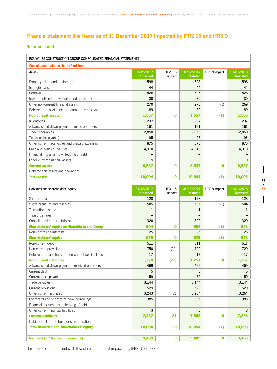#### **Financial statement line items as of 31 December 2017 impacted by IFRS 15 and IFRS 9**

#### **Balance sheet**

| BOUYGUES CONSTRUCTION GROUP CONSOLIDATED FINANCIAL STATEMENTS |                                |                   |                               |               |                               |  |  |  |
|---------------------------------------------------------------|--------------------------------|-------------------|-------------------------------|---------------|-------------------------------|--|--|--|
| Consolidated balance sheet (€ million)                        |                                |                   |                               |               |                               |  |  |  |
| Assets                                                        | 31/12/2017<br><b>Published</b> | IFRS 15<br>impact | 31/12/2017<br><b>Restated</b> | IFRS 9 impact | 01/01/2018<br><b>Restated</b> |  |  |  |
| Property, plant and equipment                                 | 598                            |                   | 598                           |               | 598                           |  |  |  |
| Intangible assets                                             | 44                             |                   | 44                            |               | 44                            |  |  |  |
| Goodwill                                                      | 526                            |                   | 526                           |               | 526                           |  |  |  |
| Investments in joint ventures and associates                  | 30                             |                   | 30                            |               | 30                            |  |  |  |
| Other non-current financial assets                            | 270                            |                   | 270                           | (1)           | 269                           |  |  |  |
| Deferred tax assets and non-current tax receivable            | 89                             |                   | 89                            |               | 89                            |  |  |  |
| <b>Non-current assets</b>                                     | 1,557                          | $\bf{0}$          | 1,557                         | (1)           | 1,556                         |  |  |  |
| Inventories                                                   | 237                            |                   | 237                           |               | 237                           |  |  |  |
| Advances and down-payments made on orders                     | 161                            |                   | 161                           |               | 161                           |  |  |  |
| Trade receivables                                             | 2,850                          |                   | 2,850                         |               | 2,850                         |  |  |  |
| Tax asset (receivable)                                        | 95                             |                   | 95                            |               | 95                            |  |  |  |
| Other current receivables and prepaid expenses                | 875                            |                   | 875                           |               | 875                           |  |  |  |
| Cash and cash equivalents                                     | 4,310                          |                   | 4,310                         |               | 4,310                         |  |  |  |
| Financial instruments - Hedging of debt                       | $\overline{\phantom{m}}$       |                   |                               |               |                               |  |  |  |
| Other current financial assets                                | 9                              |                   | 9                             |               | 9                             |  |  |  |
| <b>Current assets</b>                                         | 8,537                          | $\bf{0}$          | 8,537                         | $\bf{0}$      | 8,537                         |  |  |  |
| Held-for-sale assets and operations                           |                                |                   |                               |               |                               |  |  |  |
| <b>Total assets</b>                                           | 10,094                         | $\bf{0}$          | 10,094                        | (1)           | 10,093                        |  |  |  |

| Liabilities and shareholders' equity                     | 31/12/2017<br><b>Published</b> | IFRS 15<br>impact | 31/12/2017<br><b>Restated</b> | <b>IFRS 9 impact</b> | 01/01/2018<br><b>Restated</b> |
|----------------------------------------------------------|--------------------------------|-------------------|-------------------------------|----------------------|-------------------------------|
| Share capital                                            | 128                            |                   | 128                           |                      | 128                           |
| Share premium and reserves                               | 505                            |                   | 505                           | (1)                  | 504                           |
| Translation reserve                                      | $\mathbf{1}$                   |                   | 1                             |                      | 1                             |
| Treasury shares                                          |                                |                   |                               |                      |                               |
| Consolidated net profit/(loss)                           | 320                            |                   | 320                           |                      | 320                           |
| <b>Shareholders' equity attributable to the Group</b>    | 954                            | $\bf{0}$          | 954                           | (1)                  | 953                           |
| Non-controlling interests                                | 25                             |                   | 25                            |                      | 25                            |
| <b>Shareholders' equity</b>                              | 979                            | $\bf{0}$          | 979                           | (1)                  | 978                           |
| Non-current debt                                         | 511                            |                   | 511                           |                      | 511                           |
| Non-current provisions                                   | 750                            | (21)              | 729                           |                      | 729                           |
| Deferred tax liabilities and non-current tax liabilities | 17                             |                   | 17                            |                      | 17                            |
| <b>Non-current liabilities</b>                           | 1,278                          | (21)              | 1,257                         | $\bf{0}$             | 1,257                         |
| Advances and down-payments received on orders            | 469                            |                   | 469                           |                      | 469                           |
| Current debt                                             | 5                              |                   | 5                             |                      | 5                             |
| Current taxes payable                                    | 59                             |                   | 59                            |                      | 59                            |
| Trade payables                                           | 3,144                          |                   | 3.144                         |                      | 3,144                         |
| Current provisions                                       | 529                            |                   | 529                           |                      | 529                           |
| Other current liabilities                                | 3,243                          | 21                | 3,264                         |                      | 3,264                         |
| Overdrafts and short-term bank borrowings                | 385                            |                   | 385                           |                      | 385                           |
| Financial instruments - Hedging of debt                  |                                |                   |                               |                      |                               |
| Other current financial liabilities                      | 3                              |                   | 3                             |                      | 3                             |
| <b>Current liabilities</b>                               | 7,837                          | 21                | 7,858                         | $\bf{0}$             | 7,858                         |
| Liabilities related to held-for-sale operations          |                                |                   |                               |                      |                               |
| <b>Total liabilities and shareholders' equity</b>        | 10,094                         | $\bf{0}$          | 10,094                        | (1)                  | 10,093                        |
|                                                          |                                |                   |                               |                      |                               |
| Net debt (-) / Net surplus cash (+)                      | 3,409                          | $\bf{0}$          | 3,409                         | $\bf{0}$             | 3,409                         |

**76 • 77**

 $\overline{\phantom{a}}$ 

The income statement and cash flow statement are not impacted by IFRS 15 or IFRS 9.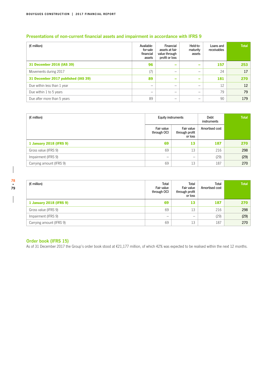| $(\epsilon$ million)                | Available-<br>for-sale<br>financial<br>assets | Financial<br>assets at fair<br>value through<br>profit or loss | Held-to-<br>maturity<br>assets | Loans and<br>receivables | <b>Total</b> |
|-------------------------------------|-----------------------------------------------|----------------------------------------------------------------|--------------------------------|--------------------------|--------------|
| 31 December 2016 (IAS 39)           | 96                                            | $\overline{\phantom{a}}$                                       | -                              | 157                      | 253          |
| Movements during 2017               | (7)                                           | $\overline{\phantom{0}}$                                       | -                              | 24                       | 17           |
| 31 December 2017 published (IAS 39) | 89                                            | $\qquad \qquad$                                                | $\overline{\phantom{a}}$       | 181                      | 270          |
| Due within less than 1 year         | -                                             | -                                                              | -                              | 12                       | 12           |
| Due within 1 to 5 years             | -                                             | -                                                              | -                              | 79                       | 79           |
| Due after more than 5 years         | 89                                            | -                                                              | -                              | 90                       | 179          |

#### **Presentations of non-current financial assets and impairment in accordance with IFRS 9**

| $(E \text{ million})$    | Equity instruments        |                                         | Debt<br>instruments | <b>Total</b> |
|--------------------------|---------------------------|-----------------------------------------|---------------------|--------------|
|                          | Fair value<br>through OCI | Fair value<br>through profit<br>or loss | Amortised cost      |              |
| 1 January 2018 (IFRS 9)  | 69                        | 13                                      | 187                 | 270          |
| Gross value (IFRS 9)     | 69                        | 13                                      | 216                 | 298          |
| Impairment (IFRS 9)      | -                         | —                                       | (29)                | (29)         |
| Carrying amount (IFRS 9) | 69                        | 13                                      | 187                 | 270          |

 $\overline{\phantom{a}}$ 

 $\overline{\phantom{a}}$ 

| $(E \text{ million})$    | Total<br>Fair value<br>through OCI | Total<br>Fair value<br>through profit<br>or loss | Total<br>Amortised cost | <b>Total</b> |
|--------------------------|------------------------------------|--------------------------------------------------|-------------------------|--------------|
| 1 January 2018 (IFRS 9)  | 69                                 | 13                                               | 187                     | 270          |
| Gross value (IFRS 9)     | 69                                 | 13                                               | 216                     | 298          |
| Impairment (IFRS 9)      | -                                  | -                                                | (29)                    | (29)         |
| Carrying amount (IFRS 9) | 69                                 | 13                                               | 187                     | 270          |

#### **Order book (IFRS 15)**

As of 31 December 2017 the Group's order book stood at €21,177 million, of which 42% was expected to be realised within the next 12 months.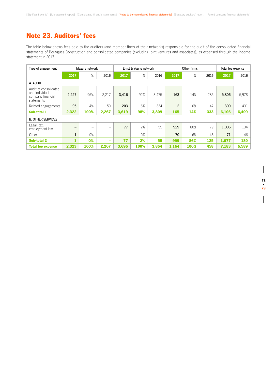## Note 23. Auditors' fees

The table below shows fees paid to the auditors (and member firms of their networks) responsible for the audit of the consolidated financial statements of Bouygues Construction and consolidated companies (excluding joint ventures and associates), as expensed through the income statement in 2017.

| Type of engagement                                                         |              | Mazars network |                                | Ernst & Young network |      |                 |                | Other firms |      | Total fee expense |       |
|----------------------------------------------------------------------------|--------------|----------------|--------------------------------|-----------------------|------|-----------------|----------------|-------------|------|-------------------|-------|
|                                                                            | 2017         | %              | 2016                           | 2017                  | %    | 2016            | 2017           | %           | 2016 | 2017              | 2016  |
| A. AUDIT                                                                   |              |                |                                |                       |      |                 |                |             |      |                   |       |
| Audit of consolidated<br>and individual<br>company financial<br>statements | 2,227        | 96%            | 2,217                          | 3.416                 | 92%  | 3.475           | 163            | 14%         | 286  | 5,806             | 5.978 |
| Related engagements                                                        | 95           | 4%             | 50                             | 203                   | 6%   | 334             | $\overline{2}$ | 0%          | 47   | 300               | 431   |
| Sub-total 1                                                                | 2,322        | 100%           | 2,267                          | 3,619                 | 98%  | 3,809           | 165            | 14%         | 333  | 6,106             | 6,409 |
| <b>B. OTHER SERVICES</b>                                                   |              |                |                                |                       |      |                 |                |             |      |                   |       |
| Legal, tax,<br>employment law                                              | -            | -              | $\qquad \qquad \longleftarrow$ | 77                    | 2%   | 55              | 929            | 80%         | 79   | 1,006             | 134   |
| Other                                                                      | $\mathbf{1}$ | 0%             | $\overline{\phantom{0}}$       |                       | 0%   | $\qquad \qquad$ | 70             | 6%          | 46   | 71                | 46    |
| <b>Sub-total 2</b>                                                         | 1            | 0%             | $\overline{\phantom{0}}$       | 77                    | 2%   | 55              | 999            | 86%         | 125  | 1,077             | 180   |
| <b>Total fee expense</b>                                                   | 2,323        | 100%           | 2,267                          | 3,696                 | 100% | 3,864           | 1,164          | 100%        | 458  | 7,183             | 6,589 |

 $\overline{\phantom{a}}$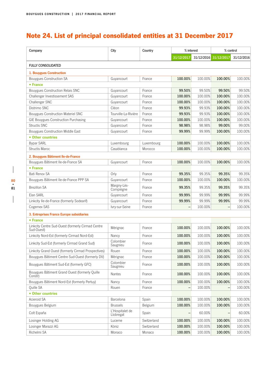# Note 24. List of principal consolidated entities at 31 December 2017

| Company                                                         | City                         | Country     | % interest |         | % control             |            |
|-----------------------------------------------------------------|------------------------------|-------------|------------|---------|-----------------------|------------|
|                                                                 |                              |             | 31/12/2017 |         | 31/12/2016 31/12/2017 | 31/12/2016 |
| <b>FULLY CONSOLIDATED</b>                                       |                              |             |            |         |                       |            |
| 1. Bouygues Construction                                        |                              |             |            |         |                       |            |
| Bouygues Construction SA                                        | Guyancourt                   | France      | 100.00%    | 100.00% | 100.00%               | 100.00%    |
| • France                                                        |                              |             |            |         |                       |            |
| Bouygues Construction Relais SNC                                | Guyancourt                   | France      | 99.50%     | 99.50%  | 99.50%                | 99.50%     |
| Challenger Investissement SAS                                   | Guyancourt                   | France      | 100.00%    | 100.00% | 100.00%               | 100.00%    |
| Challenger SNC                                                  | Guyancourt                   | France      | 100.00%    | 100.00% | 100.00%               | 100.00%    |
| Distrimo SNC                                                    | Cléon                        | France      | 99.93%     | 99.93%  | 100.00%               | 100.00%    |
| Bouygues Construction Materiel SNC                              | Tourville-La-Rivière         | France      | 99.93%     | 99.93%  | 100.00%               | 100.00%    |
| GIE Bouygues Construction Purchasing                            | Guyancourt                   | France      | 100.00%    | 100.00% | 100.00%               | 100.00%    |
| Structis SNC                                                    | Guyancourt                   | France      | 98.98%     | 98.98%  | 99.00%                | 99.00%     |
| Bouygues Construction Middle East                               | Guyancourt                   | France      | 99.99%     | 99.99%  | 100.00%               | 100.00%    |
| • Other countries                                               |                              |             |            |         |                       |            |
| <b>Bypar SARL</b>                                               | Luxembourg                   | Luxembourg  | 100.00%    | 100.00% | 100.00%               | 100.00%    |
| <b>Structis Maroc</b>                                           | Casablanca                   | Morocco     | 100.00%    | 100.00% | 100.00%               | 100.00%    |
| 2. Bouygues Bâtiment Ile-de-France                              |                              |             |            |         |                       |            |
| Bouygues Bâtiment Ile-de-France SA                              | Guyancourt                   | France      | 100.00%    | 100.00% | 100.00%               | 100.00%    |
| • France                                                        |                              |             |            |         |                       |            |
| Bati Renov SA                                                   | Orly                         | France      | 99.35%     | 99.35%  | 99.35%                | 99.35%     |
| Bouygues Bâtiment Ile-de-France PPP SA                          | Guyancourt                   | France      | 100.00%    | 100.00% | 100.00%               | 100.00%    |
|                                                                 |                              |             |            |         |                       |            |
| <b>Brezillon SA</b>                                             | Margny-Lès-<br>Compiègne     | France      | 99.35%     | 99.35%  | 99.35%                | 99.35%     |
| Elan SARL                                                       | Guyancourt                   | France      | 99.99%     | 99.99%  | 99.99%                | 99.99%     |
| Linkcity Ile-de-France (formerly Sodearif)                      | Guyancourt                   | France      | 99.99%     | 99.99%  | 99.99%                | 99.99%     |
| Cogemex SAS                                                     | Ivry-sur-Seine               | France      |            | 100.00% |                       | 100.00%    |
| 3. Entreprises France Europe subsidiaries                       |                              |             |            |         |                       |            |
| • France                                                        |                              |             |            |         |                       |            |
| Linkcity Centre Sud-Ouest (formerly Cirmad Centre<br>Sud-Ouest) | Mérignac                     | France      | 100.00%    | 100.00% | 100.00%               | 100.00%    |
| Linkcity Nord-Est (formerly Cirmad Nord-Est)                    | Nancy                        | France      | 100.00%    | 100.00% | 100.00%               | 100.00%    |
| Linkcity Sud-Est (formerly Cirmad Grand Sud)                    | Colombier<br>Saugnieu        | France      | 100.00%    | 100.00% | 100.00%               | 100.00%    |
| Linkcity Grand Ouest (formerly Cirmad Prospectives)             | Rouen                        | France      | 100.00%    | 100.00% | 100.00%               | 100.00%    |
| Bouygues Bâtiment Centre Sud-Ouest (formerly DV)                | Mérignac                     | France      | 100.00%    | 100.00% | 100.00%               | 100.00%    |
| Bouygues Bâtiment Sud-Est (formerly GFC)                        | Colombier<br>Saugnieu        | France      | 100.00%    | 100.00% | 100.00%               | 100.00%    |
| Bouygues Bâtiment Grand Ouest (formerly Quille<br>Constr)       | <b>Nantes</b>                | France      | 100.00%    | 100.00% | 100.00%               | 100.00%    |
| Bouygues Bâtiment Nord-Est (formerly Pertuy)                    | Nancy                        | France      | 100.00%    | 100.00% | 100.00%               | 100.00%    |
| Quille SA                                                       | Rouen                        | France      |            | 100.00% |                       | 100.00%    |
| • Other countries                                               |                              |             |            |         |                       |            |
| Acieroid SA                                                     | Barcelona                    | Spain       | 100.00%    | 100.00% | 100.00%               | 100.00%    |
| Bouygues Belgium                                                | <b>Brussels</b>              | Belgium     | 100.00%    | 100.00% | 100.00%               | 100.00%    |
| Colt España                                                     | L'Hospitalet de<br>Llobregat | Spain       |            | 60.00%  |                       | 60.00%     |
| Losinger Holding AG                                             | Lucerne                      | Switzerland | 100.00%    | 100.00% | 100.00%               | 100.00%    |
| Losinger Marazzi AG                                             | Köniz                        | Switzerland | 100.00%    | 100.00% | 100.00%               | 100.00%    |
| Richelmi SA                                                     | Monaco                       | Monaco      | 100.00%    | 100.00% | 100.00%               | 100.00%    |

 $\overline{\phantom{a}}$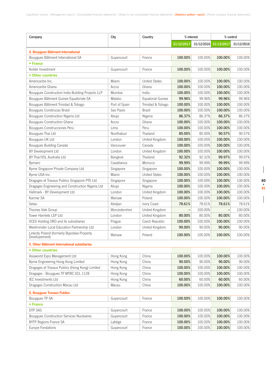| Company                                           | City           | Country              | % interest |         | % control             |            |
|---------------------------------------------------|----------------|----------------------|------------|---------|-----------------------|------------|
|                                                   |                |                      | 31/12/2017 |         | 31/12/2016 31/12/2017 | 31/12/2016 |
| 4. Bouygues Bâtiment International                |                |                      |            |         |                       |            |
| Bouygues Bâtiment International SA                | Guyancourt     | France               | 100.00%    | 100.00% | 100.00%               | 100.00%    |
| • France                                          |                |                      |            |         |                       |            |
| Kohler Investment                                 | Guyancourt     | France               | 100.00%    | 100.00% | 100.00%               | 100.00%    |
| • Other countries                                 |                |                      |            |         |                       |            |
| Americaribe Inc.                                  | Miami          | <b>United States</b> | 100.00%    | 100.00% | 100.00%               | 100.00%    |
| Americaribe Ghana                                 | Accra          | Ghana                | 100.00%    | 100.00% | 100.00%               | 100.00%    |
| Bouygues Construction India Building Projects LLP | Mumbai         | India                | 100.00%    | 100.00% | 100.00%               | 100.00%    |
| Bouygues Bâtiment Guinee Equatoriale SA           | Malabo         | Equatorial Guinea    | 99.96%     | 99.96%  | 99.96%                | 99.96%     |
| Bouygues Bâtiment Trinidad & Tobago               | Port of Spain  | Trinidad & Tobago    | 100.00%    | 100.00% | 100.00%               | 100.00%    |
| Bouygues Construcao Brasil                        | Sao Paulo      | <b>Brazil</b>        | 100.00%    | 100.00% | 100.00%               | 100.00%    |
| Bouygues Construction Nigeria Ltd                 | Abuja          | Nigeria              | 86.37%     | 86.37%  | 86.37%                | 86.37%     |
| Bouygues Construction Ghana                       | Accra          | Ghana                | 100.00%    | 100.00% | 100.00%               | 100.00%    |
| Bouygues Construcciones Peru                      | Lima           | Peru                 | 100.00%    | 100.00% | 100.00%               | 100.00%    |
| Bouygues Thai Ltd                                 | Nonthaburi     | Thailand             | 85.00%     | 85.00%  | 90.57%                | 90.57%     |
| Bouygues UK Ltd                                   | London         | United Kingdom       | 100.00%    | 100.00% | 100.00%               | 100.00%    |
| Bouygues Building Canada                          | Vancouver      | Canada               | 100.00%    | 100.00% | 100.00%               | 100.00%    |
| BY Development Ltd                                | London         | United Kingdom       | 100.00%    | 100.00% | 100.00%               | 100.00%    |
| BY Thai/VSL Australia Ltd                         | Bangkok        | Thailand             | 92.32%     | 92.32%  | 99.97%                | 99.97%     |
| <b>Bymaro</b>                                     | Casablanca     | Morocco              | 99.99%     | 99.99%  | 99.99%                | 99.99%     |
| Byme Singapore Private Company Ltd                | Singapore      | Singapore            | 100.00%    | 100.00% | 100.00%               | 100.00%    |
| Byme USA Inc.                                     | Miami          | <b>United States</b> | 100.00%    | 100.00% | 100.00%               | 100.00%    |
| Dragages et Travaux Publics Singapore PTE Ltd     | Singapore      | Singapore            | 100.00%    | 100.00% | 100.00%               | 100.00%    |
| Dragages Engineering and Construction Nigeria Ltd | Abuja          | Nigeria              | 100.00%    | 100.00% | 100.00%               | 100.00%    |
| Hallmark - BY Development Ltd                     | London         | United Kingdom       | 100.00%    | 100.00% | 100.00%               | 100.00%    |
| Karmar SA                                         | Warsaw         | Poland               | 100.00%    | 100.00% | 100.00%               | 100.00%    |
| Setao                                             | Abidjan        | Ivory Coast          | 78.61%     | 78.61%  | 78.61%                | 78.61%     |
| Thomas Vale Group                                 | Worcestershire | United Kingdom       |            | 100.00% |                       | 100.00%    |
| Tower Hamlets LEP Ltd                             | London         | United Kingdom       | 80.00%     | 80.00%  | 80.00%                | 80.00%     |
| VCES Holding SRO and its subsidiaries             | Prague         | Czech Republic       | 100.00%    | 100.00% | 100.00%               | 100.00%    |
| Westminster Local Education Partnership Ltd       | London         | United Kingdom       | 90.00%     | 90.00%  | 90.00%                | 90.00%     |
| Linkcity Poland (formerly Bypolska Property       |                |                      |            |         |                       |            |
| Developement)                                     | Warsaw         | Poland               | 100.00%    | 100.00% | 100.00%               | 100.00%    |
| 5. Other Bâtiment International subsidiaries      |                |                      |            |         |                       |            |
| • Other countries                                 |                |                      |            |         |                       |            |
| Asiaworld Expo Management Ltd                     | Hong Kong      | China                | 100.00%    | 100.00% | 100.00%               | 100.00%    |
| Byme Engineering Hong Kong Limited                | Hong Kong      | China                | 90.00%     | 90.00%  | 90.00%                | 90.00%     |
| Dragages et Travaux Publics (Hong Kong) Limited   | Hong Kong      | China                | 100.00%    | 100.00% | 100.00%               | 100.00%    |
| Dragages - Bouygues TP MTRC SCL 1128              | Hong Kong      | China                | 100.00%    | 100.00% | 100.00%               | 100.00%    |
| <b>IEC Investments Ltd</b>                        | Hong Kong      | China                | 60.00%     | 60.00%  | 60.00%                | 60.00%     |
| Dragages Construction Macau Ltd                   | Macau          | China                | 100.00%    | 100.00% | 100.00%               | 100.00%    |
| <b>6. Bouygues Travaux Publics</b>                |                |                      |            |         |                       |            |
| Bouygues TP SA                                    | Guyancourt     | France               | 100.00%    | 100.00% | 100.00%               | 100.00%    |
| • France                                          |                |                      |            |         |                       |            |
| DTP SAS                                           | Guyancourt     | France               | 100.00%    | 100.00% | 100.00%               | 100.00%    |
| <b>Bouygues Construction Services Nucleaires</b>  | Guyancourt     | France               | 100.00%    | 100.00% | 100.00%               | 100.00%    |
| <b>BYTP Regions France SA</b>                     | Labège         | France               | 100.00%    | 100.00% | 100.00%               | 100.00%    |
| Europe Fondations                                 | Guyancourt     | France               | 100.00%    | 100.00% | 100.00%               | 100.00%    |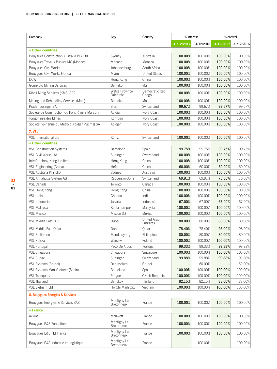| Company                                          | City                              | Country                  |            | % interest | % control             |            |
|--------------------------------------------------|-----------------------------------|--------------------------|------------|------------|-----------------------|------------|
|                                                  |                                   |                          | 31/12/2017 |            | 31/12/2016 31/12/2017 | 31/12/2016 |
| • Other countries                                |                                   |                          |            |            |                       |            |
| Bouygues Construction Australia PTY Ltd          | Sydney                            | Australia                | 100.00%    | 100.00%    | 100.00%               | 100.00%    |
| Bouygues Travaux Publics MC (Monaco)             | Monaco                            | Monaco                   | 100.00%    | 100.00%    | 100.00%               | 100.00%    |
| Bouygues Civil Works                             | Johannesburg                      | South Africa             | 100.00%    | 100.00%    | 100.00%               | 100.00%    |
| Bouygues Civil Works Florida                     | Miami                             | <b>United States</b>     | 100.00%    | 100.00%    | 100.00%               | 100.00%    |
| <b>DCW</b>                                       | Hong Kong                         | China                    | 100.00%    | 100.00%    | 100.00%               | 100.00%    |
| Gounkoto Mining Services                         | Bamako                            | Mali                     | 100.00%    | 100.00%    | 100.00%               | 100.00%    |
| Kibali Minig Services (KMS) SPRL                 | Watsa Province<br>Orientale       | Democratic Rep.<br>Congo | 100.00%    | 100.00%    | 100.00%               | 100.00%    |
| Mining and Rehandling Services (Mars)            | Bamako                            | Mali                     | 100.00%    | 100.00%    | 100.00%               | 100.00%    |
| Prader Losinger SA                               | Sion                              | Switzerland              | 99.67%     | 99.67%     | 99.67%                | 99.67%     |
| Société de Construction du Pont Riviera Marcory  | Abidjan                           | Ivory Coast              | 100.00%    | 100.00%    | 100.00%               | 100.00%    |
| Tongonaise des Mines                             | Korhogo                           | Ivory Coast              | 100.00%    | 100.00%    | 100.00%               | 100.00%    |
| Société Ivoirienne du Métro d'Abidian (Sicma) SA | Abidjan                           | Ivory Coast              | 100.00%    | 100.00%    | 100.00%               | 100.00%    |
| 7. VSL                                           |                                   |                          |            |            |                       |            |
| VSL International Ltd                            | Köniz                             | Switzerland              | 100.00%    | 100.00%    | 100.00%               | 100.00%    |
| • Other countries                                |                                   |                          |            |            |                       |            |
| <b>VSL Construction Systems</b>                  | Barcelona                         | Spain                    | 99.75%     | 99.75%     | 99.75%                | 99.75%     |
| <b>VSL Civil Works Ltd</b>                       | Subingen                          | Switzerland              | 100.00%    | 100.00%    | 100.00%               | 100.00%    |
| Intrafor Hong Kong Limited                       | Hong Kong                         | China                    | 100.00%    | 100.00%    | 100.00%               | 100.00%    |
| VSL Engineering (China)                          | Hefei                             | China                    | 60.00%     | 60.00%     | 60.00%                | 60.00%     |
| VSL Australia PTY LTD                            | Sydney                            | Australia                | 100.00%    | 100.00%    | 100.00%               | 100.00%    |
| VSL Annahutte System AG                          | Rapperswil-Jona                   | Switzerland              | 69.91%     | 69.91%     | 70.00%                | 70.00%     |
| VSL Canada                                       | Toronto                           | Canada                   | 100.00%    | 100.00%    | 100.00%               | 100.00%    |
| VSL Hong Kong                                    | Hong Kong                         | China                    | 100.00%    | 100.00%    | 100.00%               | 100.00%    |
| VSL India                                        | Chennai                           | India                    | 100.00%    | 100.00%    | 100.00%               | 100.00%    |
| VSL Indonesia                                    | Jakarta                           | Indonesia                | 67.00%     | 67.00%     | 67.00%                | 67.00%     |
| VSL Malaysia                                     | Kuala Lumpur                      | Malaysia                 | 100.00%    | 100.00%    | 100.00%               | 100.00%    |
| <b>VSL Mexico</b>                                | Mexico D.F.                       | Mexico                   | 100.00%    | 100.00%    | 100.00%               | 100.00%    |
| <b>VSL Middle East LLC</b>                       | Dubai                             | United Arab<br>Emirates  | 80.00%     | 80.00%     | 80.00%                | 80.00%     |
| VSL Middle East Qatar                            | Doha                              | Qatar                    | 78.40%     | 78.40%     | 98.00%                | 98.00%     |
| <b>VSL Philippines</b>                           | Mandaluyong                       | Philippines              | 80.00%     | 80.00%     | 80.00%                | 80.00%     |
| VSL Polska                                       | Warsaw                            | Poland                   | 100.00%    | 100.00%    | 100.00%               | 100.00%    |
| <b>VSL Portugal</b>                              | Paco De Arcos                     | Portugal                 | 99.33%     | 99.33%     | 99.33%                | 99.33%     |
| <b>VSL Singapore</b>                             | Singapore                         | Singapore                | 100.00%    | 100.00%    | 100.00%               | 100.00%    |
| <b>VSL Suisse</b>                                | Subingen                          | Switzerland              | 99.88%     | 99.88%     | 99.88%                | 99.88%     |
| VSL Systems (Brunei)                             | Darussalam                        | Brunei                   |            | 60.00%     |                       | 60.00%     |
| VSL Systems Manufacturer (Spain)                 | Barcelona                         | Spain                    | 100.00%    | 100.00%    | 100.00%               | 100.00%    |
| <b>VSL Tchequecz</b>                             | Prague                            | Czech Republic           | 100.00%    | 100.00%    | 100.00%               | 100.00%    |
| <b>VSL Thailand</b>                              | Bangkok                           | Thailand                 | 82.15%     | 82.15%     | 88.00%                | 88.00%     |
| VSL Vietnam Ltd                                  | Ho Chi Minh City                  | Vietnam                  | 100.00%    | 100.00%    | 100.00%               | 100.00%    |
| 8. Bouygues Energies & Services                  |                                   |                          |            |            |                       |            |
| Bouygues Energies & Services SAS                 | Montigny-Le-<br><b>Bretonneux</b> | France                   | 100.00%    | 100.00%    | 100.00%               | 100.00%    |
| • France                                         |                                   |                          |            |            |                       |            |
| Axione                                           | Malakoff                          | France                   | 100.00%    | 100.00%    | 100.00%               | 100.00%    |
| Bouygues E&S Fondations                          | Montigny-Le-<br><b>Bretonneux</b> | France                   | 100.00%    | 100.00%    | 100.00%               | 100.00%    |
| Bouygues E&S FM France                           | Montigny-Le-<br><b>Bretonneux</b> | France                   | 100.00%    | 100.00%    | 100.00%               | 100.00%    |
| Bouygues E&S Industrie et Logistique             | Montigny-Le-<br>Bretonneux        | France                   |            | 100.00%    |                       | 100.00%    |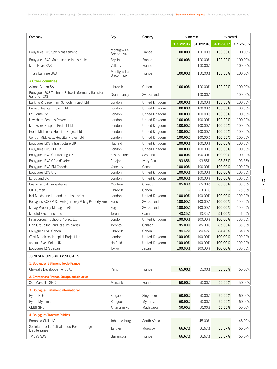| Company                                                           | City                              | Country        | % interest |         | % control             |            |
|-------------------------------------------------------------------|-----------------------------------|----------------|------------|---------|-----------------------|------------|
|                                                                   |                                   |                | 31/12/2017 |         | 31/12/2016 31/12/2017 | 31/12/2016 |
| Bouygues E&S Spv Management                                       | Montigny-Le-<br><b>Bretonneux</b> | France         | 100.00%    | 100.00% | 100.00%               | 100.00%    |
| Bouygues E&S Maintenance Industrielle                             | Feyzin                            | France         | 100.00%    | 100.00% | 100.00%               | 100.00%    |
| Marc Favre SAS                                                    | Valleiry                          | France         |            | 100.00% |                       | 100.00%    |
| Thiais Lumiere SAS                                                | Montigny-Le-<br><b>Bretonneux</b> | France         | 100.00%    | 100.00% | 100.00%               | 100.00%    |
| • Other countries                                                 |                                   |                |            |         |                       |            |
| Axione Gabon SA                                                   | Libreville                        | Gabon          | 100.00%    | 100.00% | 100.00%               | 100.00%    |
| Bouygues E&S Technics Schweiz (formerly Balestra<br>Galiotto TCC) | Grand-Lancy                       | Switzerland    |            | 100.00% |                       | 100.00%    |
| Barking & Dagenham Schools Project Ltd                            | London                            | United Kingdom | 100.00%    | 100.00% | 100.00%               | 100.00%    |
| Barnet Hospital Project Ltd                                       | London                            | United Kingdom | 100.00%    | 100.00% | 100.00%               | 100.00%    |
| BY Home Ltd                                                       | London                            | United Kingdom | 100.00%    | 100.00% | 100.00%               | 100.00%    |
| Lewisham Schools Project Ltd                                      | London                            | United Kingdom | 100.00%    | 100.00% | 100.00%               | 100.00%    |
| Mid Essex Hospital Project Ltd                                    | London                            | United Kingdom | 100.00%    | 100.00% | 100.00%               | 100.00%    |
| North Middlesex Hospital Project Ltd                              | London                            | United Kingdom | 100.00%    | 100.00% | 100.00%               | 100.00%    |
| Central Middlesex Hospital Project Ltd                            | London                            | United Kingdom | 100.00%    | 100.00% | 100.00%               | 100.00%    |
| Bouygues E&S Infrastructure UK                                    | Hatfield                          | United Kingdom | 100.00%    | 100.00% | 100.00%               | 100.00%    |
| Bouygues E&S FM UK                                                | London                            | United Kingdom | 100.00%    | 100.00% | 100.00%               | 100.00%    |
| Bouygues E&S Contracting UK                                       | East Kilbride                     | Scotland       | 100.00%    | 100.00% | 100.00%               | 100.00%    |
| Bouygues E&S Côte d'Ivoire                                        | Abidjan                           | Ivory Coast    | 93.85%     | 93.85%  | 93.85%                | 93.85%     |
| Bouygues E&S FM Canada                                            | Vancouver                         | Canada         | 100.00%    | 100.00% | 100.00%               | 100.00%    |
| Bouygues E&S UK                                                   | London                            | United Kingdom | 100.00%    | 100.00% | 100.00%               | 100.00%    |
| Europland Ltd                                                     | London                            | United Kingdom | 100.00%    | 100.00% | 100.00%               | 100.00%    |
| Gastier and its subsidiaries                                      | Montreal                          | Canada         | 85.00%     | 85.00%  | 85.00%                | 85.00%     |
| GIE Lumen                                                         | Libreville                        | Gabon          |            | 63.31%  |                       | 75.00%     |
| Icel Maidstone Ltd and its subsidiaries                           | London                            | United Kingdom | 100.00%    | 100.00% | 100.00%               | 100.00%    |
| Bouygues E&S FM Schweiz (formerly Mibag Property Fm)              | Zurich                            | Switzerland    | 100.00%    | 100.00% | 100.00%               | 100.00%    |
| Mibag Property Managers AG                                        | Zug                               | Switzerland    | 100.00%    | 100.00% | 100.00%               | 100.00%    |
| Mindful Experience Inc.                                           | Toronto                           | Canada         | 43.35%     | 43.35%  | 51.00%                | 51.00%     |
| Peterborough Schools Project Ltd                                  | London                            | United Kingdom | 100.00%    | 100.00% | 100.00%               | 100.00%    |
| Plan Group Inc. and its subsidiaries                              | Toronto                           | Canada         | 85.00%     | 85.00%  | 85.00%                | 85.00%     |
| Bouygues E&S Gabon                                                | Libreville                        | Gabon          | 84.42%     | 84.42%  | 84.42%                | 84.42%     |
| West Middlesex Hospital Project Ltd                               | London                            | United Kingdom | 100.00%    | 100.00% | 100.00%               | 100.00%    |
| Abakus Byes Solar UK                                              | Hatfield                          | United Kingdom | 100.00%    | 100.00% | 100.00%               | 100.00%    |
| Bouygues E&S Japan                                                | Tokyo                             | Japan          | 100.00%    | 100.00% | 100.00%               | 100.00%    |
| JOINT VENTURES AND ASSOCIATES                                     |                                   |                |            |         |                       |            |
| 1. Bouygues Bâtiment Ile-de-France                                |                                   |                |            |         |                       |            |
| Chrysalis Developpement SAS                                       | Paris                             | France         | 65.00%     | 65.00%  | 65.00%                | 65.00%     |
| 2. Entreprises France Europe subsidiaries                         |                                   |                |            |         |                       |            |
| XXL Marseille SNC                                                 | Marseille                         | France         | 50.00%     | 50.00%  | 50.00%                | 50.00%     |
| 3. Bouygues Bâtiment International                                |                                   |                |            |         |                       |            |
| Byma PTE                                                          | Singapore                         | Singapore      | 60.00%     | 60.00%  | 60.00%                | 60.00%     |
| Byma Myanmar Ltd                                                  | Rangoon                           | Myanmar        | 60.00%     | 60.00%  | 60.00%                | 60.00%     |
| CMBI SNC                                                          | Antananarivo                      | Madagascar     | 50.00%     | 50.00%  | 50.00%                | 50.00%     |
| 4. Bouygues Travaux Publics                                       |                                   |                |            |         |                       |            |
| Bombela Civils JV Ltd                                             | Johannesburg                      | South Africa   |            | 45.00%  |                       | 45.00%     |
| Société pour la réalisation du Port de Tanger<br>Méditerranée     | Tangier                           | Morocco        | 66.67%     | 66.67%  | 66.67%                | 66.67%     |
| <b>TMBYS SAS</b>                                                  | Guyancourt                        | France         | 66.67%     | 66.67%  | 66.67%                | 66.67%     |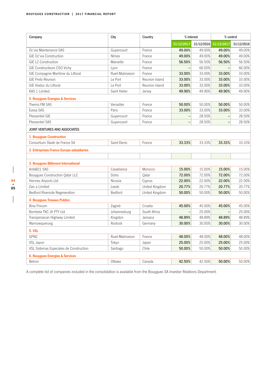| Company                                   | City            | Country        | % interest |        | % control             |            |
|-------------------------------------------|-----------------|----------------|------------|--------|-----------------------|------------|
|                                           |                 |                | 31/12/2017 |        | 31/12/2016 31/12/2017 | 31/12/2016 |
| Oc'via Maintenance SAS                    | Guyancourt      | France         | 49.00%     | 49.00% | 49.00%                | 49.00%     |
| GIE Oc'via Construction                   | Nîmes           | France         | 49.00%     | 49.00% | 49.00%                | 49.00%     |
| GIE L2 Construction                       | Marseille       | France         | 56.50%     | 56.50% | 56.50%                | 56.50%     |
| GIE Constructeurs CSO Vichy               | Lyon            | France         |            | 66.00% |                       | 66.00%     |
| GIE Compagnie Maritime du Littoral        | Rueil-Malmaison | France         | 33.00%     | 33.00% | 33.00%                | 33.00%     |
| GIE Prefa Réunion                         | Le Port         | Reunion Island | 33.00%     | 33.00% | 33.00%                | 33.00%     |
| <b>GIE Viaduc du Littoral</b>             | Le Port         | Reunion Island | 33.00%     | 33.00% | 33.00%                | 33.00%     |
| KAS 1 Limited                             | Saint Helier    | Jersey         | 49.90%     | 49.90% | 49.90%                | 49.90%     |
| 5. Bouygues Energies & Services           |                 |                |            |        |                       |            |
| Themis FM SAS                             | Versailles      | France         | 50.00%     | 50.00% | 50.00%                | 50.00%     |
| Evesa SAS                                 | Paris           | France         | 33.00%     | 33.00% | 33.00%                | 33.00%     |
| Plessentiel GIE                           | Guyancourt      | France         |            | 28.50% |                       | 28.50%     |
| <b>Plessentiel SAS</b>                    | Guyancourt      | France         |            | 28.50% |                       | 28.50%     |
| JOINT VENTURES AND ASSOCIATES             |                 |                |            |        |                       |            |
| 1. Bouygues Construction                  |                 |                |            |        |                       |            |
| Consortium Stade de France SA             | Saint-Denis     | France         | 33.33%     | 33.33% | 33.33%                | 33.33%     |
|                                           |                 |                |            |        |                       |            |
| 2. Entreprises France Europe subsidiaries |                 |                |            |        |                       |            |
|                                           |                 |                |            |        |                       |            |
| 3. Bouygues Bâtiment International        |                 |                |            |        |                       |            |
| AnfaB21 SAS                               | Casablanca      | Morocco        | 15.00%     | 15.00% | 15.00%                | 15.00%     |
| Bouygues Construction Qatar LLC           | Doha            | Qatar          | 72.00%     | 72.00% | 72.00%                | 72.00%     |
| Hermes Airports Ltd                       | Nicosia         | Cyprus         | 22.00%     | 22.00% | 22.00%                | 22.00%     |
| Zaic a Limited                            | Leeds           | United Kingdom | 20.77%     | 20.77% | 20.77%                | 20.77%     |
| Bedford Riverside Regeneration            | Bedford         | United Kingdom | 50.00%     | 50.00% | 50.00%                | 50.00%     |
| 4. Bouygues Travaux Publics               |                 |                |            |        |                       |            |
| <b>Bina Fincom</b>                        | Zagreb          | Croatia        | 45.00%     | 45.00% | 45.00%                | 45.00%     |
| Bombela TKC JV PTY Ltd                    | Johannesburg    | South Africa   |            | 25.00% |                       | 25.00%     |
| Transjamaican Highway Limited             | Kingston        | Jamaica        | 48.89%     | 48.89% | 48.89%                | 48.89%     |
| Warnowquerung                             | Rostock         | Germany        | 30.00%     | 30.00% | 30.00%                | 30.00%     |
| <b>5. VSL</b>                             |                 |                |            |        |                       |            |
| GPN2                                      | Rueil-Malmaison | France         | 48.00%     | 48.00% | 48.00%                | 48.00%     |
| VSL Japon                                 | Tokyo           | Japan          | 25.00%     | 25.00% | 25.00%                | 25.00%     |
| VSL Sistemas Especiales de Construction   | Santiago        | Chile          | 50.00%     | 50.00% | 50.00%                | 50.00%     |
| 6. Bouygues Energies & Services           |                 |                |            |        |                       |            |
| Betron                                    | Ottawa          | Canada         | 42.50%     | 42.50% | 50.00%                | 50.00%     |

A complete list of companies included in the consolidation is available from the Bouygues SA Investor Relations Department.

 $\overline{\phantom{a}}$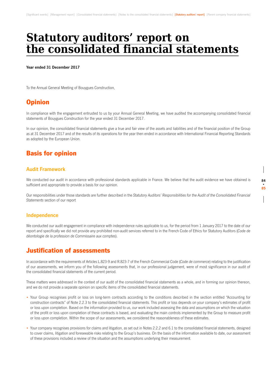# **Statutory auditors' report on the consolidated financial statements**

**Year ended 31 December 2017**

To the Annual General Meeting of Bouygues Construction,

## **Opinion**

In compliance with the engagement entrusted to us by your Annual General Meeting, we have audited the accompanying consolidated financial statements of Bouygues Construction for the year ended 31 December 2017.

In our opinion, the consolidated financial statements give a true and fair view of the assets and liabilities and of the financial position of the Group as at 31 December 2017 and of the results of its operations for the year then ended in accordance with International Financial Reporting Standards as adopted by the European Union.

## Basis for opinion

#### **Audit Framework**

We conducted our audit in accordance with professional standards applicable in France. We believe that the audit evidence we have obtained is sufficient and appropriate to provide a basis for our opinion.

Our responsibilities under those standards are further described in the Statutory Auditors' Responsibilities for the Audit of the Consolidated Financial Statements section of our report

#### **Independence**

We conducted our audit engagement in compliance with independence rules applicable to us, for the period from 1 January 2017 to the date of our report and specifically we did not provide any prohibited non-audit services referred to in the French Code of Ethics for Statutory Auditors (*Code de*  déontologie de la profession de Commissaire aux comptes).

### Justification of assessments

In accordance with the requirements of Articles L.823-9 and R.823-7 of the French Commercial Code (*Code de commerce*) relating to the justification of our assessments, we inform you of the following assessments that, in our professional judgement, were of most significance in our audit of the consolidated financial statements of the current period.

These matters were addressed in the context of our audit of the consolidated financial statements as a whole, and in forming our opinion thereon, and we do not provide a separate opinion on specific items of the consolidated financial statements.

- Your Group recognises profit or loss on long-term contracts according to the conditions described in the section entitled "Accounting for construction contracts" of Note 2.2.3 to the consolidated financial statements. This profit or loss depends on your company's estimates of profit or loss upon completion. Based on the information provided to us, our work included assessing the data and assumptions on which the valuation of the profit or loss upon completion of these contracts is based, and evaluating the main controls implemented by the Group to measure profit or loss upon completion. Within the scope of our assessments, we considered the reasonableness of these estimates.
- Your company recognises provisions for claims and litigation, as set out in Notes 2.2.2 and 6.1 to the consolidated financial statements, designed to cover claims, litigation and foreseeable risks relating to the Group's business. On the basis of the information available to date, our assessment of these provisions included a review of the situation and the assumptions underlying their measurement.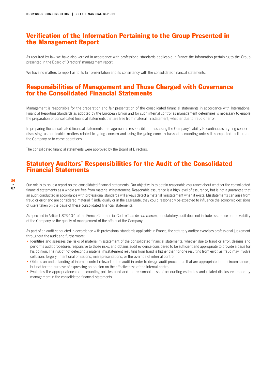### Verification of the Information Pertaining to the Group Presented in the Management Report

As required by law we have also verified in accordance with professional standards applicable in France the information pertaining to the Group presented in the Board of Directors' management report.

We have no matters to report as to its fair presentation and its consistency with the consolidated financial statements.

#### Responsibilities of Management and Those Charged with Governance for the Consolidated Financial Statements

Management is responsible for the preparation and fair presentation of the consolidated financial statements in accordance with International Financial Reporting Standards as adopted by the European Union and for such internal control as management determines is necessary to enable the preparation of consolidated financial statements that are free from material misstatement, whether due to fraud or error.

In preparing the consolidated financial statements, management is responsible for assessing the Company's ability to continue as a going concern, disclosing, as applicable, matters related to going concern and using the going concern basis of accounting unless it is expected to liquidate the Company or to cease operations.

The consolidated financial statements were approved by the Board of Directors.

#### Statutory Auditors' Responsibilities for the Audit of the Consolidated Financial Statements

Our role is to issue a report on the consolidated financial statements. Our objective is to obtain reasonable assurance about whether the consolidated financial statements as a whole are free from material misstatement. Reasonable assurance is a high level of assurance, but is not a guarantee that an audit conducted in accordance with professional standards will always detect a material misstatement when it exists. Misstatements can arise from fraud or error and are considered material if, individually or in the aggregate, they could reasonably be expected to influence the economic decisions of users taken on the basis of these consolidated financial statements.

As specified in Article L.823-10-1 of the French Commercial Code (*Code de commerce*), our statutory audit does not include assurance on the viability of the Company or the quality of management of the affairs of the Company.

As part of an audit conducted in accordance with professional standards applicable in France, the statutory auditor exercises professional judgement throughout the audit and furthermore:

- Identifies and assesses the risks of material misstatement of the consolidated financial statements, whether due to fraud or error, designs and performs audit procedures responsive to those risks, and obtains audit evidence considered to be sufficient and appropriate to provide a basis for his opinion. The risk of not detecting a material misstatement resulting from fraud is higher than for one resulting from error, as fraud may involve collusion, forgery, intentional omissions, misrepresentations, or the override of internal control.
- Obtains an understanding of internal control relevant to the audit in order to design audit procedures that are appropriate in the circumstances, but not for the purpose of expressing an opinion on the effectiveness of the internal control.
- Evaluates the appropriateness of accounting policies used and the reasonableness of accounting estimates and related disclosures made by management in the consolidated financial statements.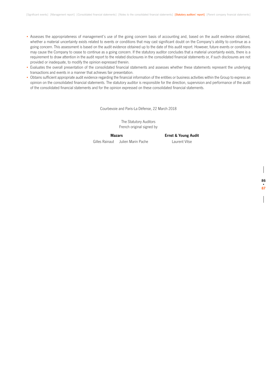- Assesses the appropriateness of management's use of the going concern basis of accounting and, based on the audit evidence obtained, whether a material uncertainty exists related to events or conditions that may cast significant doubt on the Company's ability to continue as a going concern. This assessment is based on the audit evidence obtained up to the date of this audit report. However, future events or conditions may cause the Company to cease to continue as a going concern. If the statutory auditor concludes that a material uncertainty exists, there is a requirement to draw attention in the audit report to the related disclosures in the consolidated financial statements or, if such disclosures are not provided or inadequate, to modify the opinion expressed therein.
- Evaluates the overall presentation of the consolidated financial statements and assesses whether these statements represent the underlying transactions and events in a manner that achieves fair presentation.
- Obtains sufficient appropriate audit evidence regarding the financial information of the entities or business activities within the Group to express an opinion on the consolidated financial statements. The statutory auditor is responsible for the direction, supervision and performance of the audit of the consolidated financial statements and for the opinion expressed on these consolidated financial statements.

Courbevoie and Paris-La Défense, 22 March 2018

The Statutory Auditors French original signed by

Gilles Rainaut Julien Marin Pache Laurent Vitse

**Mazars Ernst & Young Audit**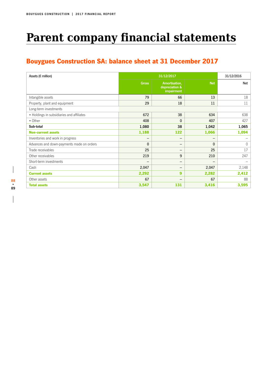# **Parent company financial statements**

# Bouygues Construction SA: balance sheet at 31 December 2017

| Assets ( $\varepsilon$ million)           |                          | 31/12/2017                                    |              | 31/12/2016 |
|-------------------------------------------|--------------------------|-----------------------------------------------|--------------|------------|
|                                           | <b>Gross</b>             | Amortisation,<br>depreciation &<br>impairment | <b>Net</b>   | Net        |
| Intangible assets                         | 79                       | 66                                            | 13           | 18         |
| Property, plant and equipment             | 29                       | 18                                            | 11           | 11         |
| Long-term investments                     |                          |                                               |              |            |
| • Holdings in subsidiaries and affiliates | 672                      | 38                                            | 634          | 638        |
| • Other                                   | 408                      | $\mathbf{0}$                                  | 407          | 427        |
| Sub total                                 | 1,080                    | 38                                            | 1,042        | 1,065      |
| <b>Non-current assets</b>                 | 1,188                    | 122                                           | 1,066        | 1,094      |
| Inventories and work in progress          | $\overline{\phantom{m}}$ | —                                             | —            |            |
| Advances and down-payments made on orders | $\mathbf{0}$             | —                                             | $\mathbf{0}$ | $\Omega$   |
| Trade receivables                         | 25                       | -                                             | 25           | 17         |
| Other receivables                         | 219                      | 9                                             | 210          | 247        |
| Short-term investments                    | $\overline{\phantom{0}}$ | -                                             |              |            |
| Cash                                      | 2,047                    | -                                             | 2,047        | 2,148      |
| <b>Current assets</b>                     | 2,292                    | $\mathbf{9}$                                  | 2,282        | 2,412      |
| Other assets                              | 67                       | —                                             | 67           | 88         |
| <b>Total assets</b>                       | 3,547                    | 131                                           | 3,416        | 3,595      |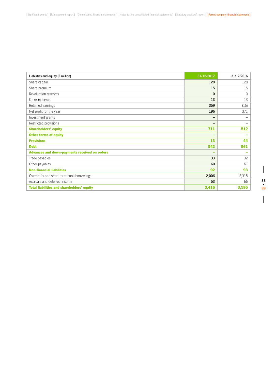| Liabilities and equity ( $\epsilon$ million)      | 31/12/2017               | 31/12/2016                   |
|---------------------------------------------------|--------------------------|------------------------------|
| Share capital                                     | 128                      | 128                          |
| Share premium                                     | 15                       | 15                           |
| Revaluation reserves                              | 0                        | $\mathbf{0}$                 |
| Other reserves                                    | 13                       | 13                           |
| Retained earnings                                 | 359                      | (15)                         |
| Net profit for the year                           | 196                      | 371                          |
| Investment grants                                 | $\overline{\phantom{m}}$ | $\qquad \qquad \blacksquare$ |
| Restricted provisions                             | $\overline{\phantom{0}}$ | $\qquad \qquad$              |
| <b>Shareholders' equity</b>                       | 711                      | 512                          |
| <b>Other forms of equity</b>                      | -                        | $\overline{\phantom{a}}$     |
| <b>Provisions</b>                                 | 13                       | 44                           |
| <b>Debt</b>                                       | 542                      | 561                          |
| Advances and down-payments received on orders     | -                        | $\overline{\phantom{a}}$     |
| Trade payables                                    | 33                       | 32                           |
| Other payables                                    | 60                       | 61                           |
| <b>Non-financial liabilities</b>                  | 92                       | 93                           |
| Overdrafts and short-term bank borrowings         | 2,006                    | 2,318                        |
| Accruals and deferred income                      | 53                       | 66                           |
| <b>Total liabilities and shareholders' equity</b> | 3,416                    | 3,595                        |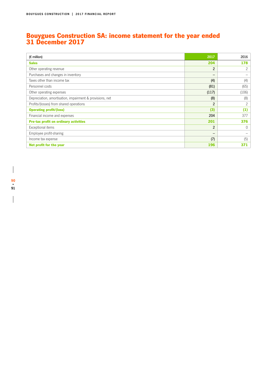### Bouygues Construction SA: income statement for the year ended 31 December 2017

| $(E \text{ million})$                                    | 2017                     | 2016           |
|----------------------------------------------------------|--------------------------|----------------|
| <b>Sales</b>                                             | 204                      | 178            |
| Other operating revenue                                  | 2                        | 2              |
| Purchases and changes in inventory                       | $\overline{\phantom{m}}$ |                |
| Taxes other than income tax                              | (4)                      | (4)            |
| Personnel costs                                          | (81)                     | (65)           |
| Other operating expenses                                 | (117)                    | (106)          |
| Depreciation, amortisation, impairment & provisions, net | (8)                      | (8)            |
| Profits/(losses) from shared operations                  | $\overline{2}$           | $\overline{c}$ |
| <b>Operating profit/(loss)</b>                           | (3)                      | (1)            |
| Financial income and expenses                            | 204                      | 377            |
| <b>Pre-tax profit on ordinary activities</b>             | 201                      | 376            |
| Exceptional items                                        | $\overline{2}$           | $\Omega$       |
| Employee profit-sharing                                  | -                        |                |
| Income tax expense                                       | (7)                      | (5)            |
| Net profit for the year                                  | 196                      | 371            |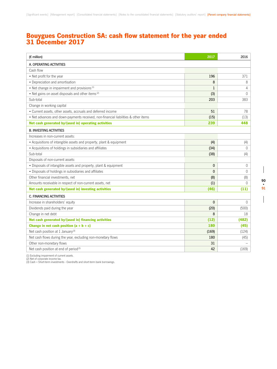### Bouygues Construction SA: cash flow statement for the year ended 31 December 2017

| $(E \text{ million})$                                                              | 2017         | 2016         |
|------------------------------------------------------------------------------------|--------------|--------------|
| A. OPERATING ACTIVITIES                                                            |              |              |
| Cash flow                                                                          |              |              |
| • Net profit for the year                                                          | 196          | 371          |
| • Depreciation and amortisation                                                    | 8            | 8            |
| • Net change in impairment and provisions <sup>(1)</sup>                           | $\mathbf{1}$ | 4            |
| • Net gains on asset disposals and other items <sup>(2)</sup>                      | (3)          | $\Omega$     |
| Sub-total                                                                          | 203          | 383          |
| Change in working capital                                                          |              |              |
| • Current assets, other assets, accruals and deferred income                       | 51           | 78           |
| • Net advances and down-payments received, non-financial liabilities & other items | (15)         | (13)         |
| Net cash generated by/(used in) operating activities                               | 239          | 448          |
| <b>B. INVESTING ACTIVITIES</b>                                                     |              |              |
| Increases in non-current assets:                                                   |              |              |
| • Acquisitions of intangible assets and property, plant & equipment                | (4)          | (4)          |
| • Acquisitions of holdings in subsidiaries and affiliates                          | (34)         | $\Omega$     |
| Sub-total                                                                          | (38)         | (4)          |
| Disposals of non-current assets:                                                   |              |              |
| • Disposals of intangible assets and property, plant & equipment                   | $\mathbf 0$  | $\mathbf{0}$ |
| • Disposals of holdings in subsidiaries and affiliates                             | $\Omega$     | $\Omega$     |
| Other financial investments, net                                                   | (8)          | (8)          |
| Amounts receivable in respect of non-current assets, net                           | (1)          | $\Omega$     |
| Net cash generated by/(used in) investing activities                               | (46)         | (11)         |
| <b>C. FINANCING ACTIVITIES</b>                                                     |              |              |
| Increase in shareholders' equity                                                   | $\mathbf{0}$ | $\Omega$     |
| Dividends paid during the year                                                     | (20)         | (500)        |
| Change in net debt                                                                 | 8            | 18           |
| Net cash generated by/(used in) financing activities                               | (12)         | (482)        |
| Change in net cash position $(a + b + c)$                                          | 180          | (45)         |
| Net cash position at 1 January <sup>(3)</sup>                                      | (169)        | (124)        |
| Net cash flows during the year, excluding non-monetary flows                       | 180          | (45)         |
| Other non-monetary flows                                                           | 31           |              |
| Net cash position at end of period <sup>(3)</sup>                                  | 42           | (169)        |

(1) Excluding impairment of current assets.

(2) Net of corporate income tax. (3) Cash + Short-term investments - Overdrafts and short-term bank borrowings.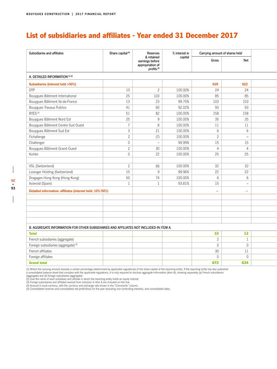## List of subsidiaries and affiliates - Year ended 31 December 2017

| Subsidiaries and affiliates                                                            | Share capital <sup>(4)</sup> | Reserves                                                                    | % interest in | Carrying amount of shares held |                          |
|----------------------------------------------------------------------------------------|------------------------------|-----------------------------------------------------------------------------|---------------|--------------------------------|--------------------------|
|                                                                                        |                              | & retained<br>earnings before<br>appropriation of<br>profits <sup>(4)</sup> | capital       | Gross                          | Net                      |
| A. DETAILED INFORMATION (1) (2)                                                        |                              |                                                                             |               |                                |                          |
| Subsidiaries (interest held >50%)                                                      |                              |                                                                             |               | 639                            | 622                      |
| <b>DTP</b>                                                                             | 10 <sup>°</sup>              | $\overline{2}$                                                              | 100.00%       | 24                             | 24                       |
| Bouygues Bâtiment International                                                        | 25                           | 103                                                                         | 100.00%       | 85                             | 85                       |
| Bouygues Bâtiment Ile-de-France                                                        | 13                           | 23                                                                          | 99.70%        | 103                            | 103                      |
| Bouygues Travaux Publics                                                               | 41                           | 60                                                                          | 92.02%        | 93                             | 93                       |
| BYES <sup>(5)</sup>                                                                    | 51                           | 82                                                                          | 100.00%       | 158                            | 158                      |
| Bouygues Bâtiment Nord Est                                                             | 25                           | $\overline{9}$                                                              | 100.00%       | $35\,$                         | 35                       |
| Bouygues Bâtiment Centre Sud Ouest                                                     | $\overline{7}$               | 8                                                                           | 100.00%       | 11                             | 11                       |
| Bouygues Bâtiment Sud Est                                                              | $\mathfrak{Z}$               | 21                                                                          | 100.00%       | 6                              | 6                        |
| Fichallenge                                                                            | $\overline{c}$               | (7)                                                                         | 100.00%       | $\overline{2}$                 | $\overline{\phantom{m}}$ |
| Challenger                                                                             | $\circ$                      | $\overline{\phantom{a}}$                                                    | 99.99%        | 15                             | 15                       |
| Bouygues Bâtiment Grand Ouest                                                          | $\overline{c}$               | 30                                                                          | 100.00%       |                                | $\overline{4}$           |
| Kohler                                                                                 | $\circ$                      | 22                                                                          | 100.00%       | 25                             | 25                       |
|                                                                                        |                              |                                                                             |               |                                |                          |
| VSL (Switzerland)                                                                      | $\overline{c}$               | (6)                                                                         | 100.00%       | 32                             | 32                       |
| Losinger Holding (Switzerland)                                                         | 15                           | 9                                                                           | 99.96%        | 22                             | 22                       |
| Dragages Hong Kong (Hong Kong)                                                         | 50                           | 74                                                                          | 100.00%       | $6^{\circ}$                    | 6                        |
| Acieroid (Spain)                                                                       | $\mathbf{1}$                 | $\overline{1}$                                                              | 93.81%        | 15                             | $\overline{\phantom{a}}$ |
| Detailed information: affiliates (interest held: 10%-50%)                              |                              |                                                                             |               | $\equiv$                       | $\equiv$                 |
|                                                                                        |                              |                                                                             |               |                                |                          |
|                                                                                        |                              |                                                                             |               |                                |                          |
|                                                                                        |                              |                                                                             |               |                                |                          |
|                                                                                        |                              |                                                                             |               |                                |                          |
|                                                                                        |                              |                                                                             |               |                                |                          |
|                                                                                        |                              |                                                                             |               |                                |                          |
| B. AGGREGATE INFORMATION FOR OTHER SUBSIDIARIES AND AFFILIATES NOT INCLUDED IN ITEM A. |                              |                                                                             |               |                                |                          |
| <b>Total</b>                                                                           |                              |                                                                             |               | 33                             | $12$                     |

| ______                                          | $-$ | $ -$ |  |
|-------------------------------------------------|-----|------|--|
| French subsidiaries (aggregate)                 |     |      |  |
| Foreign subsidiaries (aggregate) <sup>(3)</sup> |     |      |  |
| French affiliates                               |     |      |  |
| Foreign affiliates                              |     |      |  |
| <b>Grand total</b>                              | 672 | 634  |  |

(1) Where the carrying amount exceeds a certain percentage (determined by applicable regulations) of the share capital of the reporting entity. If the reporting entity has also published<br>a consolidated balance sheet that c

(2) Give the name of each subsidiary and affiliate in which the reporting entity holds an equity interest.<br>(3) Foreign subsidiaries and affiliates exempt from inclusion in item A are included on this line.<br>(4) Amount in lo

(5) Consolidated reserves and consolidated net profit/(loss) for the year excluding non-controlling interests, and consolidated sales.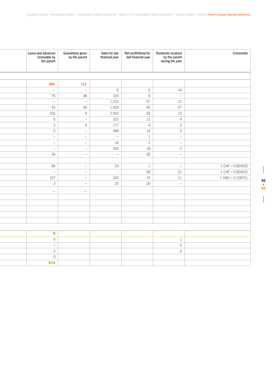i

| Comments           | Dividends received<br>by the parent<br>during the year | Net profit/(loss) for<br>last financial year | Sales for last<br>financial year | Guarantees given<br>by the parent | Loans and advances<br>receivable by<br>the parent |
|--------------------|--------------------------------------------------------|----------------------------------------------|----------------------------------|-----------------------------------|---------------------------------------------------|
|                    |                                                        |                                              |                                  |                                   |                                                   |
|                    |                                                        |                                              |                                  | 112                               | 605                                               |
|                    | 14                                                     | $6\overline{6}$                              | $6\overline{6}$                  | $\sim$                            | $\hspace{0.1mm}-\hspace{0.1mm}$                   |
|                    | $\overline{\phantom{a}}$                               | $\,8\,$                                      | 329                              | 48                                | 75                                                |
|                    | 27                                                     | 47                                           | 1,532                            | $\sim$                            | $\hspace{0.1mm}-\hspace{0.1mm}$                   |
|                    | $\overline{57}$                                        | 65                                           | 1,024                            | 46                                | 43                                                |
|                    | 15                                                     | (5)                                          | 2,543                            | 9                                 | 256                                               |
|                    | $\overline{4}$                                         | 13                                           | 322                              | $\sim$                            | $\mathbb O$                                       |
|                    | $\overline{3}$                                         | $\overline{4}$                               | 177                              | 9                                 | $\overline{0}$                                    |
|                    | 9                                                      | 14                                           | 448                              | $ \,$                             | $\mathbb O$                                       |
|                    | $\sim$                                                 | $\mathbf{1}$                                 | $\overline{\phantom{a}}$         | $\overline{\phantom{0}}$          | $\overline{\phantom{a}}$                          |
|                    | $\sim$                                                 | $\overline{c}$                               | 18                               | $\equiv$                          | $\overline{\phantom{m}}$                          |
|                    | $\mathcal{S}$                                          | 18                                           | 420                              | $\overline{\phantom{a}}$          | $\overline{\phantom{a}}$                          |
|                    | $\equiv$                                               | (0)                                          | $\hspace{0.1mm}-\hspace{0.1mm}$  | $\overline{\phantom{a}}$          | 36                                                |
|                    |                                                        |                                              |                                  |                                   |                                                   |
| $1$ CHF = 0.854555 | $\overline{\phantom{a}}$                               | $\mathbf{1}$                                 | 19                               | $\overline{\phantom{m}}$          | $84\,$                                            |
| $1$ CHF = 0.854555 | 51                                                     | 58                                           | $\sim$                           | $\sim$                            | $\hspace{0.1mm}-\hspace{0.1mm}$                   |
| $1$ HKD = 0.106701 | 11                                                     | 33                                           | 320                              | $\overline{\phantom{0}}$          | 107                                               |
|                    | $\overline{\phantom{a}}$                               | (3)                                          | 20                               | $\sim$                            | $\mathbf{3}$                                      |
|                    |                                                        |                                              |                                  | $\sim$                            | $\sim$                                            |
|                    |                                                        |                                              |                                  |                                   |                                                   |
|                    |                                                        |                                              |                                  |                                   |                                                   |
|                    |                                                        |                                              |                                  |                                   |                                                   |
|                    |                                                        |                                              |                                  |                                   |                                                   |
|                    |                                                        |                                              |                                  |                                   |                                                   |
|                    |                                                        |                                              |                                  |                                   |                                                   |
|                    |                                                        |                                              |                                  |                                   | 9                                                 |
|                    | $\mathbf{1}$                                           |                                              |                                  |                                   | 9                                                 |
|                    | $\mathbb O$                                            |                                              |                                  |                                   | $\sim$                                            |
|                    | $\mathbb O$                                            |                                              |                                  |                                   | $\mathbb O$                                       |
|                    |                                                        |                                              |                                  |                                   | $\mathbb O$                                       |
|                    |                                                        |                                              |                                  |                                   | 614                                               |

 $\begin{array}{c} \hline \end{array}$ 

 $\begin{array}{c} \hline \end{array}$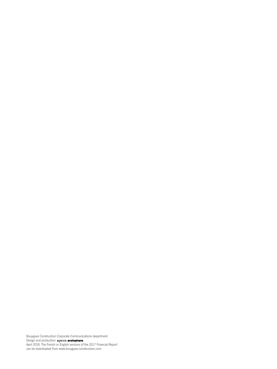Bouygues Construction Corporate Communications department. Design and production: April 2018. The French or English versions of the 2017 Financial Report can be downloaded from www.bouygues-construction.com.